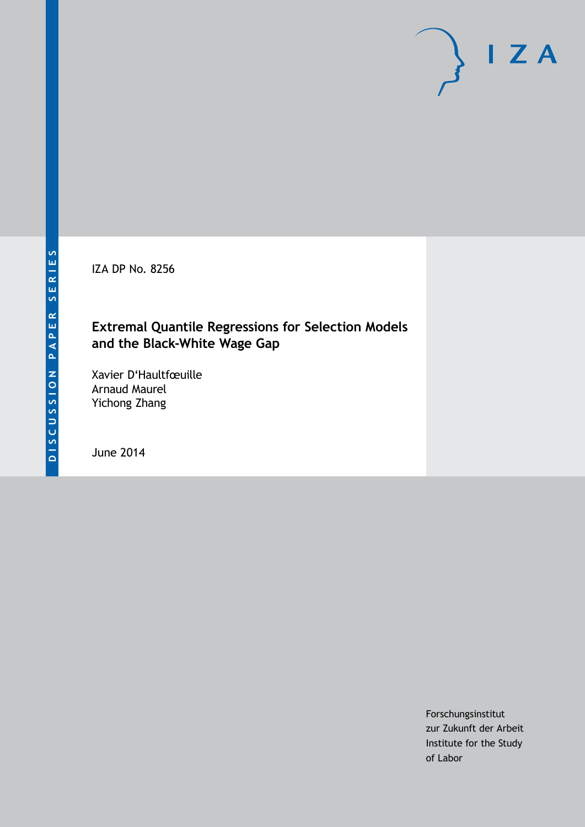IZA DP No. 8256

# **Extremal Quantile Regressions for Selection Models and the Black-White Wage Gap**

Xavier D'Haultfœuille Arnaud Maurel Yichong Zhang

June 2014

Forschungsinstitut zur Zukunft der Arbeit Institute for the Study of Labor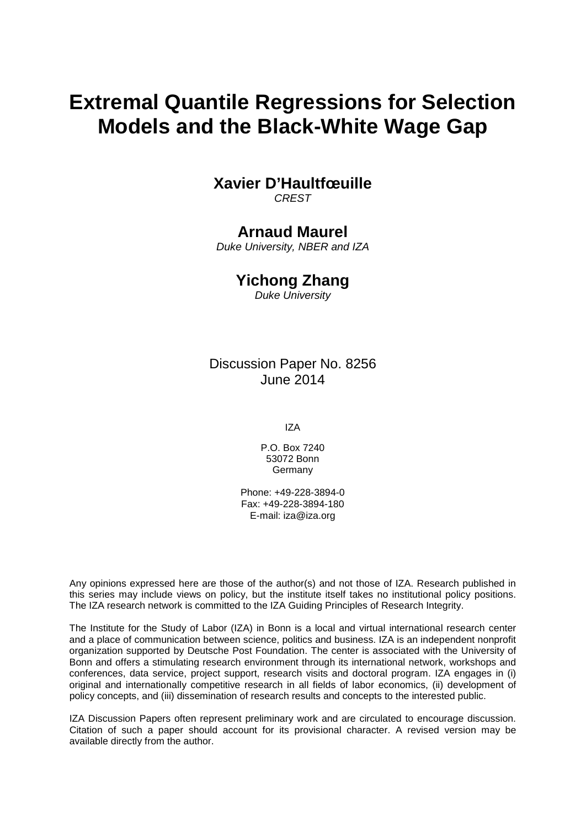# **Extremal Quantile Regressions for Selection Models and the Black-White Wage Gap**

## **Xavier D'Haultfœuille**

*CREST*

## **Arnaud Maurel**

*Duke University, NBER and IZA*

## **Yichong Zhang**

*Duke University*

Discussion Paper No. 8256 June 2014

IZA

P.O. Box 7240 53072 Bonn **Germany** 

Phone: +49-228-3894-0 Fax: +49-228-3894-180 E-mail: [iza@iza.org](mailto:iza@iza.org)

Any opinions expressed here are those of the author(s) and not those of IZA. Research published in this series may include views on policy, but the institute itself takes no institutional policy positions. The IZA research network is committed to the IZA Guiding Principles of Research Integrity.

The Institute for the Study of Labor (IZA) in Bonn is a local and virtual international research center and a place of communication between science, politics and business. IZA is an independent nonprofit organization supported by Deutsche Post Foundation. The center is associated with the University of Bonn and offers a stimulating research environment through its international network, workshops and conferences, data service, project support, research visits and doctoral program. IZA engages in (i) original and internationally competitive research in all fields of labor economics, (ii) development of policy concepts, and (iii) dissemination of research results and concepts to the interested public.

IZA Discussion Papers often represent preliminary work and are circulated to encourage discussion. Citation of such a paper should account for its provisional character. A revised version may be available directly from the author.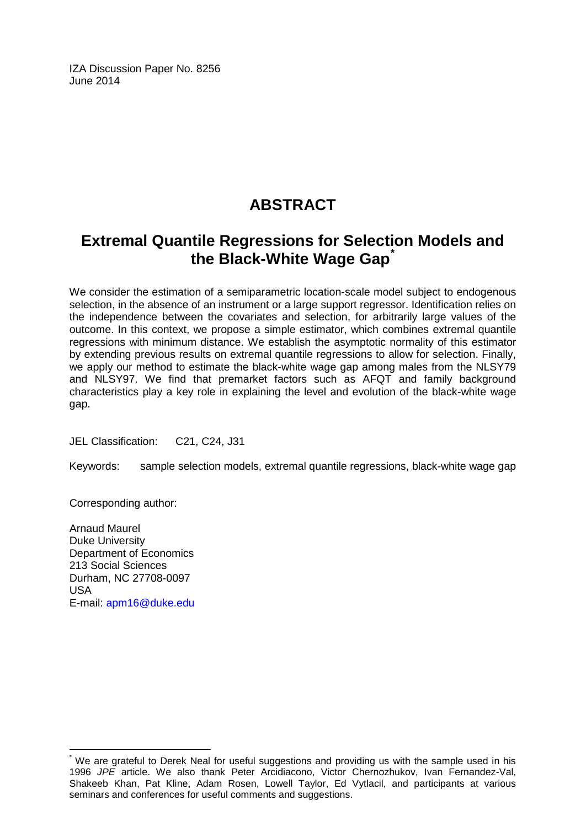IZA Discussion Paper No. 8256 June 2014

# **ABSTRACT**

# **Extremal Quantile Regressions for Selection Models and the Black-White Wage Gap[\\*](#page-2-0)**

We consider the estimation of a semiparametric location-scale model subject to endogenous selection, in the absence of an instrument or a large support regressor. Identification relies on the independence between the covariates and selection, for arbitrarily large values of the outcome. In this context, we propose a simple estimator, which combines extremal quantile regressions with minimum distance. We establish the asymptotic normality of this estimator by extending previous results on extremal quantile regressions to allow for selection. Finally, we apply our method to estimate the black-white wage gap among males from the NLSY79 and NLSY97. We find that premarket factors such as AFQT and family background characteristics play a key role in explaining the level and evolution of the black-white wage gap.

JEL Classification: C21, C24, J31

Keywords: sample selection models, extremal quantile regressions, black-white wage gap

Corresponding author:

Arnaud Maurel Duke University Department of Economics 213 Social Sciences Durham, NC 27708-0097 USA E-mail: [apm16@duke.edu](mailto:apm16@duke.edu)

<span id="page-2-0"></span>We are grateful to Derek Neal for useful suggestions and providing us with the sample used in his 1996 *JPE* article. We also thank Peter Arcidiacono, Victor Chernozhukov, Ivan Fernandez-Val, Shakeeb Khan, Pat Kline, Adam Rosen, Lowell Taylor, Ed Vytlacil, and participants at various seminars and conferences for useful comments and suggestions.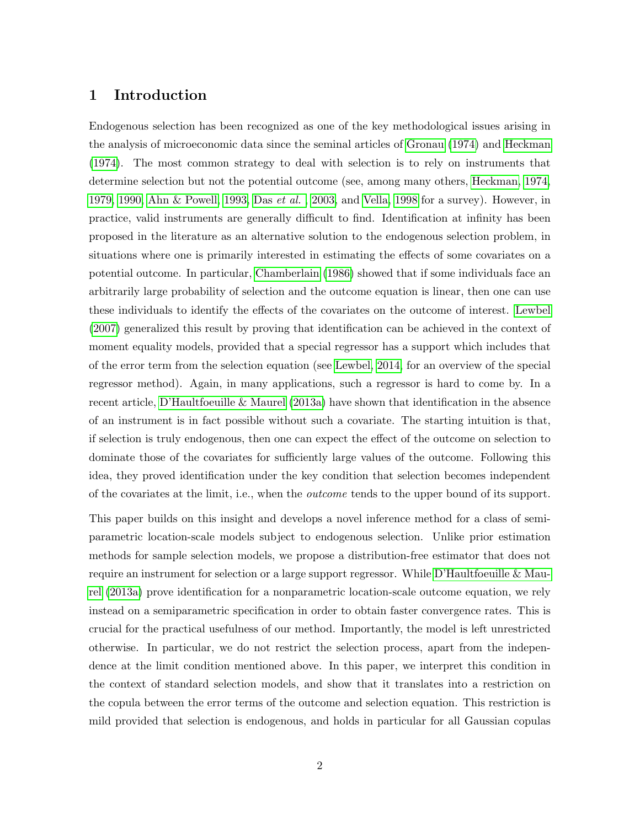## 1 Introduction

Endogenous selection has been recognized as one of the key methodological issues arising in the analysis of microeconomic data since the seminal articles of [Gronau \(1974\)](#page-36-0) and [Heckman](#page-36-1) [\(1974\)](#page-36-1). The most common strategy to deal with selection is to rely on instruments that determine selection but not the potential outcome (see, among many others, [Heckman,](#page-36-2) [1974,](#page-36-1) [1979,](#page-36-3) [1990,](#page-36-2) [Ahn & Powell, 1993,](#page-34-0) Das *[et al.](#page-35-0)*, [2003,](#page-35-0) and [Vella, 1998](#page-37-0) for a survey). However, in practice, valid instruments are generally difficult to find. Identification at infinity has been proposed in the literature as an alternative solution to the endogenous selection problem, in situations where one is primarily interested in estimating the effects of some covariates on a potential outcome. In particular, [Chamberlain \(1986\)](#page-35-1) showed that if some individuals face an arbitrarily large probability of selection and the outcome equation is linear, then one can use these individuals to identify the effects of the covariates on the outcome of interest. [Lewbel](#page-36-4) [\(2007\)](#page-36-4) generalized this result by proving that identification can be achieved in the context of moment equality models, provided that a special regressor has a support which includes that of the error term from the selection equation (see [Lewbel, 2014,](#page-36-5) for an overview of the special regressor method). Again, in many applications, such a regressor is hard to come by. In a recent article, [D'Haultfoeuille & Maurel \(2013a\)](#page-35-2) have shown that identification in the absence of an instrument is in fact possible without such a covariate. The starting intuition is that, if selection is truly endogenous, then one can expect the effect of the outcome on selection to dominate those of the covariates for sufficiently large values of the outcome. Following this idea, they proved identification under the key condition that selection becomes independent of the covariates at the limit, i.e., when the outcome tends to the upper bound of its support.

This paper builds on this insight and develops a novel inference method for a class of semiparametric location-scale models subject to endogenous selection. Unlike prior estimation methods for sample selection models, we propose a distribution-free estimator that does not require an instrument for selection or a large support regressor. While [D'Haultfoeuille & Mau](#page-35-2)[rel \(2013a\)](#page-35-2) prove identification for a nonparametric location-scale outcome equation, we rely instead on a semiparametric specification in order to obtain faster convergence rates. This is crucial for the practical usefulness of our method. Importantly, the model is left unrestricted otherwise. In particular, we do not restrict the selection process, apart from the independence at the limit condition mentioned above. In this paper, we interpret this condition in the context of standard selection models, and show that it translates into a restriction on the copula between the error terms of the outcome and selection equation. This restriction is mild provided that selection is endogenous, and holds in particular for all Gaussian copulas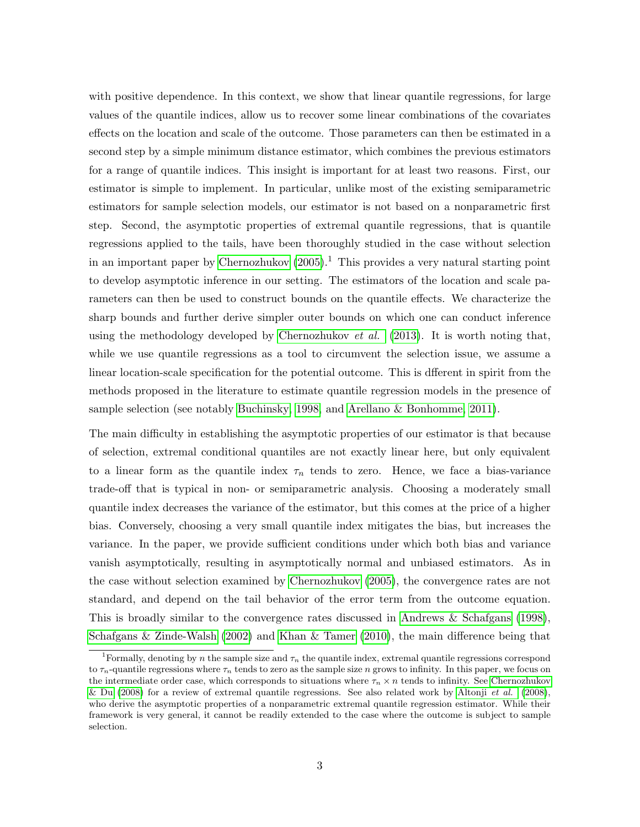with positive dependence. In this context, we show that linear quantile regressions, for large values of the quantile indices, allow us to recover some linear combinations of the covariates effects on the location and scale of the outcome. Those parameters can then be estimated in a second step by a simple minimum distance estimator, which combines the previous estimators for a range of quantile indices. This insight is important for at least two reasons. First, our estimator is simple to implement. In particular, unlike most of the existing semiparametric estimators for sample selection models, our estimator is not based on a nonparametric first step. Second, the asymptotic properties of extremal quantile regressions, that is quantile regressions applied to the tails, have been thoroughly studied in the case without selection in an important paper by Chernozhukov  $(2005)^{1}$ . This provides a very natural starting point to develop asymptotic inference in our setting. The estimators of the location and scale parameters can then be used to construct bounds on the quantile effects. We characterize the sharp bounds and further derive simpler outer bounds on which one can conduct inference using the methodology developed by [Chernozhukov](#page-35-4) *et al.*  $(2013)$ . It is worth noting that, while we use quantile regressions as a tool to circumvent the selection issue, we assume a linear location-scale specification for the potential outcome. This is dfferent in spirit from the methods proposed in the literature to estimate quantile regression models in the presence of sample selection (see notably [Buchinsky, 1998,](#page-34-1) and [Arellano & Bonhomme, 2011\)](#page-34-2).

The main difficulty in establishing the asymptotic properties of our estimator is that because of selection, extremal conditional quantiles are not exactly linear here, but only equivalent to a linear form as the quantile index  $\tau_n$  tends to zero. Hence, we face a bias-variance trade-off that is typical in non- or semiparametric analysis. Choosing a moderately small quantile index decreases the variance of the estimator, but this comes at the price of a higher bias. Conversely, choosing a very small quantile index mitigates the bias, but increases the variance. In the paper, we provide sufficient conditions under which both bias and variance vanish asymptotically, resulting in asymptotically normal and unbiased estimators. As in the case without selection examined by [Chernozhukov \(2005\)](#page-35-3), the convergence rates are not standard, and depend on the tail behavior of the error term from the outcome equation. This is broadly similar to the convergence rates discussed in [Andrews & Schafgans \(1998\)](#page-34-3), [Schafgans & Zinde-Walsh \(2002\)](#page-37-1) and [Khan & Tamer \(2010\)](#page-36-6), the main difference being that

<sup>&</sup>lt;sup>1</sup>Formally, denoting by n the sample size and  $\tau_n$  the quantile index, extremal quantile regressions correspond to  $\tau_n$ -quantile regressions where  $\tau_n$  tends to zero as the sample size n grows to infinity. In this paper, we focus on the intermediate order case, which corresponds to situations where  $\tau_n \times n$  tends to infinity. See [Chernozhukov](#page-35-5) [& Du](#page-35-5) [\(2008\)](#page-34-4) for a review of extremal quantile regressions. See also related work by [Altonji](#page-34-4) et al. (2008), who derive the asymptotic properties of a nonparametric extremal quantile regression estimator. While their framework is very general, it cannot be readily extended to the case where the outcome is subject to sample selection.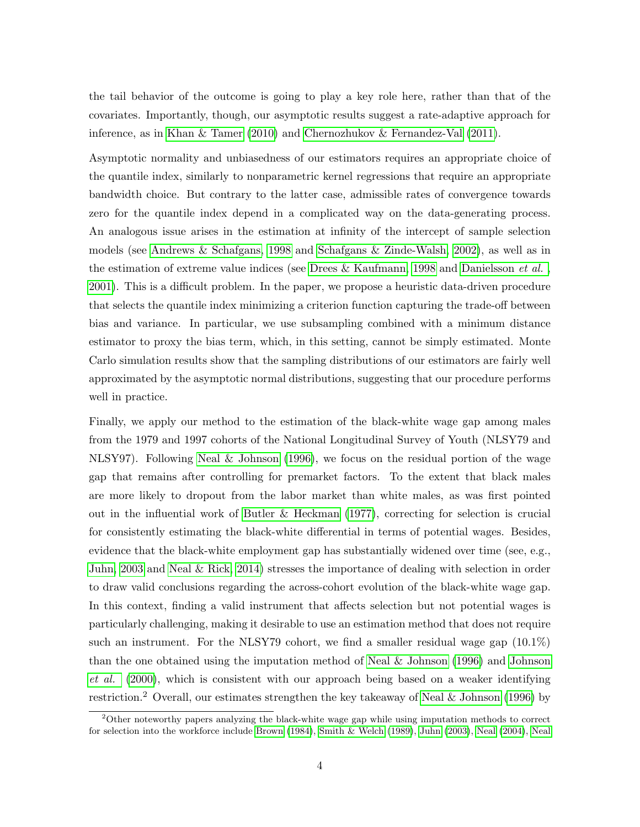the tail behavior of the outcome is going to play a key role here, rather than that of the covariates. Importantly, though, our asymptotic results suggest a rate-adaptive approach for inference, as in [Khan & Tamer \(2010\)](#page-36-6) and [Chernozhukov & Fernandez-Val \(2011\)](#page-35-6).

Asymptotic normality and unbiasedness of our estimators requires an appropriate choice of the quantile index, similarly to nonparametric kernel regressions that require an appropriate bandwidth choice. But contrary to the latter case, admissible rates of convergence towards zero for the quantile index depend in a complicated way on the data-generating process. An analogous issue arises in the estimation at infinity of the intercept of sample selection models (see [Andrews & Schafgans, 1998](#page-34-3) and [Schafgans & Zinde-Walsh, 2002\)](#page-37-1), as well as in the estimation of extreme value indices (see [Drees & Kaufmann, 1998](#page-35-7) and [Danielsson](#page-35-8) *et al.*, [2001\)](#page-35-8). This is a difficult problem. In the paper, we propose a heuristic data-driven procedure that selects the quantile index minimizing a criterion function capturing the trade-off between bias and variance. In particular, we use subsampling combined with a minimum distance estimator to proxy the bias term, which, in this setting, cannot be simply estimated. Monte Carlo simulation results show that the sampling distributions of our estimators are fairly well approximated by the asymptotic normal distributions, suggesting that our procedure performs well in practice.

Finally, we apply our method to the estimation of the black-white wage gap among males from the 1979 and 1997 cohorts of the National Longitudinal Survey of Youth (NLSY79 and NLSY97). Following [Neal & Johnson \(1996\)](#page-37-2), we focus on the residual portion of the wage gap that remains after controlling for premarket factors. To the extent that black males are more likely to dropout from the labor market than white males, as was first pointed out in the influential work of [Butler & Heckman \(1977\)](#page-34-5), correcting for selection is crucial for consistently estimating the black-white differential in terms of potential wages. Besides, evidence that the black-white employment gap has substantially widened over time (see, e.g., [Juhn, 2003](#page-36-7) and [Neal & Rick, 2014\)](#page-37-3) stresses the importance of dealing with selection in order to draw valid conclusions regarding the across-cohort evolution of the black-white wage gap. In this context, finding a valid instrument that affects selection but not potential wages is particularly challenging, making it desirable to use an estimation method that does not require such an instrument. For the NLSY79 cohort, we find a smaller residual wage gap (10.1%) than the one obtained using the imputation method of [Neal & Johnson \(1996\)](#page-37-2) and [Johnson](#page-36-8) [et al.](#page-36-8) [\(2000\)](#page-36-8), which is consistent with our approach being based on a weaker identifying restriction.<sup>2</sup> Overall, our estimates strengthen the key takeaway of [Neal & Johnson \(1996\)](#page-37-2) by

<sup>2</sup>Other noteworthy papers analyzing the black-white wage gap while using imputation methods to correct for selection into the workforce include [Brown](#page-34-6) [\(1984\)](#page-34-6), [Smith & Welch](#page-37-4) [\(1989\)](#page-37-4), [Juhn](#page-36-7) [\(2003\)](#page-36-7), [Neal](#page-36-9) [\(2004\)](#page-36-9), [Neal](#page-36-10)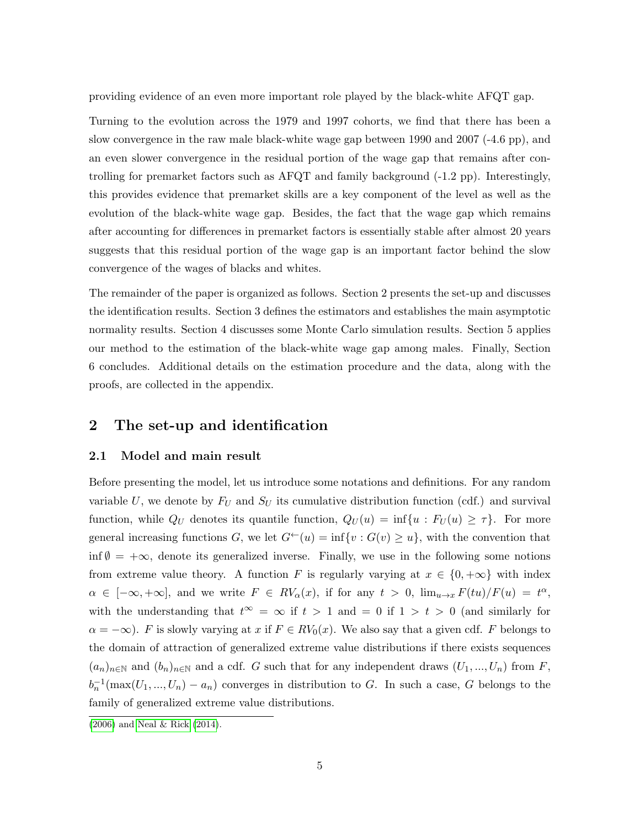providing evidence of an even more important role played by the black-white AFQT gap.

Turning to the evolution across the 1979 and 1997 cohorts, we find that there has been a slow convergence in the raw male black-white wage gap between 1990 and 2007 (-4.6 pp), and an even slower convergence in the residual portion of the wage gap that remains after controlling for premarket factors such as AFQT and family background (-1.2 pp). Interestingly, this provides evidence that premarket skills are a key component of the level as well as the evolution of the black-white wage gap. Besides, the fact that the wage gap which remains after accounting for differences in premarket factors is essentially stable after almost 20 years suggests that this residual portion of the wage gap is an important factor behind the slow convergence of the wages of blacks and whites.

The remainder of the paper is organized as follows. Section 2 presents the set-up and discusses the identification results. Section 3 defines the estimators and establishes the main asymptotic normality results. Section 4 discusses some Monte Carlo simulation results. Section 5 applies our method to the estimation of the black-white wage gap among males. Finally, Section 6 concludes. Additional details on the estimation procedure and the data, along with the proofs, are collected in the appendix.

## 2 The set-up and identification

#### 2.1 Model and main result

Before presenting the model, let us introduce some notations and definitions. For any random variable U, we denote by  $F_U$  and  $S_U$  its cumulative distribution function (cdf.) and survival function, while  $Q_U$  denotes its quantile function,  $Q_U(u) = \inf\{u : F_U(u) \geq \tau\}$ . For more general increasing functions G, we let  $G^{\leftarrow}(u) = \inf \{v : G(v) \geq u\}$ , with the convention that inf  $\emptyset = +\infty$ , denote its generalized inverse. Finally, we use in the following some notions from extreme value theory. A function F is regularly varying at  $x \in \{0, +\infty\}$  with index  $\alpha \in [-\infty, +\infty]$ , and we write  $F \in RV_{\alpha}(x)$ , if for any  $t > 0$ ,  $\lim_{u \to x} F(tu)/F(u) = t^{\alpha}$ , with the understanding that  $t^{\infty} = \infty$  if  $t > 1$  and  $= 0$  if  $1 > t > 0$  (and similarly for  $\alpha = -\infty$ ). F is slowly varying at x if  $F \in RV_0(x)$ . We also say that a given cdf. F belongs to the domain of attraction of generalized extreme value distributions if there exists sequences  $(a_n)_{n\in\mathbb{N}}$  and  $(b_n)_{n\in\mathbb{N}}$  and a cdf. G such that for any independent draws  $(U_1, ..., U_n)$  from F,  $b_n^{-1}(\max(U_1,...,U_n)-a_n)$  converges in distribution to G. In such a case, G belongs to the family of generalized extreme value distributions.

[<sup>\(2006\)</sup>](#page-36-10) and [Neal & Rick](#page-37-3) [\(2014\)](#page-37-3).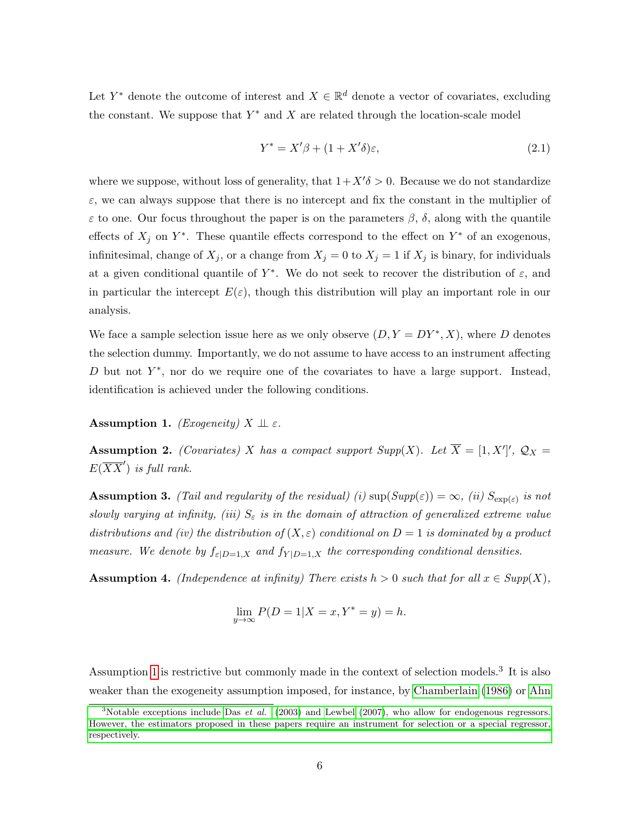Let  $Y^*$  denote the outcome of interest and  $X \in \mathbb{R}^d$  denote a vector of covariates, excluding the constant. We suppose that  $Y^*$  and  $X$  are related through the location-scale model

$$
Y^* = X'\beta + (1 + X'\delta)\varepsilon,\tag{2.1}
$$

where we suppose, without loss of generality, that  $1 + X' \delta > 0$ . Because we do not standardize  $\varepsilon$ , we can always suppose that there is no intercept and fix the constant in the multiplier of ε to one. Our focus throughout the paper is on the parameters β, δ, along with the quantile effects of  $X_j$  on  $Y^*$ . These quantile effects correspond to the effect on  $Y^*$  of an exogenous, infinitesimal, change of  $X_j$ , or a change from  $X_j = 0$  to  $X_j = 1$  if  $X_j$  is binary, for individuals at a given conditional quantile of  $Y^*$ . We do not seek to recover the distribution of  $\varepsilon$ , and in particular the intercept  $E(\varepsilon)$ , though this distribution will play an important role in our analysis.

We face a sample selection issue here as we only observe  $(D, Y = DY^*, X)$ , where D denotes the selection dummy. Importantly, we do not assume to have access to an instrument affecting D but not  $Y^*$ , nor do we require one of the covariates to have a large support. Instead, identification is achieved under the following conditions.

<span id="page-7-0"></span>Assumption 1. (Exogeneity)  $X \perp\!\!\!\perp \varepsilon$ .

<span id="page-7-1"></span>**Assumption 2.** (Covariates) X has a compact support Supp(X). Let  $\overline{X} = [1, X']'$ ,  $\mathcal{Q}_X =$  $E(\overline{XX}')$  is full rank.

<span id="page-7-2"></span>**Assumption 3.** (Tail and regularity of the residual) (i)  $\text{sup}(Supp(\varepsilon)) = \infty$ , (ii)  $S_{\text{exp}(\varepsilon)}$  is not slowly varying at infinity, (iii)  $S_{\varepsilon}$  is in the domain of attraction of generalized extreme value distributions and (iv) the distribution of  $(X, \varepsilon)$  conditional on  $D = 1$  is dominated by a product measure. We denote by  $f_{\varepsilon|D=1,X}$  and  $f_{Y|D=1,X}$  the corresponding conditional densities.

<span id="page-7-3"></span>**Assumption 4.** (Independence at infinity) There exists  $h > 0$  such that for all  $x \in Supp(X)$ ,

$$
\lim_{y \to \infty} P(D = 1 | X = x, Y^* = y) = h.
$$

Assumption [1](#page-7-0) is restrictive but commonly made in the context of selection models.<sup>3</sup> It is also weaker than the exogeneity assumption imposed, for instance, by [Chamberlain \(1986\)](#page-35-1) or [Ahn](#page-34-0)

<sup>&</sup>lt;sup>3</sup>Notable exceptions include Das *[et al.](#page-35-0)* [\(2003\) and Lewbel \(2007\), who allow for endogenous regressors.](#page-34-0) [However, the estimators proposed in these papers require an instrument for selection or a special regressor,](#page-34-0) [respectively.](#page-34-0)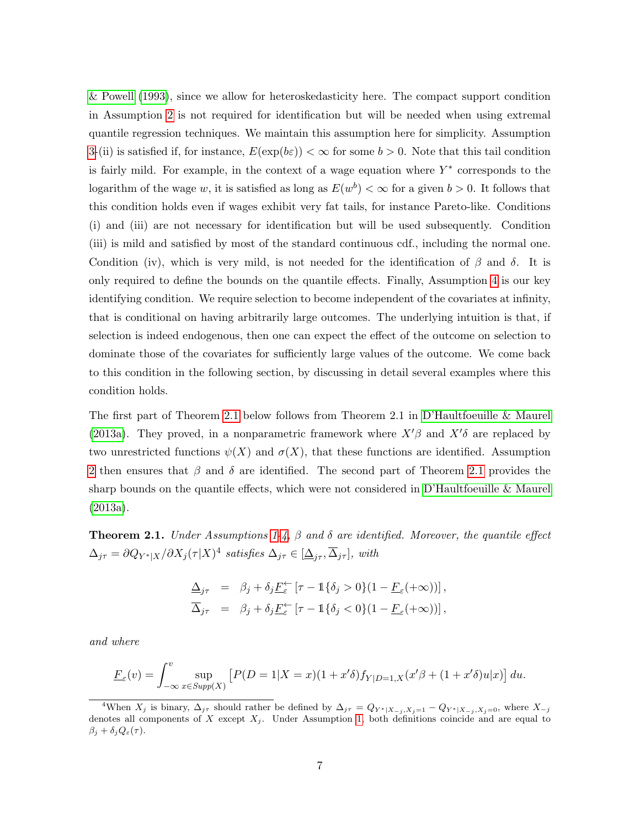[& Powell \(1993\)](#page-34-0), since we allow for heteroskedasticity here. The compact support condition in Assumption [2](#page-7-1) is not required for identification but will be needed when using extremal quantile regression techniques. We maintain this assumption here for simplicity. Assumption [3-](#page-7-2)(ii) is satisfied if, for instance,  $E(\exp(b\varepsilon)) < \infty$  for some  $b > 0$ . Note that this tail condition is fairly mild. For example, in the context of a wage equation where  $Y^*$  corresponds to the logarithm of the wage w, it is satisfied as long as  $E(w^b) < \infty$  for a given  $b > 0$ . It follows that this condition holds even if wages exhibit very fat tails, for instance Pareto-like. Conditions (i) and (iii) are not necessary for identification but will be used subsequently. Condition (iii) is mild and satisfied by most of the standard continuous cdf., including the normal one. Condition (iv), which is very mild, is not needed for the identification of  $\beta$  and  $\delta$ . It is only required to define the bounds on the quantile effects. Finally, Assumption [4](#page-7-3) is our key identifying condition. We require selection to become independent of the covariates at infinity, that is conditional on having arbitrarily large outcomes. The underlying intuition is that, if selection is indeed endogenous, then one can expect the effect of the outcome on selection to dominate those of the covariates for sufficiently large values of the outcome. We come back to this condition in the following section, by discussing in detail several examples where this condition holds.

The first part of Theorem [2.1](#page-9-0) below follows from Theorem 2.1 in [D'Haultfoeuille & Maurel](#page-35-2) [\(2013a\)](#page-35-2). They proved, in a nonparametric framework where  $X'\beta$  and  $X'\delta$  are replaced by two unrestricted functions  $\psi(X)$  and  $\sigma(X)$ , that these functions are identified. Assumption [2](#page-7-1) then ensures that  $\beta$  and  $\delta$  are identified. The second part of Theorem [2.1](#page-9-0) provides the sharp bounds on the quantile effects, which were not considered in [D'Haultfoeuille & Maurel](#page-35-2) [\(2013a\)](#page-35-2).

**Theorem 2.1.** Under Assumptions [1](#page-7-0)[-4,](#page-7-3)  $\beta$  and  $\delta$  are identified. Moreover, the quantile effect  $\Delta_{j\tau} = \partial Q_{Y^*|X}/\partial X_j(\tau|X)^4$  satisfies  $\Delta_{j\tau} \in [\underline{\Delta}_{j\tau}, \overline{\Delta}_{j\tau}]$ , with

$$
\begin{array}{rcl}\n\Delta_{j\tau} & = & \beta_j + \delta_j \underline{F}_{\varepsilon}^{\leftarrow} \left[ \tau - \mathbb{1} \{ \delta_j > 0 \} (1 - \underline{F}_{\varepsilon} + \infty) \right] \right], \\
\overline{\Delta}_{j\tau} & = & \beta_j + \delta_j \underline{F}_{\varepsilon}^{\leftarrow} \left[ \tau - \mathbb{1} \{ \delta_j < 0 \} (1 - \underline{F}_{\varepsilon} + \infty) \right] \right],\n\end{array}
$$

and where

$$
\underline{F}_{\varepsilon}(v) = \int_{-\infty}^{v} \sup_{x \in Supp(X)} \left[ P(D=1|X=x)(1+x'\delta) f_{Y|D=1,X}(x'\beta + (1+x'\delta)u|x) \right] du.
$$

<sup>&</sup>lt;sup>4</sup>When  $X_j$  is binary,  $\Delta_{j\tau}$  should rather be defined by  $\Delta_{j\tau} = Q_{Y^*|X_{-j},X_j=1} - Q_{Y^*|X_{-j},X_j=0}$ , where  $X_{-j}$ denotes all components of X except  $X_j$ . Under Assumption [1,](#page-7-0) both definitions coincide and are equal to  $\beta_j + \delta_j Q_{\varepsilon}(\tau)$ .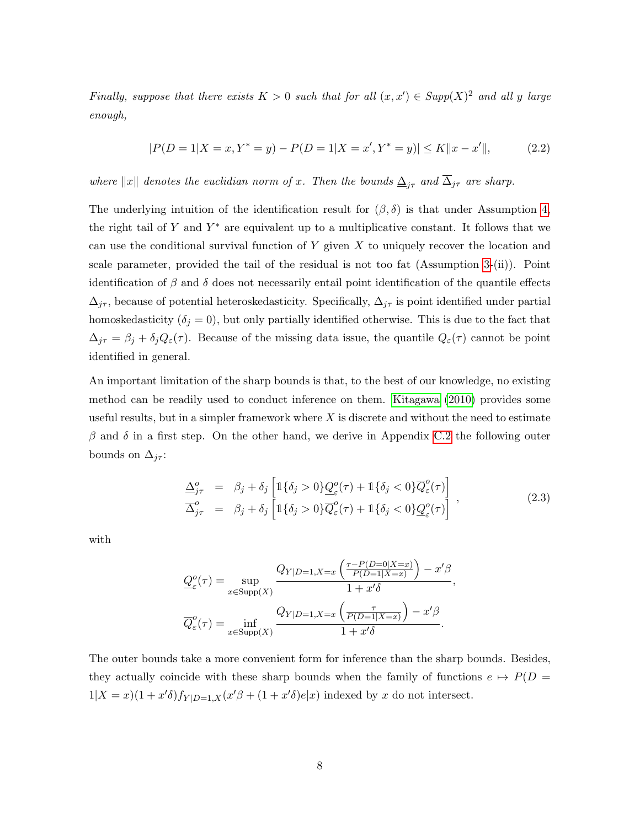Finally, suppose that there exists  $K > 0$  such that for all  $(x, x') \in Supp(X)^2$  and all y large enough,

<span id="page-9-0"></span>
$$
|P(D = 1|X = x, Y^* = y) - P(D = 1|X = x', Y^* = y)| \le K||x - x'||,
$$
\n(2.2)

where  $||x||$  denotes the euclidian norm of x. Then the bounds  $\Delta_{j\tau}$  and  $\overline{\Delta}_{j\tau}$  are sharp.

The underlying intuition of the identification result for  $(\beta, \delta)$  is that under Assumption [4,](#page-7-3) the right tail of Y and  $Y^*$  are equivalent up to a multiplicative constant. It follows that we can use the conditional survival function of  $Y$  given  $X$  to uniquely recover the location and scale parameter, provided the tail of the residual is not too fat (Assumption [3-](#page-7-2)(ii)). Point identification of  $\beta$  and  $\delta$  does not necessarily entail point identification of the quantile effects  $\Delta_{j\tau}$ , because of potential heteroskedasticity. Specifically,  $\Delta_{j\tau}$  is point identified under partial homoskedasticity  $(\delta_j = 0)$ , but only partially identified otherwise. This is due to the fact that  $\Delta_{j\tau} = \beta_j + \delta_j Q_{\varepsilon}(\tau)$ . Because of the missing data issue, the quantile  $Q_{\varepsilon}(\tau)$  cannot be point identified in general.

An important limitation of the sharp bounds is that, to the best of our knowledge, no existing method can be readily used to conduct inference on them. [Kitagawa \(2010\)](#page-36-11) provides some useful results, but in a simpler framework where  $X$  is discrete and without the need to estimate  $\beta$  and  $\delta$  in a first step. On the other hand, we derive in Appendix [C.2](#page-48-0) the following outer bounds on  $\Delta_{i\tau}$ :

<span id="page-9-1"></span>
$$
\underline{\Delta}_{j\tau}^o = \beta_j + \delta_j \left[ \mathbb{1}\{\delta_j > 0\} \underline{Q}_{\varepsilon}^o(\tau) + \mathbb{1}\{\delta_j < 0\} \overline{Q}_{\varepsilon}^o(\tau) \right] \n\overline{\Delta}_{j\tau}^o = \beta_j + \delta_j \left[ \mathbb{1}\{\delta_j > 0\} \overline{Q}_{\varepsilon}^o(\tau) + \mathbb{1}\{\delta_j < 0\} \underline{Q}_{\varepsilon}^o(\tau) \right],
$$
\n(2.3)

with

$$
Q_{\varepsilon}^{o}(\tau) = \sup_{x \in \text{Supp}(X)} \frac{Q_{Y|D=1, X=x} \left( \frac{\tau - P(D=0|X=x)}{P(D=1|X=x)} \right) - x'\beta}{1 + x'\delta},
$$

$$
\overline{Q}_{\varepsilon}^{o}(\tau) = \inf_{x \in \text{Supp}(X)} \frac{Q_{Y|D=1, X=x} \left( \frac{\tau}{P(D=1|X=x)} \right) - x'\beta}{1 + x'\delta}.
$$

The outer bounds take a more convenient form for inference than the sharp bounds. Besides, they actually coincide with these sharp bounds when the family of functions  $e \mapsto P(D =$  $1|X=x(1+x'\delta)f_{Y|D=1,X}(x'\beta+(1+x'\delta)e|x)$  indexed by x do not intersect.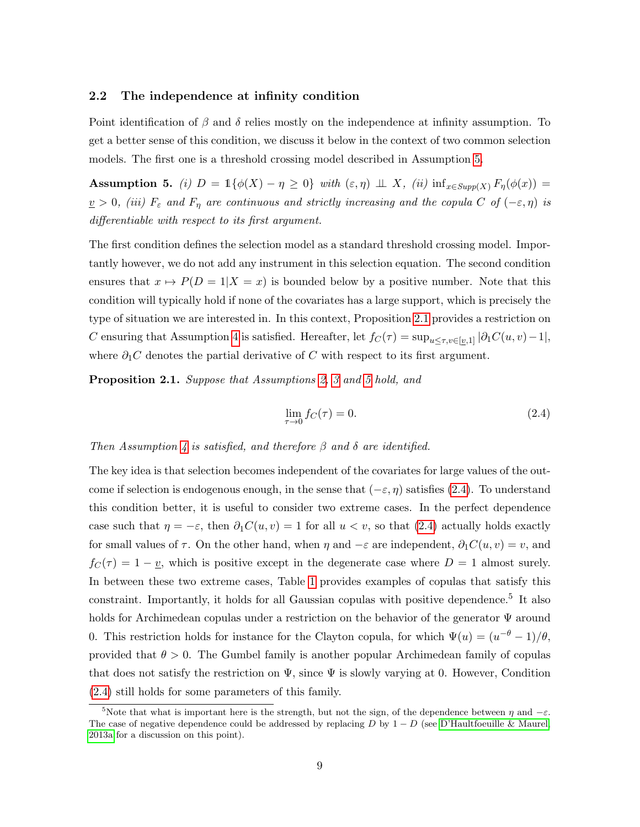#### 2.2 The independence at infinity condition

Point identification of  $\beta$  and  $\delta$  relies mostly on the independence at infinity assumption. To get a better sense of this condition, we discuss it below in the context of two common selection models. The first one is a threshold crossing model described in Assumption [5.](#page-10-0)

<span id="page-10-0"></span>Assumption 5. (i)  $D = \mathbb{1}\{\phi(X) - \eta \geq 0\}$  with  $(\varepsilon, \eta) \perp X$ , (ii)  $\inf_{x \in Supp(X)} F_{\eta}(\phi(x)) =$  $\underline{v} > 0$ , (iii)  $F_{\varepsilon}$  and  $F_{\eta}$  are continuous and strictly increasing and the copula C of  $(-\varepsilon, \eta)$  is differentiable with respect to its first argument.

The first condition defines the selection model as a standard threshold crossing model. Importantly however, we do not add any instrument in this selection equation. The second condition ensures that  $x \mapsto P(D = 1|X = x)$  is bounded below by a positive number. Note that this condition will typically hold if none of the covariates has a large support, which is precisely the type of situation we are interested in. In this context, Proposition [2.1](#page-10-1) provides a restriction on C ensuring that Assumption [4](#page-7-3) is satisfied. Hereafter, let  $f_C(\tau) = \sup_{u \leq \tau, v \in [v,1]} |\partial_1 C(u,v) - 1|$ , where  $\partial_1 C$  denotes the partial derivative of C with respect to its first argument.

<span id="page-10-1"></span>Proposition 2.1. Suppose that Assumptions [2,](#page-7-1) [3](#page-7-2) and [5](#page-10-0) hold, and

<span id="page-10-2"></span>
$$
\lim_{\tau \to 0} f_C(\tau) = 0. \tag{2.4}
$$

Then Assumption [4](#page-7-3) is satisfied, and therefore  $\beta$  and  $\delta$  are identified.

The key idea is that selection becomes independent of the covariates for large values of the outcome if selection is endogenous enough, in the sense that  $(-\varepsilon, \eta)$  satisfies [\(2.4\)](#page-10-2). To understand this condition better, it is useful to consider two extreme cases. In the perfect dependence case such that  $\eta = -\varepsilon$ , then  $\partial_1 C(u, v) = 1$  for all  $u < v$ , so that [\(2.4\)](#page-10-2) actually holds exactly for small values of  $\tau$ . On the other hand, when  $\eta$  and  $-\varepsilon$  are independent,  $\partial_1 C(u, v) = v$ , and  $f_C(\tau) = 1 - \underline{v}$ , which is positive except in the degenerate case where  $D = 1$  almost surely. In between these two extreme cases, Table [1](#page-11-0) provides examples of copulas that satisfy this  $\alpha$  constraint. Importantly, it holds for all Gaussian copulas with positive dependence.<sup>5</sup> It also holds for Archimedean copulas under a restriction on the behavior of the generator Ψ around 0. This restriction holds for instance for the Clayton copula, for which  $\Psi(u) = (u^{-\theta} - 1)/\theta$ , provided that  $\theta > 0$ . The Gumbel family is another popular Archimedean family of copulas that does not satisfy the restriction on  $\Psi$ , since  $\Psi$  is slowly varying at 0. However, Condition [\(2.4\)](#page-10-2) still holds for some parameters of this family.

<sup>&</sup>lt;sup>5</sup>Note that what is important here is the strength, but not the sign, of the dependence between  $\eta$  and  $-\varepsilon$ . The case of negative dependence could be addressed by replacing D by  $1 - D$  (see [D'Haultfoeuille & Maurel,](#page-35-2) [2013a](#page-35-2) for a discussion on this point).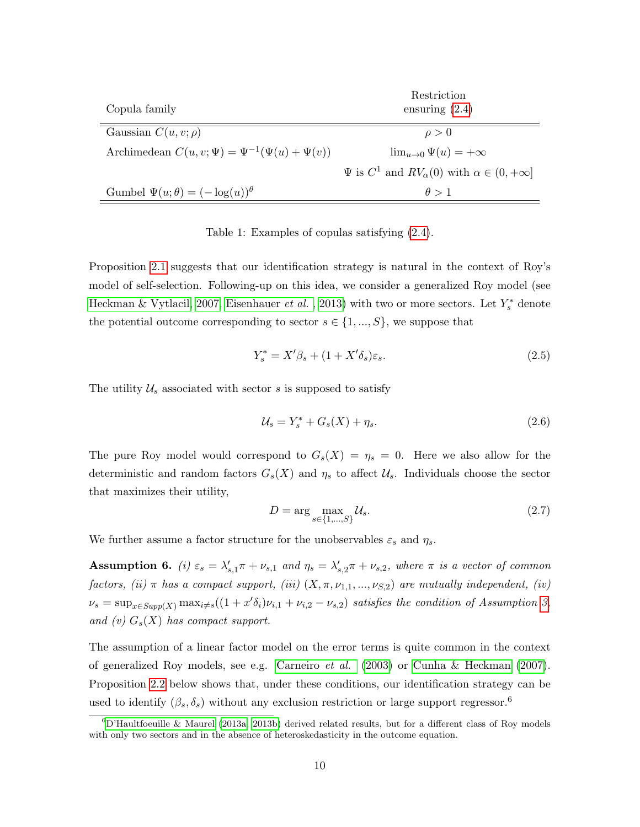<span id="page-11-0"></span>

| Copula family                                              | Restriction<br>ensuring $(2.4)$                                   |
|------------------------------------------------------------|-------------------------------------------------------------------|
| Gaussian $C(u, v; \rho)$                                   | $\rho > 0$                                                        |
| Archimedean $C(u, v; \Psi) = \Psi^{-1}(\Psi(u) + \Psi(v))$ | $\lim_{u\to 0}\Psi(u)=+\infty$                                    |
|                                                            | $\Psi$ is $C^1$ and $RV_\alpha(0)$ with $\alpha \in (0, +\infty]$ |
| Gumbel $\Psi(u; \theta) = (-\log(u))^\theta$               | $\theta > 1$                                                      |

Table 1: Examples of copulas satisfying [\(2.4\)](#page-10-2).

Proposition [2.1](#page-10-1) suggests that our identification strategy is natural in the context of Roy's model of self-selection. Following-up on this idea, we consider a generalized Roy model (see [Heckman & Vytlacil, 2007,](#page-36-12) [Eisenhauer](#page-36-13) *et al.*, [2013\)](#page-36-13) with two or more sectors. Let  $Y^*_s$  denote the potential outcome corresponding to sector  $s \in \{1, ..., S\}$ , we suppose that

<span id="page-11-2"></span>
$$
Y_s^* = X'\beta_s + (1 + X'\delta_s)\varepsilon_s. \tag{2.5}
$$

The utility  $\mathcal{U}_s$  associated with sector s is supposed to satisfy

$$
\mathcal{U}_s = Y_s^* + G_s(X) + \eta_s. \tag{2.6}
$$

The pure Roy model would correspond to  $G_s(X) = \eta_s = 0$ . Here we also allow for the deterministic and random factors  $G_s(X)$  and  $\eta_s$  to affect  $\mathcal{U}_s$ . Individuals choose the sector that maximizes their utility,

<span id="page-11-3"></span>
$$
D = \arg\max_{s \in \{1,\dots,S\}} \mathcal{U}_s. \tag{2.7}
$$

<span id="page-11-4"></span>We further assume a factor structure for the unobservables  $\varepsilon_s$  and  $\eta_s$ .

**Assumption 6.** (i)  $\varepsilon_s = \lambda'_{s,1}\pi + \nu_{s,1}$  and  $\eta_s = \lambda'_{s,2}\pi + \nu_{s,2}$ , where  $\pi$  is a vector of common factors, (ii)  $\pi$  has a compact support, (iii)  $(X, \pi, \nu_{1,1}, ..., \nu_{S,2})$  are mutually independent, (iv)  $\nu_s = \sup_{x \in Supp(X)} \max_{i \neq s} ((1 + x'\delta_i)\nu_{i,1} + \nu_{i,2} - \nu_{s,2})$  satisfies the condition of Assumption [3,](#page-7-2) and (v)  $G_s(X)$  has compact support.

The assumption of a linear factor model on the error terms is quite common in the context of generalized Roy models, see e.g. [Carneiro](#page-35-9) et al. [\(2003\)](#page-35-9) or [Cunha & Heckman \(2007\)](#page-35-10). Proposition [2.2](#page-11-1) below shows that, under these conditions, our identification strategy can be used to identify  $(\beta_s, \delta_s)$  without any exclusion restriction or large support regressor.<sup>6</sup>

<span id="page-11-1"></span> ${}^{6}D'$ Haultfoeuille & Maurel [\(2013a,](#page-35-2) [2013b\)](#page-35-11) derived related results, but for a different class of Roy models with only two sectors and in the absence of heteroskedasticity in the outcome equation.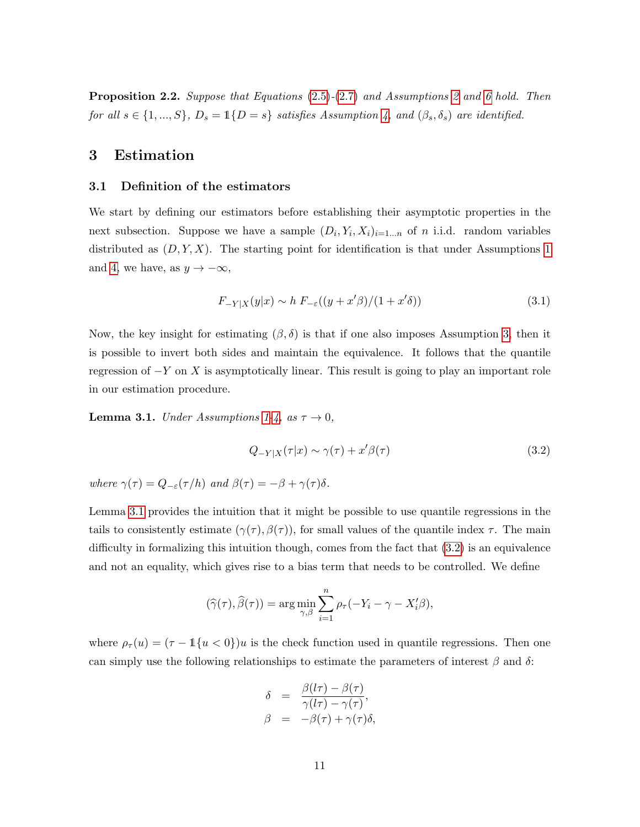**Proposition [2](#page-7-1).2.** Suppose that Equations  $(2.5)-(2.7)$  $(2.5)-(2.7)$  $(2.5)-(2.7)$  and Assumptions 2 and [6](#page-11-4) hold. Then for all  $s \in \{1, ..., S\}$ ,  $D_s = \mathbb{1}{D = s}$  satisfies Assumption [4,](#page-7-3) and  $(\beta_s, \delta_s)$  are identified.

## 3 Estimation

#### 3.1 Definition of the estimators

We start by defining our estimators before establishing their asymptotic properties in the next subsection. Suppose we have a sample  $(D_i, Y_i, X_i)_{i=1...n}$  of n i.i.d. random variables distributed as  $(D, Y, X)$ . The starting point for identification is that under Assumptions [1](#page-7-0) and [4,](#page-7-3) we have, as  $y \to -\infty$ ,

<span id="page-12-1"></span>
$$
F_{-Y|X}(y|x) \sim h \ F_{-\varepsilon}((y+x'\beta)/(1+x'\delta)) \tag{3.1}
$$

Now, the key insight for estimating  $(\beta, \delta)$  is that if one also imposes Assumption [3,](#page-7-2) then it is possible to invert both sides and maintain the equivalence. It follows that the quantile regression of  $-Y$  on X is asymptotically linear. This result is going to play an important role in our estimation procedure.

**Lemma 3.1.** Under Assumptions [1](#page-7-0)[-4,](#page-7-3) as  $\tau \to 0$ ,

<span id="page-12-0"></span>
$$
Q_{-Y|X}(\tau|x) \sim \gamma(\tau) + x'\beta(\tau) \tag{3.2}
$$

where  $\gamma(\tau) = Q_{-\varepsilon}(\tau/h)$  and  $\beta(\tau) = -\beta + \gamma(\tau)\delta$ .

Lemma [3.1](#page-12-0) provides the intuition that it might be possible to use quantile regressions in the tails to consistently estimate  $(\gamma(\tau), \beta(\tau))$ , for small values of the quantile index  $\tau$ . The main difficulty in formalizing this intuition though, comes from the fact that [\(3.2\)](#page-12-0) is an equivalence and not an equality, which gives rise to a bias term that needs to be controlled. We define

$$
(\widehat{\gamma}(\tau), \widehat{\beta}(\tau)) = \arg\min_{\gamma, \beta} \sum_{i=1}^{n} \rho_{\tau}(-Y_i - \gamma - X_i'\beta),
$$

where  $\rho_{\tau}(u) = (\tau - \mathbb{1}\{u < 0\})u$  is the check function used in quantile regressions. Then one can simply use the following relationships to estimate the parameters of interest  $\beta$  and  $\delta$ :

$$
\delta = \frac{\beta(l\tau) - \beta(\tau)}{\gamma(l\tau) - \gamma(\tau)},
$$
  

$$
\beta = -\beta(\tau) + \gamma(\tau)\delta,
$$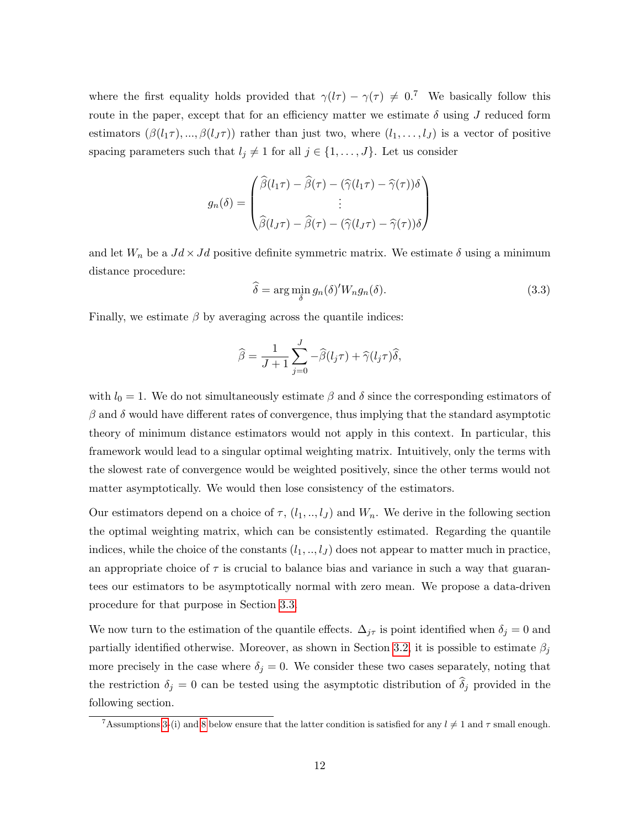where the first equality holds provided that  $\gamma(l\tau) - \gamma(\tau) \neq 0$ .<sup>7</sup> We basically follow this route in the paper, except that for an efficiency matter we estimate  $\delta$  using J reduced form estimators  $(\beta(l_1\tau), ..., \beta(l_J\tau))$  rather than just two, where  $(l_1, ..., l_J)$  is a vector of positive spacing parameters such that  $l_j \neq 1$  for all  $j \in \{1, \ldots, J\}$ . Let us consider

$$
g_n(\delta) = \begin{pmatrix} \widehat{\beta}(l_1\tau) - \widehat{\beta}(\tau) - (\widehat{\gamma}(l_1\tau) - \widehat{\gamma}(\tau))\delta \\ \vdots \\ \widehat{\beta}(l_J\tau) - \widehat{\beta}(\tau) - (\widehat{\gamma}(l_J\tau) - \widehat{\gamma}(\tau))\delta \end{pmatrix}
$$

and let  $W_n$  be a  $Jd \times Jd$  positive definite symmetric matrix. We estimate  $\delta$  using a minimum distance procedure:

<span id="page-13-0"></span>
$$
\widehat{\delta} = \arg\min_{\delta} g_n(\delta)' W_n g_n(\delta). \tag{3.3}
$$

Finally, we estimate  $\beta$  by averaging across the quantile indices:

$$
\widehat{\beta} = \frac{1}{J+1} \sum_{j=0}^{J} -\widehat{\beta}(l_j \tau) + \widehat{\gamma}(l_j \tau) \widehat{\delta},
$$

with  $l_0 = 1$ . We do not simultaneously estimate  $\beta$  and  $\delta$  since the corresponding estimators of  $β$  and  $δ$  would have different rates of convergence, thus implying that the standard asymptotic theory of minimum distance estimators would not apply in this context. In particular, this framework would lead to a singular optimal weighting matrix. Intuitively, only the terms with the slowest rate of convergence would be weighted positively, since the other terms would not matter asymptotically. We would then lose consistency of the estimators.

Our estimators depend on a choice of  $\tau$ ,  $(l_1, ..., l_J)$  and  $W_n$ . We derive in the following section the optimal weighting matrix, which can be consistently estimated. Regarding the quantile indices, while the choice of the constants  $(l_1, ..., l_J)$  does not appear to matter much in practice, an appropriate choice of  $\tau$  is crucial to balance bias and variance in such a way that guarantees our estimators to be asymptotically normal with zero mean. We propose a data-driven procedure for that purpose in Section [3.3.](#page-19-0)

We now turn to the estimation of the quantile effects.  $\Delta_{j\tau}$  is point identified when  $\delta_j = 0$  and partially identified otherwise. Moreover, as shown in Section [3.2,](#page-14-0) it is possible to estimate  $\beta_j$ more precisely in the case where  $\delta_j = 0$ . We consider these two cases separately, noting that the restriction  $\delta_j = 0$  can be tested using the asymptotic distribution of  $\hat{\delta}_j$  provided in the following section.

<sup>&</sup>lt;sup>7</sup>Assumptions [3-](#page-7-2)(i) and [8](#page-15-0) below ensure that the latter condition is satisfied for any  $l \neq 1$  and  $\tau$  small enough.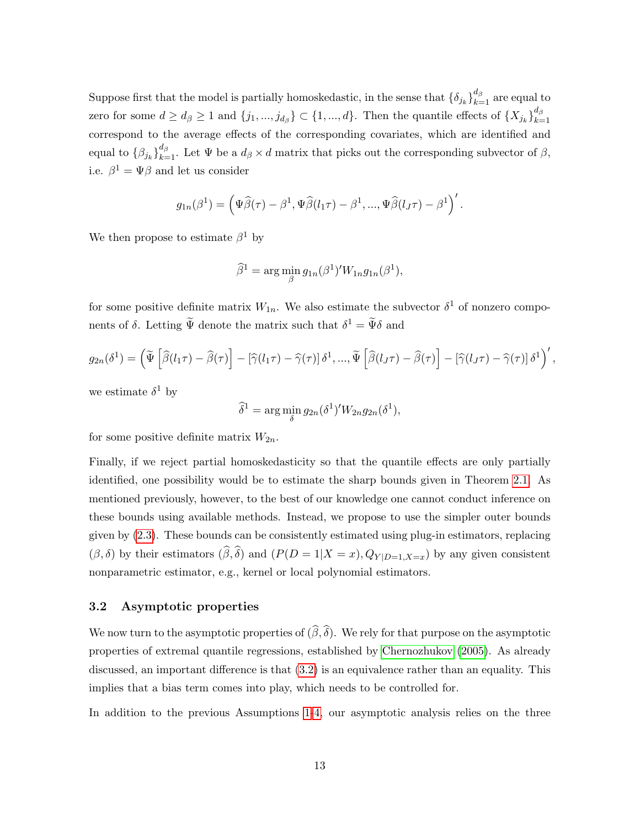Suppose first that the model is partially homoskedastic, in the sense that  $\{\delta_{j_k}\}_{k=1}^{d_\beta}$  are equal to zero for some  $d \geq d_{\beta} \geq 1$  and  $\{j_1, ..., j_{d_{\beta}}\} \subset \{1, ..., d\}$ . Then the quantile effects of  $\{X_{j_k}\}_{k=1}^{d_{\beta}}$  $_{k=1}$ correspond to the average effects of the corresponding covariates, which are identified and equal to  $\{\beta_{j_k}\}_{k=1}^{d_{\beta}}$ . Let  $\Psi$  be a  $d_{\beta} \times d$  matrix that picks out the corresponding subvector of  $\beta$ , i.e.  $\beta^1 = \Psi \beta$  and let us consider

$$
g_{1n}(\beta^1) = \left(\Psi\widehat{\beta}(\tau) - \beta^1, \Psi\widehat{\beta}(l_1\tau) - \beta^1, ..., \Psi\widehat{\beta}(l_J\tau) - \beta^1\right)'.
$$

We then propose to estimate  $\beta^1$  by

$$
\widehat{\beta}^1 = \arg\min_{\beta} g_{1n}(\beta^1)' W_{1n} g_{1n}(\beta^1),
$$

for some positive definite matrix  $W_{1n}$ . We also estimate the subvector  $\delta^1$  of nonzero components of  $\delta$ . Letting  $\tilde{\Psi}$  denote the matrix such that  $\delta^1 = \tilde{\Psi}\delta$  and

$$
g_{2n}(\delta^1) = \left(\widetilde{\Psi}\left[\widehat{\beta}(l_1\tau) - \widehat{\beta}(\tau)\right] - \left[\widehat{\gamma}(l_1\tau) - \widehat{\gamma}(\tau)\right]\delta^1, ..., \widetilde{\Psi}\left[\widehat{\beta}(l_J\tau) - \widehat{\beta}(\tau)\right] - \left[\widehat{\gamma}(l_J\tau) - \widehat{\gamma}(\tau)\right]\delta^1\right)',
$$

we estimate  $\delta^1$  by

$$
\widehat{\delta}^1 = \arg\min_{\delta} g_{2n}(\delta^1)' W_{2n} g_{2n}(\delta^1),
$$

for some positive definite matrix  $W_{2n}$ .

Finally, if we reject partial homoskedasticity so that the quantile effects are only partially identified, one possibility would be to estimate the sharp bounds given in Theorem [2.1.](#page-9-0) As mentioned previously, however, to the best of our knowledge one cannot conduct inference on these bounds using available methods. Instead, we propose to use the simpler outer bounds given by [\(2.3\)](#page-9-1). These bounds can be consistently estimated using plug-in estimators, replacing  $(\beta, \delta)$  by their estimators  $(\widehat{\beta}, \widehat{\delta})$  and  $(P(D = 1 | X = x), Q_{Y|D=1,X=x})$  by any given consistent nonparametric estimator, e.g., kernel or local polynomial estimators.

#### <span id="page-14-0"></span>3.2 Asymptotic properties

We now turn to the asymptotic properties of  $(\widehat{\beta}, \widehat{\delta})$ . We rely for that purpose on the asymptotic properties of extremal quantile regressions, established by [Chernozhukov \(2005\)](#page-35-3). As already discussed, an important difference is that [\(3.2\)](#page-12-0) is an equivalence rather than an equality. This implies that a bias term comes into play, which needs to be controlled for.

In addition to the previous Assumptions [1-](#page-7-0)[4,](#page-7-3) our asymptotic analysis relies on the three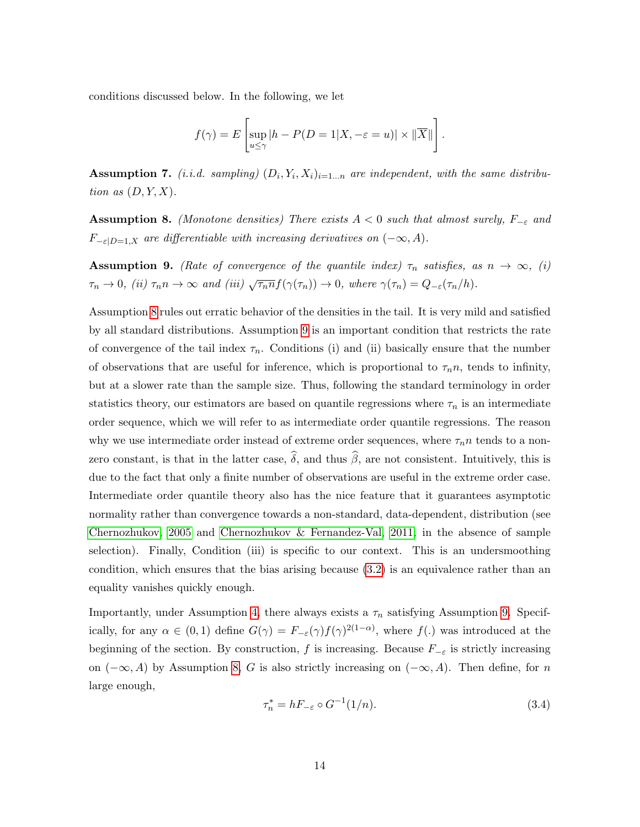conditions discussed below. In the following, we let

$$
f(\gamma) = E\left[\sup_{u \le \gamma} |h - P(D = 1|X, -\varepsilon = u)| \times ||\overline{X}||\right].
$$

<span id="page-15-2"></span>**Assumption 7.** (i.i.d. sampling)  $(D_i, Y_i, X_i)_{i=1...n}$  are independent, with the same distribution as  $(D, Y, X)$ .

<span id="page-15-0"></span>**Assumption 8.** (Monotone densities) There exists  $A < 0$  such that almost surely,  $F_{-\varepsilon}$  and  $F_{-\varepsilon|D=1,X}$  are differentiable with increasing derivatives on  $(-\infty, A)$ .

<span id="page-15-1"></span>**Assumption 9.** (Rate of convergence of the quantile index)  $\tau_n$  satisfies, as  $n \to \infty$ , (i)  $\tau_n \to 0$ , (ii)  $\tau_n n \to \infty$  and (iii)  $\sqrt{\tau_n n} f(\gamma(\tau_n)) \to 0$ , where  $\gamma(\tau_n) = Q_{-\varepsilon}(\tau_n/h)$ .

Assumption [8](#page-15-0) rules out erratic behavior of the densities in the tail. It is very mild and satisfied by all standard distributions. Assumption [9](#page-15-1) is an important condition that restricts the rate of convergence of the tail index  $\tau_n$ . Conditions (i) and (ii) basically ensure that the number of observations that are useful for inference, which is proportional to  $\tau_n n$ , tends to infinity, but at a slower rate than the sample size. Thus, following the standard terminology in order statistics theory, our estimators are based on quantile regressions where  $\tau_n$  is an intermediate order sequence, which we will refer to as intermediate order quantile regressions. The reason why we use intermediate order instead of extreme order sequences, where  $\tau_n n$  tends to a nonzero constant, is that in the latter case,  $\widehat{\delta}$ , and thus  $\widehat{\beta}$ , are not consistent. Intuitively, this is due to the fact that only a finite number of observations are useful in the extreme order case. Intermediate order quantile theory also has the nice feature that it guarantees asymptotic normality rather than convergence towards a non-standard, data-dependent, distribution (see [Chernozhukov, 2005](#page-35-3) and [Chernozhukov & Fernandez-Val, 2011,](#page-35-6) in the absence of sample selection). Finally, Condition (iii) is specific to our context. This is an undersmoothing condition, which ensures that the bias arising because [\(3.2\)](#page-12-0) is an equivalence rather than an equality vanishes quickly enough.

Importantly, under Assumption [4,](#page-7-3) there always exists a  $\tau_n$  satisfying Assumption [9.](#page-15-1) Specifically, for any  $\alpha \in (0,1)$  define  $G(\gamma) = F_{-\varepsilon}(\gamma) f(\gamma)^{2(1-\alpha)}$ , where  $f(.)$  was introduced at the beginning of the section. By construction, f is increasing. Because  $F_{-\varepsilon}$  is strictly increasing on  $(-\infty, A)$  by Assumption [8,](#page-15-0) G is also strictly increasing on  $(-\infty, A)$ . Then define, for n large enough,

<span id="page-15-3"></span>
$$
\tau_n^* = hF_{-\varepsilon} \circ G^{-1}(1/n). \tag{3.4}
$$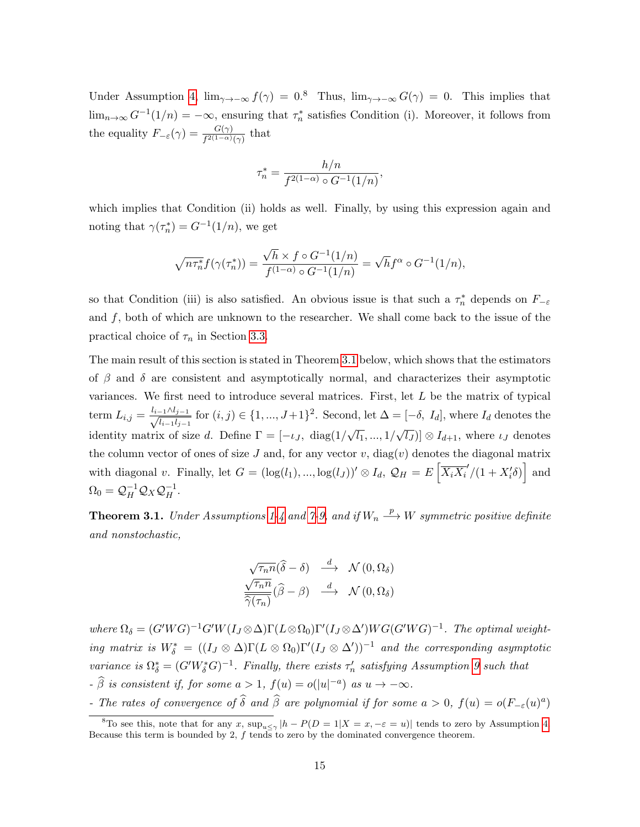Under Assumption [4,](#page-7-3)  $\lim_{\gamma \to -\infty} f(\gamma) = 0$ .<sup>8</sup> Thus,  $\lim_{\gamma \to -\infty} G(\gamma) = 0$ . This implies that  $\lim_{n\to\infty} G^{-1}(1/n) = -\infty$ , ensuring that  $\tau_n^*$  satisfies Condition (i). Moreover, it follows from the equality  $F_{-\varepsilon}(\gamma) = \frac{G(\gamma)}{f^{2(1-\alpha)}(\gamma)}$  that

$$
\tau_n^* = \frac{h/n}{f^{2(1-\alpha)} \circ G^{-1}(1/n)},
$$

which implies that Condition (ii) holds as well. Finally, by using this expression again and noting that  $\gamma(\tau_n^*) = G^{-1}(1/n)$ , we get

$$
\sqrt{n \tau_n^*} f(\gamma(\tau_n^*)) = \frac{\sqrt{h} \times f \circ G^{-1}(1/n)}{f^{(1-\alpha)} \circ G^{-1}(1/n)} = \sqrt{h} f^{\alpha} \circ G^{-1}(1/n),
$$

so that Condition (iii) is also satisfied. An obvious issue is that such a  $\tau_n^*$  depends on  $F_{-\varepsilon}$ and  $f$ , both of which are unknown to the researcher. We shall come back to the issue of the practical choice of  $\tau_n$  in Section [3.3.](#page-19-0)

The main result of this section is stated in Theorem [3.1](#page-16-0) below, which shows that the estimators of  $\beta$  and  $\delta$  are consistent and asymptotically normal, and characterizes their asymptotic variances. We first need to introduce several matrices. First, let  $L$  be the matrix of typical term  $L_{i,j} = \frac{l_{i-1} \wedge l_{j-1}}{l_{i-1}l_{i-1}}$  $\frac{1-\lambda\lambda_{j-1}}{l_{i-1}l_{j-1}}$  for  $(i, j) \in \{1, ..., J+1\}^2$ . Second, let  $\Delta = [-\delta, I_d]$ , where  $I_d$  denotes the identity matrix of size d. Define  $\Gamma = [-\iota_J, \text{ diag}(1/\sqrt{2})]$ √  $\overline{l_{1}},...,1/$ √  $\overline{l_J})] \otimes I_{d+1}$ , where  $\iota_J$  denotes the column vector of ones of size  $J$  and, for any vector  $v$ , diag( $v$ ) denotes the diagonal matrix with diagonal v. Finally, let  $G = (\log(l_1), ..., \log(l_J))' \otimes I_d$ ,  $\mathcal{Q}_H = E\left[\overline{X_i X_i}'/(1 + X_i' \delta)\right]$  and  $\Omega_0 = \mathcal{Q}_H^{-1} \mathcal{Q}_X \mathcal{Q}_H^{-1}.$ 

<span id="page-16-0"></span>**Theorem 3.1.** Under Assumptions [1-](#page-7-0)[4](#page-7-3) and [7-](#page-15-2)[9,](#page-15-1) and if  $W_n \stackrel{p}{\longrightarrow} W$  symmetric positive definite and nonstochastic,

$$
\frac{\sqrt{\tau_n n}}{\sqrt{\tau_n n}}(\widehat{\delta} - \delta) \xrightarrow{d} \mathcal{N}(0, \Omega_{\delta})
$$
  

$$
\frac{\sqrt{\tau_n n}}{\widehat{\gamma}(\tau_n)}(\widehat{\beta} - \beta) \xrightarrow{d} \mathcal{N}(0, \Omega_{\delta})
$$

where  $\Omega_{\delta} = (G'WG)^{-1}G'W(I_J \otimes \Delta)\Gamma(L \otimes \Omega_0)\Gamma'(I_J \otimes \Delta')WG(G'WG)^{-1}$ . The optimal weighting matrix is  $W^*_{\delta} = ((I_J \otimes \Delta) \Gamma(L \otimes \Omega_0) \Gamma'(I_J \otimes \Delta'))^{-1}$  and the corresponding asymptotic variance is  $\Omega_{\delta}^* = (G'W_{\delta}^*G)^{-1}$ . Finally, there exists  $\tau_n'$  satisfying Assumption [9](#page-15-1) such that -  $\widehat{\beta}$  is consistent if, for some  $a > 1$ ,  $f(u) = o(|u|^{-a})$  as  $u \to -\infty$ .

- The rates of convergence of  $\widehat{\delta}$  and  $\widehat{\beta}$  are polynomial if for some  $a > 0$ ,  $f(u) = o(F_{-\varepsilon}(u)^a)$ 

<sup>&</sup>lt;sup>8</sup>To see this, note that for any x,  $\sup_{u \le \gamma} |h - P(D = 1|X = x, -\varepsilon = u)|$  tends to zero by Assumption [4.](#page-7-3) Because this term is bounded by  $2, f$  tends to zero by the dominated convergence theorem.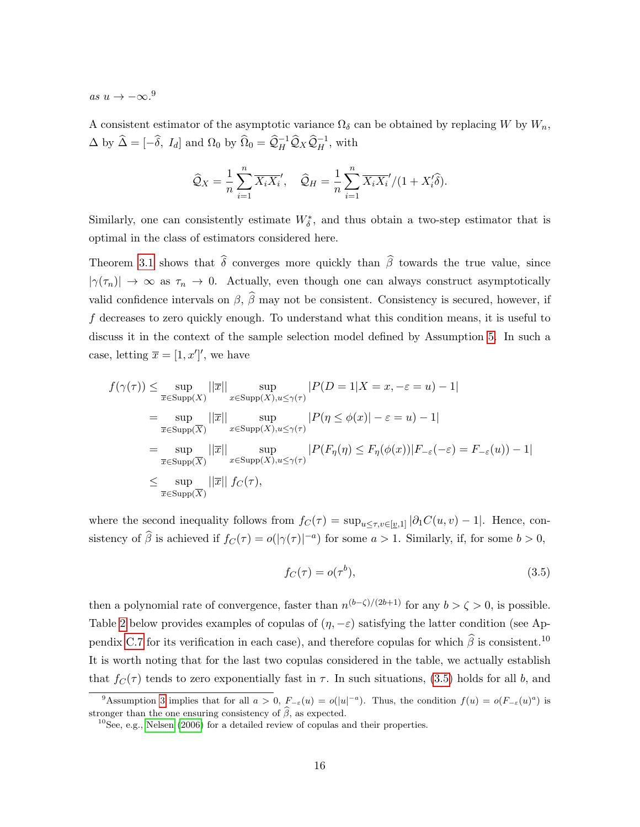as  $u \to -\infty$ .<sup>9</sup>

A consistent estimator of the asymptotic variance  $\Omega_{\delta}$  can be obtained by replacing W by  $W_n$ ,  $\Delta$  by  $\widehat{\Delta} = [-\widehat{\delta}, I_d]$  and  $\Omega_0$  by  $\widehat{\Omega}_0 = \widehat{\mathcal{Q}}_H^{-1} \widehat{\mathcal{Q}}_X \widehat{\mathcal{Q}}_H^{-1}$ , with

$$
\widehat{Q}_X = \frac{1}{n} \sum_{i=1}^n \overline{X_i} \overline{X_i}', \quad \widehat{Q}_H = \frac{1}{n} \sum_{i=1}^n \overline{X_i} \overline{X_i}' / (1 + X_i'\widehat{\delta}).
$$

Similarly, one can consistently estimate  $W^*_{\delta}$ , and thus obtain a two-step estimator that is optimal in the class of estimators considered here.

Theorem [3.1](#page-16-0) shows that  $\hat{\delta}$  converges more quickly than  $\hat{\beta}$  towards the true value, since  $|\gamma(\tau_n)| \to \infty$  as  $\tau_n \to 0$ . Actually, even though one can always construct asymptotically valid confidence intervals on  $\beta$ ,  $\widehat{\beta}$  may not be consistent. Consistency is secured, however, if f decreases to zero quickly enough. To understand what this condition means, it is useful to discuss it in the context of the sample selection model defined by Assumption [5.](#page-10-0) In such a case, letting  $\bar{x} = [1, x']'$ , we have

$$
f(\gamma(\tau)) \le \sup_{\overline{x} \in \text{Supp}(X)} ||\overline{x}|| \sup_{x \in \text{Supp}(X), u \le \gamma(\tau)} |P(D = 1|X = x, -\varepsilon = u) - 1|
$$
  
\n
$$
= \sup_{\overline{x} \in \text{Supp}(\overline{X})} ||\overline{x}|| \sup_{x \in \text{Supp}(X), u \le \gamma(\tau)} |P(\eta \le \phi(x)| - \varepsilon = u) - 1|
$$
  
\n
$$
= \sup_{\overline{x} \in \text{Supp}(\overline{X})} ||\overline{x}|| \sup_{x \in \text{Supp}(X), u \le \gamma(\tau)} |P(F_{\eta}(\eta) \le F_{\eta}(\phi(x))|F_{-\varepsilon}(-\varepsilon) = F_{-\varepsilon}(u)) - 1|
$$
  
\n
$$
\le \sup_{\overline{x} \in \text{Supp}(\overline{X})} ||\overline{x}|| f_C(\tau),
$$

where the second inequality follows from  $f_C(\tau) = \sup_{u \leq \tau, v \in [v,1]} |\partial_1 C(u, v) - 1|$ . Hence, consistency of  $\widehat{\beta}$  is achieved if  $f_C(\tau) = o(|\gamma(\tau)|^{-a})$  for some  $a > 1$ . Similarly, if, for some  $b > 0$ ,

<span id="page-17-0"></span>
$$
f_C(\tau) = o(\tau^b),\tag{3.5}
$$

then a polynomial rate of convergence, faster than  $n^{(b-\zeta)/(2b+1)}$  for any  $b > \zeta > 0$ , is possible. Table [2](#page-18-0) below provides examples of copulas of  $(\eta, -\varepsilon)$  satisfying the latter condition (see Ap-pendix [C.7](#page-56-0) for its verification in each case), and therefore copulas for which  $\widehat{\beta}$  is consistent.<sup>10</sup> It is worth noting that for the last two copulas considered in the table, we actually establish that  $f_C(\tau)$  tends to zero exponentially fast in  $\tau$ . In such situations, [\(3.5\)](#page-17-0) holds for all b, and

<sup>&</sup>lt;sup>9</sup>Assumption [3](#page-7-2) implies that for all  $a > 0$ ,  $F_{-\varepsilon}(u) = o(|u|^{-a})$ . Thus, the condition  $f(u) = o(F_{-\varepsilon}(u)^a)$  is stronger than the one ensuring consistency of  $\widehat{\beta}$ , as expected.

<sup>10</sup>See, e.g., [Nelsen](#page-37-5) [\(2006\)](#page-37-5) for a detailed review of copulas and their properties.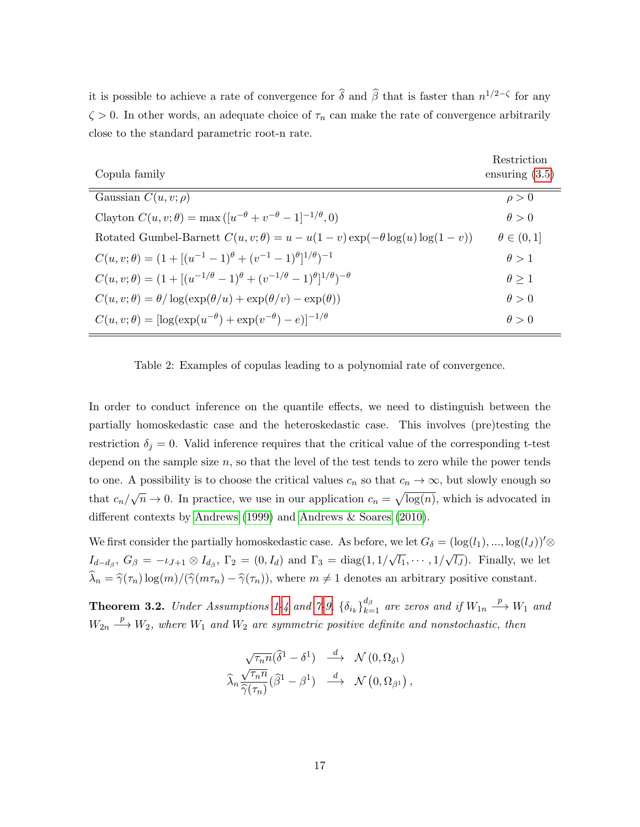it is possible to achieve a rate of convergence for  $\hat{\delta}$  and  $\hat{\beta}$  that is faster than  $n^{1/2-\zeta}$  for any  $\zeta > 0$ . In other words, an adequate choice of  $\tau_n$  can make the rate of convergence arbitrarily close to the standard parametric root-n rate.

<span id="page-18-0"></span>

| Copula family                                                                                                | Restriction<br>ensuring $(3.5)$ |
|--------------------------------------------------------------------------------------------------------------|---------------------------------|
| Gaussian $C(u, v; \rho)$                                                                                     | $\rho > 0$                      |
| Clayton $C(u, v; \theta) = \max([u^{-\theta} + v^{-\theta} - 1]^{-1/\theta}, 0)$                             | $\theta > 0$                    |
| Rotated Gumbel-Barnett $C(u, v; \theta) = u - u(1 - v) \exp(-\theta \log(u) \log(1 - v))$                    | $\theta \in (0,1]$              |
| $C(u, v; \theta) = (1 + [(u^{-1} - 1)^{\theta} + (v^{-1} - 1)^{\theta}]^{1/\theta})^{-1}$                    | $\theta > 1$                    |
| $C(u, v; \theta) = (1 + [(u^{-1/\theta} - 1)^{\theta} + (v^{-1/\theta} - 1)^{\theta}]^{1/\theta})^{-\theta}$ | $\theta > 1$                    |
| $C(u, v; \theta) = \theta / \log(\exp(\theta/u) + \exp(\theta/v) - \exp(\theta))$                            | $\theta > 0$                    |
| $C(u, v; \theta) = [\log(\exp(u^{-\theta}) + \exp(v^{-\theta}) - e)]^{-1/\theta}$                            | $\theta > 0$                    |
|                                                                                                              |                                 |

Table 2: Examples of copulas leading to a polynomial rate of convergence.

In order to conduct inference on the quantile effects, we need to distinguish between the partially homoskedastic case and the heteroskedastic case. This involves (pre)testing the restriction  $\delta_j = 0$ . Valid inference requires that the critical value of the corresponding t-test depend on the sample size  $n$ , so that the level of the test tends to zero while the power tends to one. A possibility is to choose the critical values  $c_n$  so that  $c_n \to \infty$ , but slowly enough so that  $c_n/\sqrt{n} \to 0$ . In practice, we use in our application  $c_n = \sqrt{\log(n)}$ , which is advocated in different contexts by [Andrews \(1999\)](#page-34-7) and [Andrews & Soares \(2010\)](#page-34-8).

We first consider the partially homoskedastic case. As before, we let  $G_{\delta} = (\log(l_1), ..., \log(l_J))' \otimes$  $I_{d-d_{\beta}}$ ,  $G_{\beta} = -\iota_{J+1} \otimes I_{d_{\beta}}$ ,  $\Gamma_2 = (0, I_d)$  and  $\Gamma_3 = \text{diag}(1, 1/\beta)$ √  $\overline{l_1},\cdots,1/$ √  $\overline{lJ}$ ). Finally, we let  $\widehat{\lambda}_n = \widehat{\gamma}(\tau_n) \log(m) / (\widehat{\gamma}(m\tau_n) - \widehat{\gamma}(\tau_n))$ , where  $m \neq 1$  denotes an arbitrary positive constant.

<span id="page-18-1"></span>**Theorem 3.2.** Under Assumptions [1-](#page-7-0)[4](#page-7-3) and [7](#page-15-2)[-9,](#page-15-1)  ${\{\delta_{i_k}\}}_{k=1}^{d_{\beta}}$  are zeros and if  $W_{1n} \stackrel{p}{\longrightarrow} W_1$  and  $W_{2n} \stackrel{p}{\longrightarrow} W_2$ , where  $W_1$  and  $W_2$  are symmetric positive definite and nonstochastic, then

$$
\frac{\sqrt{\tau_n n}(\hat{\delta}^1 - \delta^1)}{\hat{\lambda}_n \frac{\sqrt{\tau_n n}}{\hat{\gamma}(\tau_n)}(\hat{\beta}^1 - \beta^1)} \xrightarrow{d} \mathcal{N}(0, \Omega_{\delta^1}),
$$
  

$$
\frac{\lambda_n \sqrt{\tau_n n}}{\hat{\gamma}(\tau_n)}(\hat{\beta}^1 - \beta^1) \xrightarrow{d} \mathcal{N}(0, \Omega_{\beta^1}),
$$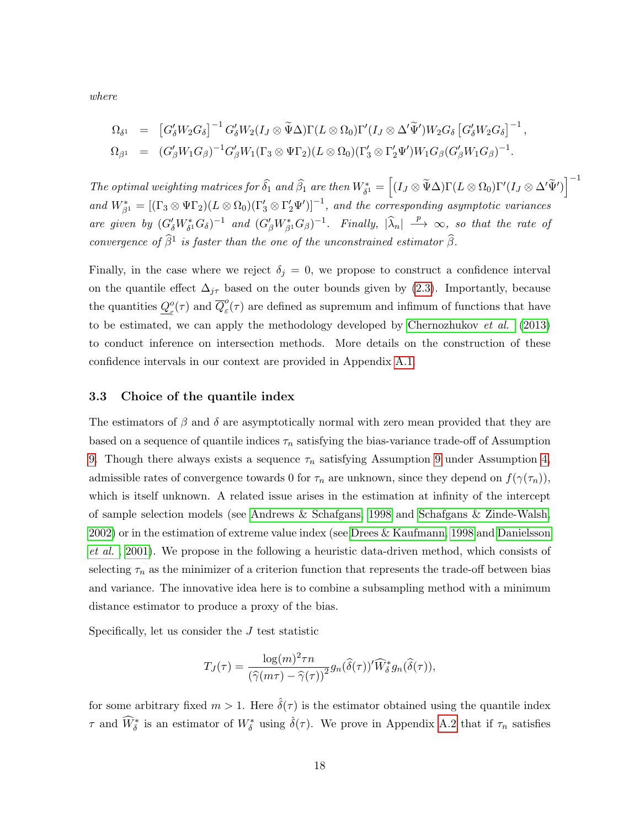where

$$
\begin{array}{rcl}\n\Omega_{\delta^1} & = & \left[ G_{\delta}'W_2G_{\delta} \right]^{-1} G_{\delta}'W_2(I_J \otimes \widetilde{\Psi}\Delta)\Gamma(L \otimes \Omega_0)\Gamma'(I_J \otimes \Delta'\widetilde{\Psi}')W_2G_{\delta} \left[ G_{\delta}'W_2G_{\delta} \right]^{-1}, \\
\Omega_{\beta^1} & = & (G_{\beta}'W_1G_{\beta})^{-1}G_{\beta}'W_1(\Gamma_3 \otimes \Psi\Gamma_2)(L \otimes \Omega_0)(\Gamma_3' \otimes \Gamma_2'\Psi')W_1G_{\beta}(G_{\beta}'W_1G_{\beta})^{-1}.\n\end{array}
$$

The optimal weighting matrices for  $\widehat{\delta_1}$  and  $\widehat{\beta_1}$  are then  $W^*_{\delta^1}=\Big[(I_J\otimes \widetilde{\Psi} \Delta)\Gamma(L\otimes \Omega_0)\Gamma'(I_J\otimes \Delta'\widetilde{\Psi}')\Big]^{-1}$ and  $W^*_{\beta^1} = [(\Gamma_3 \otimes \Psi \Gamma_2)(L \otimes \Omega_0)(\Gamma'_3 \otimes \Gamma'_2 \Psi')]^{-1}$ , and the corresponding asymptotic variances are given by  $(G'_\delta W^*_{\delta^1}G_\delta)^{-1}$  and  $(G'_\beta W^*_{\beta^1}G_\beta)^{-1}$ . Finally,  $|\hat{\lambda}_n| \stackrel{p}{\longrightarrow} \infty$ , so that the rate of convergence of  $\widehat{\beta}^1$  is faster than the one of the unconstrained estimator  $\widehat{\beta}$ .

Finally, in the case where we reject  $\delta_j = 0$ , we propose to construct a confidence interval on the quantile effect  $\Delta_{j\tau}$  based on the outer bounds given by [\(2.3\)](#page-9-1). Importantly, because the quantities  $Q^o_\varepsilon(\tau)$  and  $\overline{Q}^o_\varepsilon$  $\epsilon(\tau)$  are defined as supremum and infimum of functions that have to be estimated, we can apply the methodology developed by [Chernozhukov](#page-35-4) et al. [\(2013\)](#page-35-4) to conduct inference on intersection methods. More details on the construction of these confidence intervals in our context are provided in Appendix [A.1.](#page-38-0)

#### <span id="page-19-0"></span>3.3 Choice of the quantile index

The estimators of  $\beta$  and  $\delta$  are asymptotically normal with zero mean provided that they are based on a sequence of quantile indices  $\tau_n$  satisfying the bias-variance trade-off of Assumption [9.](#page-15-1) Though there always exists a sequence  $\tau_n$  satisfying Assumption [9](#page-15-1) under Assumption [4,](#page-7-3) admissible rates of convergence towards 0 for  $\tau_n$  are unknown, since they depend on  $f(\gamma(\tau_n))$ , which is itself unknown. A related issue arises in the estimation at infinity of the intercept of sample selection models (see [Andrews & Schafgans, 1998](#page-34-3) and [Schafgans & Zinde-Walsh,](#page-37-1) [2002\)](#page-37-1) or in the estimation of extreme value index (see [Drees & Kaufmann, 1998](#page-35-7) and [Danielsson](#page-35-8) [et al.](#page-35-8) , [2001\)](#page-35-8). We propose in the following a heuristic data-driven method, which consists of selecting  $\tau_n$  as the minimizer of a criterion function that represents the trade-off between bias and variance. The innovative idea here is to combine a subsampling method with a minimum distance estimator to produce a proxy of the bias.

Specifically, let us consider the  $J$  test statistic

$$
T_J(\tau) = \frac{\log(m)^2 \tau n}{\left(\widehat{\gamma}(m\tau) - \widehat{\gamma}(\tau)\right)^2} g_n(\widehat{\delta}(\tau))' \widehat{W}_{\delta}^* g_n(\widehat{\delta}(\tau)),
$$

for some arbitrary fixed  $m > 1$ . Here  $\hat{\delta}(\tau)$  is the estimator obtained using the quantile index  $\tau$  and  $\widehat{W}^*_{\delta}$  is an estimator of  $W^*_{\delta}$  using  $\hat{\delta}(\tau)$ . We prove in Appendix [A.2](#page-39-0) that if  $\tau_n$  satisfies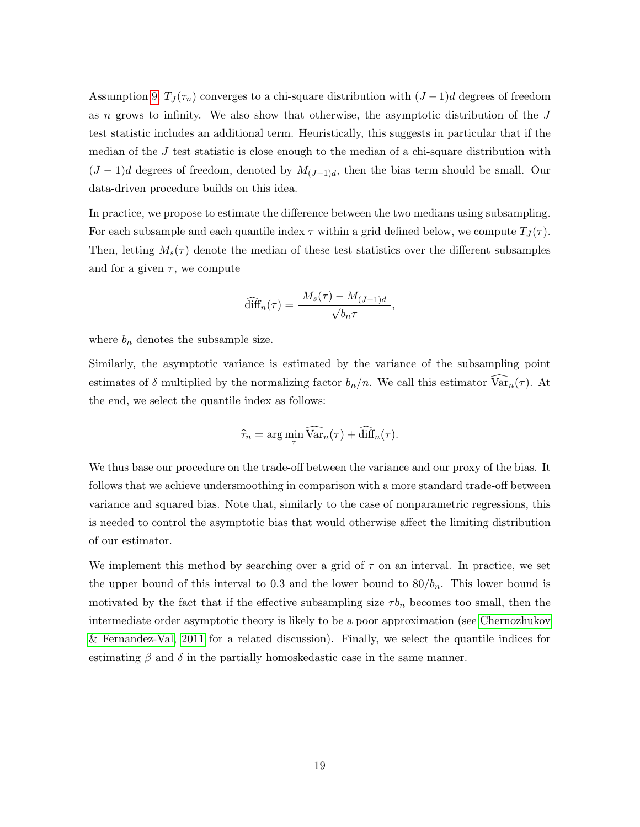Assumption [9,](#page-15-1)  $T_J(\tau_n)$  converges to a chi-square distribution with  $(J-1)d$  degrees of freedom as n grows to infinity. We also show that otherwise, the asymptotic distribution of the  $J$ test statistic includes an additional term. Heuristically, this suggests in particular that if the median of the  $J$  test statistic is close enough to the median of a chi-square distribution with  $(J-1)d$  degrees of freedom, denoted by  $M_{(J-1)d}$ , then the bias term should be small. Our data-driven procedure builds on this idea.

In practice, we propose to estimate the difference between the two medians using subsampling. For each subsample and each quantile index  $\tau$  within a grid defined below, we compute  $T_J(\tau)$ . Then, letting  $M_s(\tau)$  denote the median of these test statistics over the different subsamples and for a given  $\tau$ , we compute

$$
\widehat{\text{diff}}_n(\tau) = \frac{|M_s(\tau) - M_{(J-1)d}|}{\sqrt{b_n \tau}},
$$

where  $b_n$  denotes the subsample size.

Similarly, the asymptotic variance is estimated by the variance of the subsampling point estimates of  $\delta$  multiplied by the normalizing factor  $b_n/n$ . We call this estimator  $\text{Var}_n(\tau)$ . At the end, we select the quantile index as follows:

$$
\widehat{\tau}_n = \arg\min_{\tau} \widehat{\text{Var}}_n(\tau) + \widehat{\text{diff}}_n(\tau).
$$

We thus base our procedure on the trade-off between the variance and our proxy of the bias. It follows that we achieve undersmoothing in comparison with a more standard trade-off between variance and squared bias. Note that, similarly to the case of nonparametric regressions, this is needed to control the asymptotic bias that would otherwise affect the limiting distribution of our estimator.

We implement this method by searching over a grid of  $\tau$  on an interval. In practice, we set the upper bound of this interval to 0.3 and the lower bound to  $80/b_n$ . This lower bound is motivated by the fact that if the effective subsampling size  $\tau b_n$  becomes too small, then the intermediate order asymptotic theory is likely to be a poor approximation (see [Chernozhukov](#page-35-6) [& Fernandez-Val, 2011](#page-35-6) for a related discussion). Finally, we select the quantile indices for estimating  $\beta$  and  $\delta$  in the partially homoskedastic case in the same manner.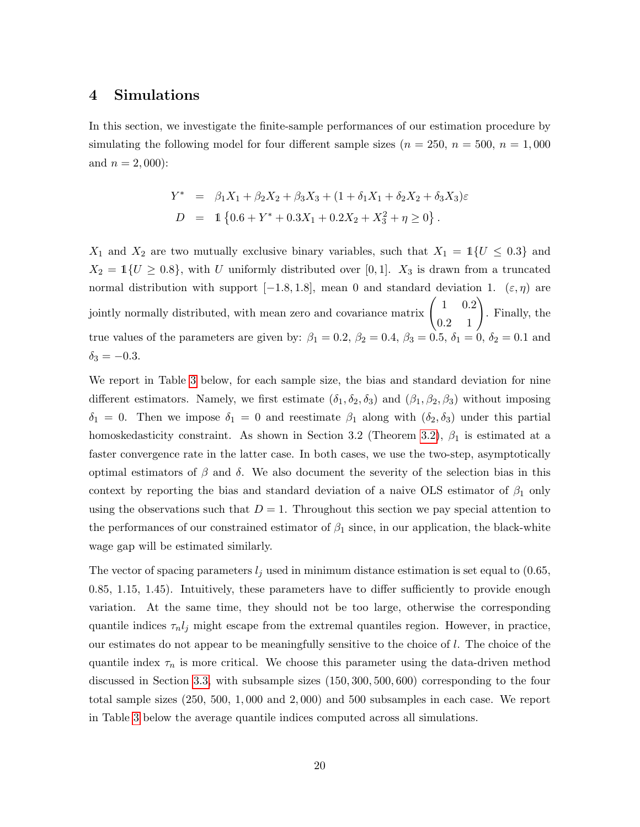### 4 Simulations

In this section, we investigate the finite-sample performances of our estimation procedure by simulating the following model for four different sample sizes  $(n = 250, n = 500, n = 1,000)$ and  $n = 2,000$ :

$$
Y^* = \beta_1 X_1 + \beta_2 X_2 + \beta_3 X_3 + (1 + \delta_1 X_1 + \delta_2 X_2 + \delta_3 X_3) \varepsilon
$$
  

$$
D = \mathbb{1} \{ 0.6 + Y^* + 0.3X_1 + 0.2X_2 + X_3^2 + \eta \ge 0 \}.
$$

 $X_1$  and  $X_2$  are two mutually exclusive binary variables, such that  $X_1 = 1$ { $U \le 0.3$ } and  $X_2 = \mathbb{1}{U \geq 0.8}$ , with U uniformly distributed over [0,1].  $X_3$  is drawn from a truncated normal distribution with support  $[-1.8, 1.8]$ , mean 0 and standard deviation 1.  $(\varepsilon, \eta)$  are jointly normally distributed, with mean zero and covariance matrix  $\begin{pmatrix} 1 & 0.2 \\ 0.2 & 1 \end{pmatrix}$ . Finally, the true values of the parameters are given by:  $\beta_1 = 0.2$ ,  $\beta_2 = 0.4$ ,  $\beta_3 = 0.5$ ,  $\delta_1 = 0$ ,  $\delta_2 = 0.1$  and  $\delta_3 = -0.3$ .

We report in Table [3](#page-22-0) below, for each sample size, the bias and standard deviation for nine different estimators. Namely, we first estimate  $(\delta_1, \delta_2, \delta_3)$  and  $(\beta_1, \beta_2, \beta_3)$  without imposing  $\delta_1 = 0$ . Then we impose  $\delta_1 = 0$  and reestimate  $\beta_1$  along with  $(\delta_2, \delta_3)$  under this partial homoskedasticity constraint. As shown in Section 3.2 (Theorem [3.2\)](#page-18-1),  $\beta_1$  is estimated at a faster convergence rate in the latter case. In both cases, we use the two-step, asymptotically optimal estimators of  $\beta$  and  $\delta$ . We also document the severity of the selection bias in this context by reporting the bias and standard deviation of a naive OLS estimator of  $\beta_1$  only using the observations such that  $D = 1$ . Throughout this section we pay special attention to the performances of our constrained estimator of  $\beta_1$  since, in our application, the black-white wage gap will be estimated similarly.

The vector of spacing parameters  $l_j$  used in minimum distance estimation is set equal to (0.65, 0.85, 1.15, 1.45). Intuitively, these parameters have to differ sufficiently to provide enough variation. At the same time, they should not be too large, otherwise the corresponding quantile indices  $\tau_n l_j$  might escape from the extremal quantiles region. However, in practice, our estimates do not appear to be meaningfully sensitive to the choice of  $l$ . The choice of the quantile index  $\tau_n$  is more critical. We choose this parameter using the data-driven method discussed in Section [3.3,](#page-19-0) with subsample sizes (150, 300, 500, 600) corresponding to the four total sample sizes (250, 500, 1, 000 and 2, 000) and 500 subsamples in each case. We report in Table [3](#page-22-0) below the average quantile indices computed across all simulations.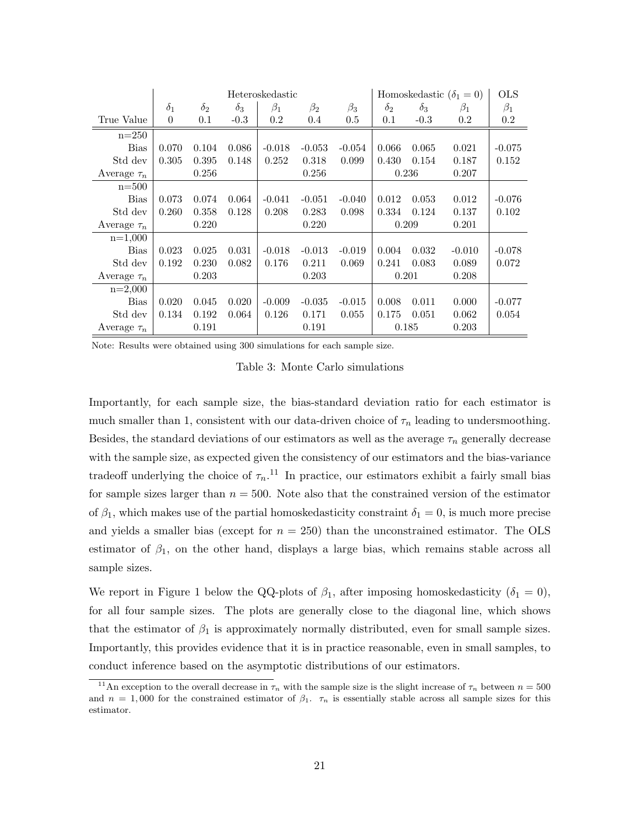<span id="page-22-0"></span>

|                  | Heteroskedastic |            |            |           | Homoskedastic $(\delta_1 = 0)$ |           |            | <b>OLS</b> |           |           |
|------------------|-----------------|------------|------------|-----------|--------------------------------|-----------|------------|------------|-----------|-----------|
|                  | $\delta_1$      | $\delta_2$ | $\delta_3$ | $\beta_1$ | $\beta_2$                      | $\beta_3$ | $\delta_2$ | $\delta_3$ | $\beta_1$ | $\beta_1$ |
| True Value       | $\theta$        | 0.1        | $-0.3$     | $0.2\,$   | 0.4                            | 0.5       | 0.1        | $-0.3$     | $0.2\,$   | $0.2\,$   |
| $n=250$          |                 |            |            |           |                                |           |            |            |           |           |
| <b>Bias</b>      | 0.070           | 0.104      | 0.086      | $-0.018$  | $-0.053$                       | $-0.054$  | 0.066      | 0.065      | 0.021     | $-0.075$  |
| Std dev          | 0.305           | 0.395      | 0.148      | 0.252     | 0.318                          | 0.099     | 0.430      | 0.154      | 0.187     | 0.152     |
| Average $\tau_n$ |                 | 0.256      |            |           | 0.256                          |           |            | 0.236      | 0.207     |           |
| $n = 500$        |                 |            |            |           |                                |           |            |            |           |           |
| <b>Bias</b>      | 0.073           | 0.074      | 0.064      | $-0.041$  | $-0.051$                       | $-0.040$  | 0.012      | 0.053      | 0.012     | $-0.076$  |
| Std dev          | 0.260           | 0.358      | 0.128      | 0.208     | 0.283                          | 0.098     | 0.334      | 0.124      | 0.137     | 0.102     |
| Average $\tau_n$ |                 | 0.220      |            |           | 0.220                          |           |            | 0.209      | 0.201     |           |
| $n=1,000$        |                 |            |            |           |                                |           |            |            |           |           |
| <b>Bias</b>      | 0.023           | 0.025      | 0.031      | $-0.018$  | $-0.013$                       | $-0.019$  | 0.004      | 0.032      | $-0.010$  | $-0.078$  |
| Std dev          | 0.192           | 0.230      | 0.082      | 0.176     | 0.211                          | 0.069     | 0.241      | 0.083      | 0.089     | 0.072     |
| Average $\tau_n$ |                 | 0.203      |            |           | 0.203                          |           | 0.201      |            | 0.208     |           |
| $n=2,000$        |                 |            |            |           |                                |           |            |            |           |           |
| <b>Bias</b>      | 0.020           | 0.045      | 0.020      | $-0.009$  | $-0.035$                       | $-0.015$  | 0.008      | 0.011      | 0.000     | $-0.077$  |
| Std dev          | 0.134           | 0.192      | 0.064      | 0.126     | 0.171                          | 0.055     | 0.175      | 0.051      | 0.062     | 0.054     |
| Average $\tau_n$ |                 | 0.191      |            |           | 0.191                          |           |            | 0.185      | 0.203     |           |

Note: Results were obtained using 300 simulations for each sample size.

Table 3: Monte Carlo simulations

Importantly, for each sample size, the bias-standard deviation ratio for each estimator is much smaller than 1, consistent with our data-driven choice of  $\tau_n$  leading to undersmoothing. Besides, the standard deviations of our estimators as well as the average  $\tau_n$  generally decrease with the sample size, as expected given the consistency of our estimators and the bias-variance tradeoff underlying the choice of  $\tau_n$ .<sup>11</sup> In practice, our estimators exhibit a fairly small bias for sample sizes larger than  $n = 500$ . Note also that the constrained version of the estimator of  $\beta_1$ , which makes use of the partial homoskedasticity constraint  $\delta_1 = 0$ , is much more precise and yields a smaller bias (except for  $n = 250$ ) than the unconstrained estimator. The OLS estimator of  $\beta_1$ , on the other hand, displays a large bias, which remains stable across all sample sizes.

We report in Figure 1 below the QQ-plots of  $\beta_1$ , after imposing homoskedasticity  $(\delta_1 = 0)$ , for all four sample sizes. The plots are generally close to the diagonal line, which shows that the estimator of  $\beta_1$  is approximately normally distributed, even for small sample sizes. Importantly, this provides evidence that it is in practice reasonable, even in small samples, to conduct inference based on the asymptotic distributions of our estimators.

<sup>&</sup>lt;sup>11</sup>An exception to the overall decrease in  $\tau_n$  with the sample size is the slight increase of  $\tau_n$  between  $n = 500$ and  $n = 1,000$  for the constrained estimator of  $\beta_1$ .  $\tau_n$  is essentially stable across all sample sizes for this estimator.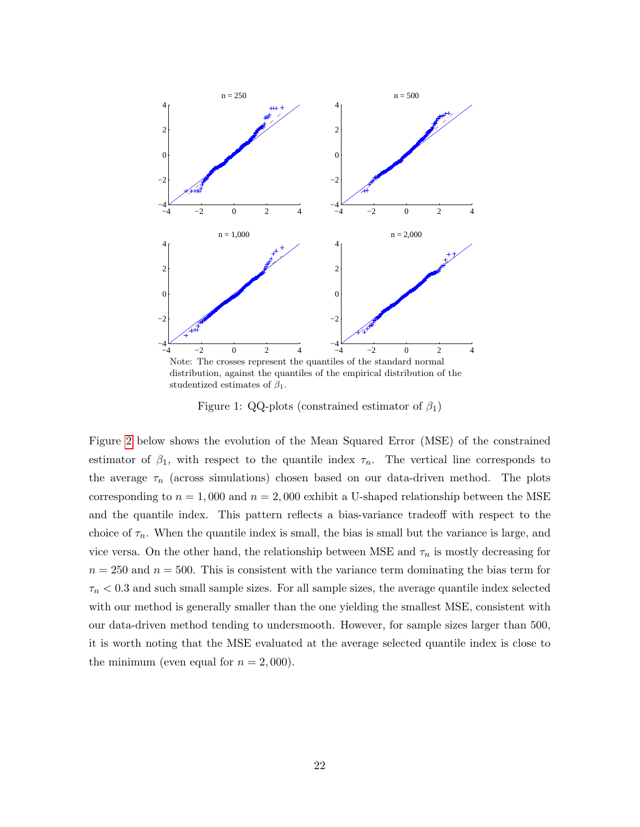

Figure 1: QQ-plots (constrained estimator of  $\beta_1$ )

Figure [2](#page-24-0) below shows the evolution of the Mean Squared Error (MSE) of the constrained estimator of  $\beta_1$ , with respect to the quantile index  $\tau_n$ . The vertical line corresponds to the average  $\tau_n$  (across simulations) chosen based on our data-driven method. The plots corresponding to  $n = 1,000$  and  $n = 2,000$  exhibit a U-shaped relationship between the MSE and the quantile index. This pattern reflects a bias-variance tradeoff with respect to the choice of  $\tau_n$ . When the quantile index is small, the bias is small but the variance is large, and vice versa. On the other hand, the relationship between MSE and  $\tau_n$  is mostly decreasing for  $n = 250$  and  $n = 500$ . This is consistent with the variance term dominating the bias term for  $\tau_n < 0.3$  and such small sample sizes. For all sample sizes, the average quantile index selected with our method is generally smaller than the one yielding the smallest MSE, consistent with our data-driven method tending to undersmooth. However, for sample sizes larger than 500, it is worth noting that the MSE evaluated at the average selected quantile index is close to the minimum (even equal for  $n = 2,000$ ).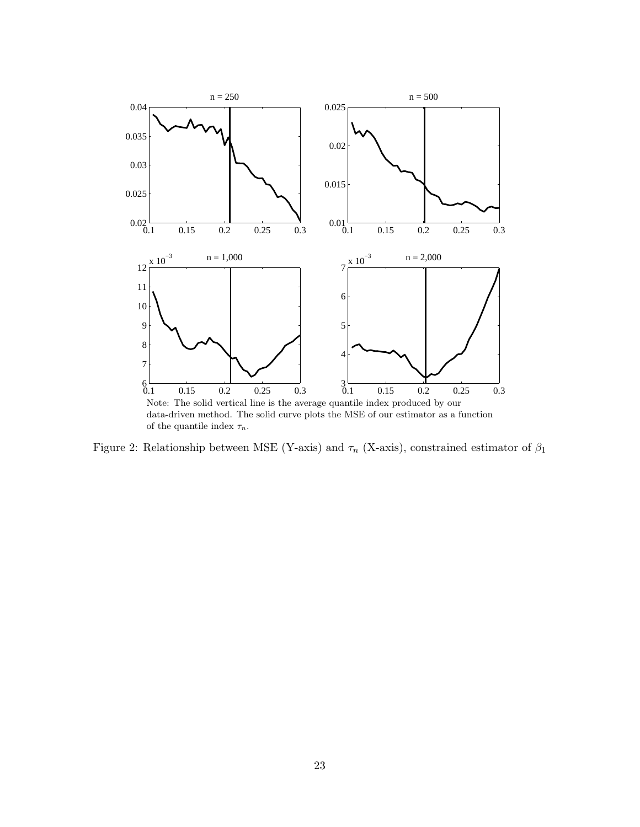<span id="page-24-0"></span>

of the quantile index  $\tau_n$ .

Figure 2: Relationship between MSE (Y-axis) and  $\tau_n$  (X-axis), constrained estimator of  $\beta_1$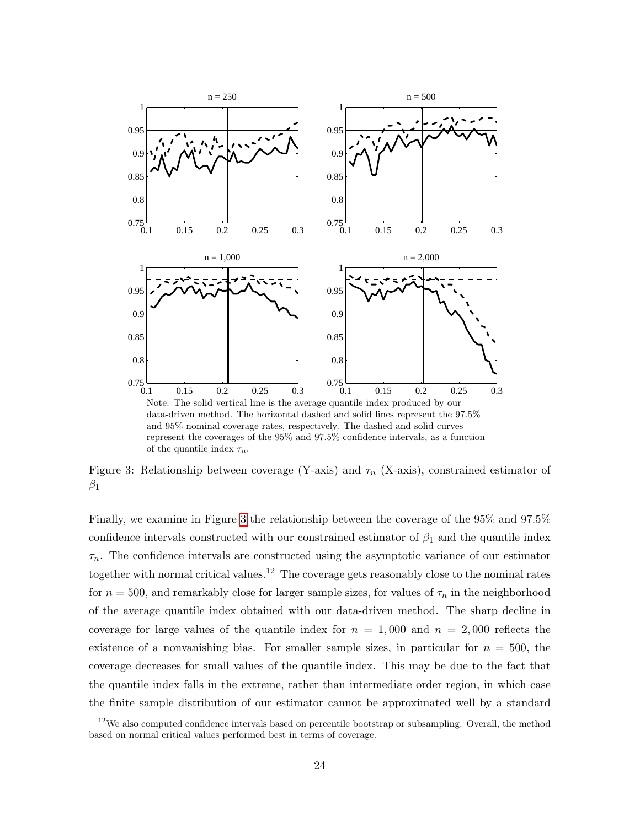<span id="page-25-0"></span>

of the quantile index  $\tau_n$ .

Figure 3: Relationship between coverage (Y-axis) and  $\tau_n$  (X-axis), constrained estimator of  $\beta_1$ 

Finally, we examine in Figure [3](#page-25-0) the relationship between the coverage of the 95% and 97.5% confidence intervals constructed with our constrained estimator of  $\beta_1$  and the quantile index  $\tau_n$ . The confidence intervals are constructed using the asymptotic variance of our estimator together with normal critical values.<sup>12</sup> The coverage gets reasonably close to the nominal rates for  $n = 500$ , and remarkably close for larger sample sizes, for values of  $\tau_n$  in the neighborhood of the average quantile index obtained with our data-driven method. The sharp decline in coverage for large values of the quantile index for  $n = 1,000$  and  $n = 2,000$  reflects the existence of a nonvanishing bias. For smaller sample sizes, in particular for  $n = 500$ , the coverage decreases for small values of the quantile index. This may be due to the fact that the quantile index falls in the extreme, rather than intermediate order region, in which case the finite sample distribution of our estimator cannot be approximated well by a standard

<sup>&</sup>lt;sup>12</sup>We also computed confidence intervals based on percentile bootstrap or subsampling. Overall, the method based on normal critical values performed best in terms of coverage.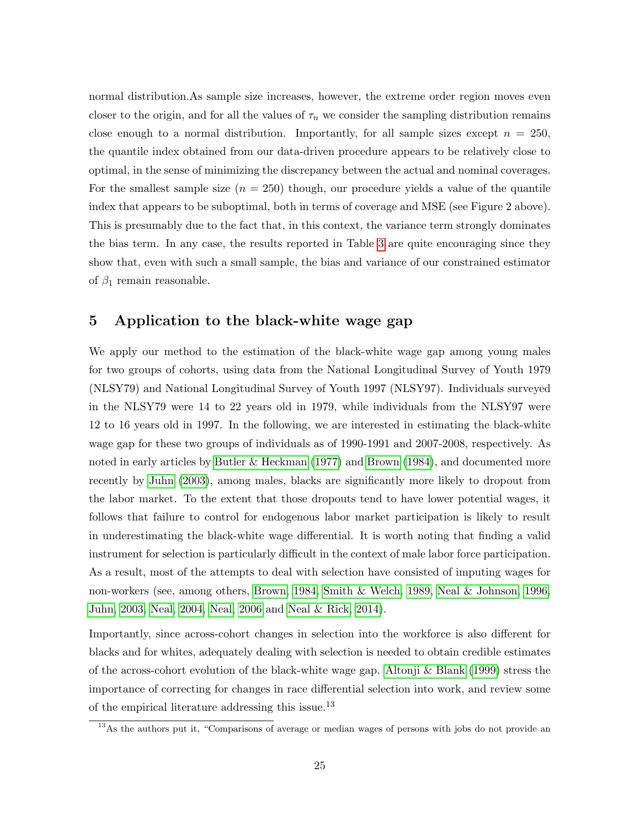normal distribution.As sample size increases, however, the extreme order region moves even closer to the origin, and for all the values of  $\tau_n$  we consider the sampling distribution remains close enough to a normal distribution. Importantly, for all sample sizes except  $n = 250$ , the quantile index obtained from our data-driven procedure appears to be relatively close to optimal, in the sense of minimizing the discrepancy between the actual and nominal coverages. For the smallest sample size  $(n = 250)$  though, our procedure yields a value of the quantile index that appears to be suboptimal, both in terms of coverage and MSE (see Figure 2 above). This is presumably due to the fact that, in this context, the variance term strongly dominates the bias term. In any case, the results reported in Table [3](#page-22-0) are quite encouraging since they show that, even with such a small sample, the bias and variance of our constrained estimator of  $\beta_1$  remain reasonable.

## 5 Application to the black-white wage gap

We apply our method to the estimation of the black-white wage gap among young males for two groups of cohorts, using data from the National Longitudinal Survey of Youth 1979 (NLSY79) and National Longitudinal Survey of Youth 1997 (NLSY97). Individuals surveyed in the NLSY79 were 14 to 22 years old in 1979, while individuals from the NLSY97 were 12 to 16 years old in 1997. In the following, we are interested in estimating the black-white wage gap for these two groups of individuals as of 1990-1991 and 2007-2008, respectively. As noted in early articles by [Butler & Heckman \(1977\)](#page-34-5) and [Brown \(1984\)](#page-34-6), and documented more recently by [Juhn \(2003\)](#page-36-7), among males, blacks are significantly more likely to dropout from the labor market. To the extent that those dropouts tend to have lower potential wages, it follows that failure to control for endogenous labor market participation is likely to result in underestimating the black-white wage differential. It is worth noting that finding a valid instrument for selection is particularly difficult in the context of male labor force participation. As a result, most of the attempts to deal with selection have consisted of imputing wages for non-workers (see, among others, [Brown, 1984,](#page-34-6) [Smith & Welch, 1989,](#page-37-4) [Neal & Johnson, 1996,](#page-37-2) [Juhn, 2003,](#page-36-7) [Neal, 2004,](#page-36-9) [Neal, 2006](#page-36-10) and [Neal & Rick, 2014\)](#page-37-3).

Importantly, since across-cohort changes in selection into the workforce is also different for blacks and for whites, adequately dealing with selection is needed to obtain credible estimates of the across-cohort evolution of the black-white wage gap. [Altonji & Blank \(1999\)](#page-34-9) stress the importance of correcting for changes in race differential selection into work, and review some of the empirical literature addressing this issue.<sup>13</sup>

<sup>&</sup>lt;sup>13</sup>As the authors put it, "Comparisons of average or median wages of persons with jobs do not provide an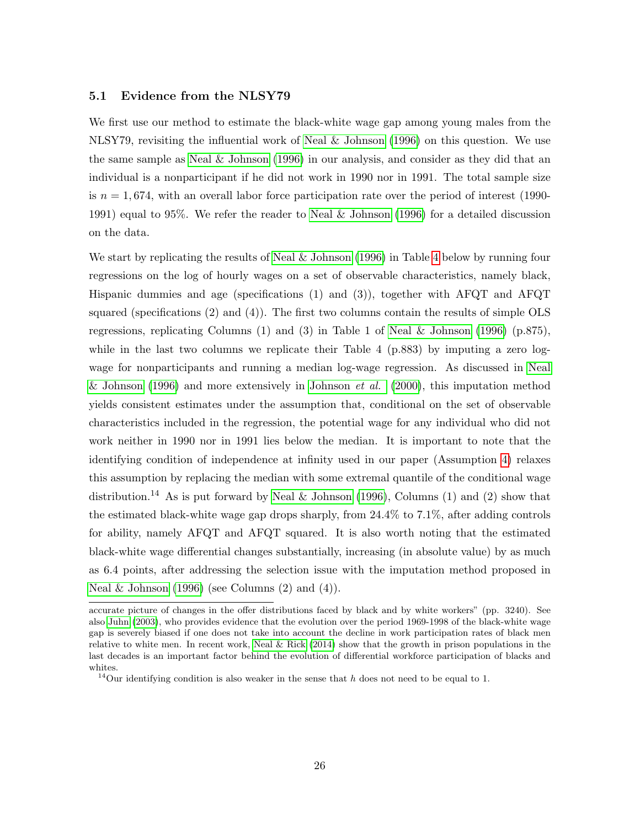#### 5.1 Evidence from the NLSY79

We first use our method to estimate the black-white wage gap among young males from the NLSY79, revisiting the influential work of [Neal & Johnson \(1996\)](#page-37-2) on this question. We use the same sample as Neal  $\&$  Johnson (1996) in our analysis, and consider as they did that an individual is a nonparticipant if he did not work in 1990 nor in 1991. The total sample size is  $n = 1,674$ , with an overall labor force participation rate over the period of interest (1990-1991) equal to 95%. We refer the reader to [Neal & Johnson \(1996\)](#page-37-2) for a detailed discussion on the data.

We start by replicating the results of [Neal & Johnson \(1996\)](#page-37-2) in Table [4](#page-28-0) below by running four regressions on the log of hourly wages on a set of observable characteristics, namely black, Hispanic dummies and age (specifications (1) and (3)), together with AFQT and AFQT squared (specifications (2) and (4)). The first two columns contain the results of simple OLS regressions, replicating Columns (1) and (3) in Table 1 of [Neal & Johnson \(1996\)](#page-37-2) (p.875), while in the last two columns we replicate their Table 4 (p.883) by imputing a zero logwage for nonparticipants and running a median log-wage regression. As discussed in [Neal](#page-37-2) [& Johnson \(1996\)](#page-37-2) and more extensively in [Johnson](#page-36-8) *et al.* [\(2000\)](#page-36-8), this imputation method yields consistent estimates under the assumption that, conditional on the set of observable characteristics included in the regression, the potential wage for any individual who did not work neither in 1990 nor in 1991 lies below the median. It is important to note that the identifying condition of independence at infinity used in our paper (Assumption [4\)](#page-7-3) relaxes this assumption by replacing the median with some extremal quantile of the conditional wage distribution.<sup>14</sup> As is put forward by [Neal & Johnson \(1996\)](#page-37-2), Columns (1) and (2) show that the estimated black-white wage gap drops sharply, from 24.4% to 7.1%, after adding controls for ability, namely AFQT and AFQT squared. It is also worth noting that the estimated black-white wage differential changes substantially, increasing (in absolute value) by as much as 6.4 points, after addressing the selection issue with the imputation method proposed in Neal  $\&$  Johnson (1996) (see Columns (2) and (4)).

accurate picture of changes in the offer distributions faced by black and by white workers" (pp. 3240). See also [Juhn](#page-36-7) [\(2003\)](#page-36-7), who provides evidence that the evolution over the period 1969-1998 of the black-white wage gap is severely biased if one does not take into account the decline in work participation rates of black men relative to white men. In recent work, [Neal & Rick](#page-37-3) [\(2014\)](#page-37-3) show that the growth in prison populations in the last decades is an important factor behind the evolution of differential workforce participation of blacks and whites.

<sup>&</sup>lt;sup>14</sup>Our identifying condition is also weaker in the sense that h does not need to be equal to 1.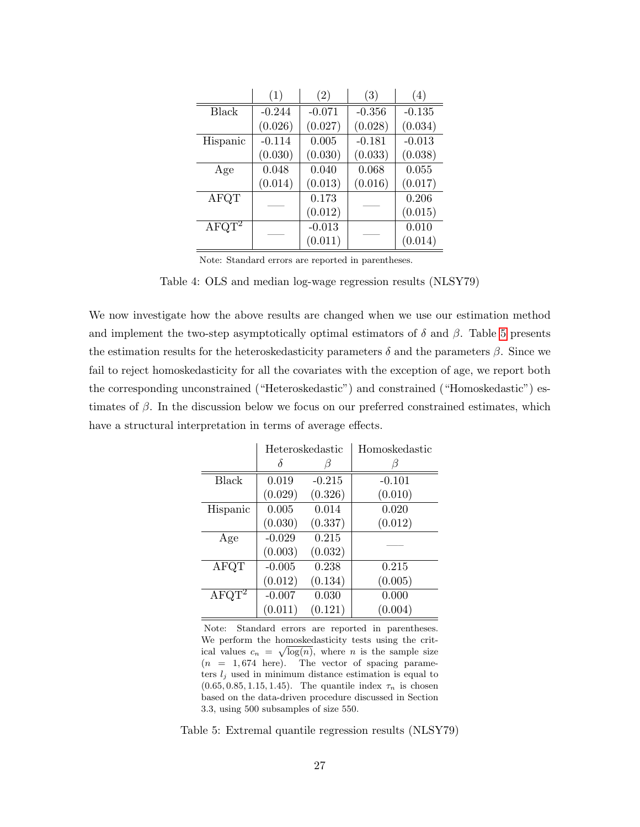<span id="page-28-0"></span>

|              | (1)      | (2)      | (3)      | (4)      |
|--------------|----------|----------|----------|----------|
| <b>Black</b> | $-0.244$ | $-0.071$ | $-0.356$ | $-0.135$ |
|              | (0.026)  | (0.027)  | (0.028)  | (0.034)  |
| Hispanic     | $-0.114$ | 0.005    | $-0.181$ | $-0.013$ |
|              | (0.030)  | (0.030)  | (0.033)  | (0.038)  |
| Age          | 0.048    | 0.040    | 0.068    | 0.055    |
|              | (0.014)  | (0.013)  | (0.016)  | (0.017)  |
| AFQT         |          | 0.173    |          | 0.206    |
|              |          | (0.012)  |          | (0.015)  |
| $A F Q T^2$  |          | $-0.013$ |          | 0.010    |
|              |          | (0.011)  |          | (0.014)  |

Note: Standard errors are reported in parentheses.

Table 4: OLS and median log-wage regression results (NLSY79)

We now investigate how the above results are changed when we use our estimation method and implement the two-step asymptotically optimal estimators of  $\delta$  and  $\beta$ . Table [5](#page-28-1) presents the estimation results for the heteroskedasticity parameters  $\delta$  and the parameters  $\beta$ . Since we fail to reject homoskedasticity for all the covariates with the exception of age, we report both the corresponding unconstrained ("Heteroskedastic") and constrained ("Homoskedastic") estimates of  $\beta$ . In the discussion below we focus on our preferred constrained estimates, which have a structural interpretation in terms of average effects.

<span id="page-28-1"></span>

|          | Heteroskedastic |          | Homoskedastic |
|----------|-----------------|----------|---------------|
|          |                 |          |               |
| Black    | 0.019           | $-0.215$ | $-0.101$      |
|          | (0.029)         | (0.326)  | (0.010)       |
| Hispanic | 0.005           | 0.014    | 0.020         |
|          | (0.030)         | (0.337)  | (0.012)       |
| Age      | $-0.029$        | 0.215    |               |
|          | (0.003)         | (0.032)  |               |
| AFQT     | $-0.005$        | 0.238    | 0.215         |
|          | (0.012)         | (0.134)  | (0.005)       |
| $AFGT^2$ | $-0.007$        | 0.030    | 0.000         |
|          | (0.011)         | (0.121)  | (0.004)       |

Note: Standard errors are reported in parentheses. We perform the homoskedasticity tests using the critical values  $c_n = \sqrt{\log(n)}$ , where *n* is the sample size  $(n = 1,674 \text{ here})$ . The vector of spacing parameters  $l_i$  used in minimum distance estimation is equal to  $(0.65, 0.85, 1.15, 1.45)$ . The quantile index  $\tau_n$  is chosen based on the data-driven procedure discussed in Section 3.3, using 500 subsamples of size 550.

Table 5: Extremal quantile regression results (NLSY79)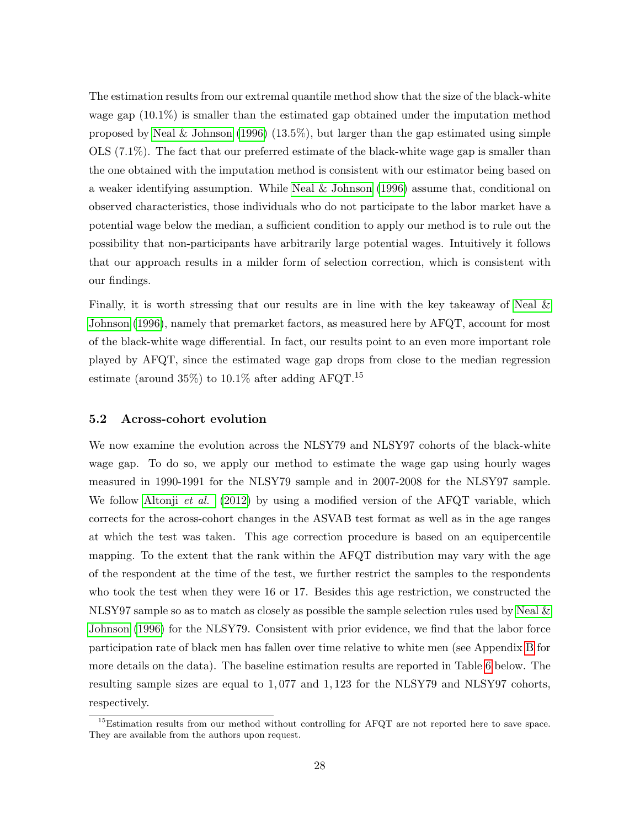The estimation results from our extremal quantile method show that the size of the black-white wage gap  $(10.1\%)$  is smaller than the estimated gap obtained under the imputation method proposed by Neal  $\&$  Johnson (1996) (13.5%), but larger than the gap estimated using simple OLS (7.1%). The fact that our preferred estimate of the black-white wage gap is smaller than the one obtained with the imputation method is consistent with our estimator being based on a weaker identifying assumption. While [Neal & Johnson \(1996\)](#page-37-2) assume that, conditional on observed characteristics, those individuals who do not participate to the labor market have a potential wage below the median, a sufficient condition to apply our method is to rule out the possibility that non-participants have arbitrarily large potential wages. Intuitively it follows that our approach results in a milder form of selection correction, which is consistent with our findings.

Finally, it is worth stressing that our results are in line with the key takeaway of [Neal &](#page-37-2) [Johnson \(1996\)](#page-37-2), namely that premarket factors, as measured here by AFQT, account for most of the black-white wage differential. In fact, our results point to an even more important role played by AFQT, since the estimated wage gap drops from close to the median regression estimate (around  $35\%$ ) to  $10.1\%$  after adding AFQT.<sup>15</sup>

### 5.2 Across-cohort evolution

We now examine the evolution across the NLSY79 and NLSY97 cohorts of the black-white wage gap. To do so, we apply our method to estimate the wage gap using hourly wages measured in 1990-1991 for the NLSY79 sample and in 2007-2008 for the NLSY97 sample. We follow [Altonji](#page-34-10) *et al.* [\(2012\)](#page-34-10) by using a modified version of the AFQT variable, which corrects for the across-cohort changes in the ASVAB test format as well as in the age ranges at which the test was taken. This age correction procedure is based on an equipercentile mapping. To the extent that the rank within the AFQT distribution may vary with the age of the respondent at the time of the test, we further restrict the samples to the respondents who took the test when they were 16 or 17. Besides this age restriction, we constructed the NLSY97 sample so as to match as closely as possible the sample selection rules used by [Neal &](#page-37-2) [Johnson \(1996\)](#page-37-2) for the NLSY79. Consistent with prior evidence, we find that the labor force participation rate of black men has fallen over time relative to white men (see Appendix [B](#page-42-0) for more details on the data). The baseline estimation results are reported in Table [6](#page-30-0) below. The resulting sample sizes are equal to 1, 077 and 1, 123 for the NLSY79 and NLSY97 cohorts, respectively.

<sup>&</sup>lt;sup>15</sup>Estimation results from our method without controlling for AFQT are not reported here to save space. They are available from the authors upon request.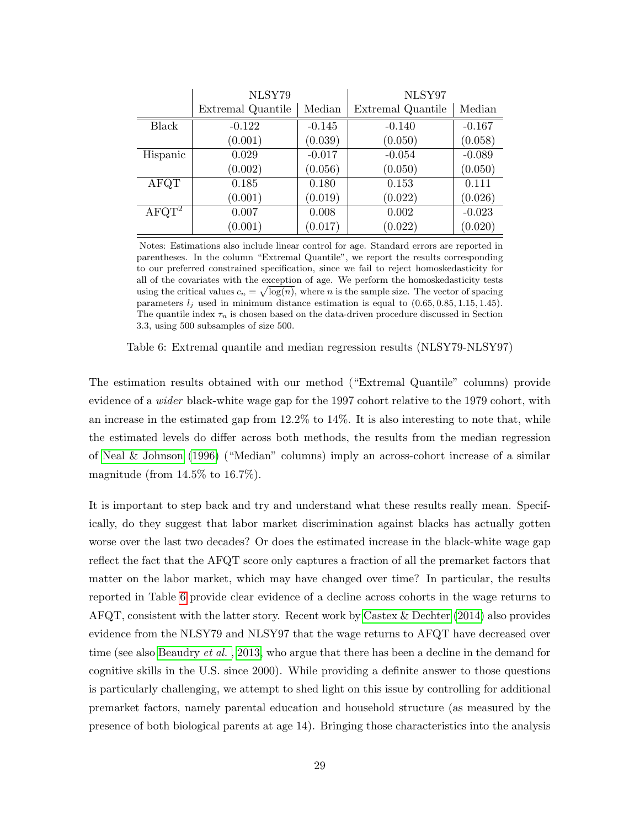<span id="page-30-0"></span>

|          | NLSY79            |          | NLSY97            |          |
|----------|-------------------|----------|-------------------|----------|
|          | Extremal Quantile | Median   | Extremal Quantile | Median   |
| Black    | $-0.122$          | $-0.145$ | $-0.140$          | $-0.167$ |
|          | (0.001)           | (0.039)  | (0.050)           | (0.058)  |
| Hispanic | 0.029             | $-0.017$ | $-0.054$          | $-0.089$ |
|          | (0.002)           | (0.056)  | (0.050)           | (0.050)  |
| AFQT     | 0.185             | 0.180    | 0.153             | 0.111    |
|          | (0.001)           | (0.019)  | (0.022)           | (0.026)  |
| $AFQT^2$ | 0.007             | 0.008    | 0.002             | $-0.023$ |
|          | (0.001)           | (0.017)  | (0.022)           | (0.020)  |

Notes: Estimations also include linear control for age. Standard errors are reported in parentheses. In the column "Extremal Quantile", we report the results corresponding to our preferred constrained specification, since we fail to reject homoskedasticity for all of the covariates with the exception of age. We perform the homoskedasticity tests using the critical values  $c_n = \sqrt{\log(n)}$ , where n is the sample size. The vector of spacing parameters  $l_j$  used in minimum distance estimation is equal to  $(0.65, 0.85, 1.15, 1.45)$ . The quantile index  $\tau_n$  is chosen based on the data-driven procedure discussed in Section 3.3, using 500 subsamples of size 500.

Table 6: Extremal quantile and median regression results (NLSY79-NLSY97)

The estimation results obtained with our method ("Extremal Quantile" columns) provide evidence of a *wider* black-white wage gap for the 1997 cohort relative to the 1979 cohort, with an increase in the estimated gap from 12.2% to 14%. It is also interesting to note that, while the estimated levels do differ across both methods, the results from the median regression of [Neal & Johnson \(1996\)](#page-37-2) ("Median" columns) imply an across-cohort increase of a similar magnitude (from  $14.5\%$  to  $16.7\%$ ).

It is important to step back and try and understand what these results really mean. Specifically, do they suggest that labor market discrimination against blacks has actually gotten worse over the last two decades? Or does the estimated increase in the black-white wage gap reflect the fact that the AFQT score only captures a fraction of all the premarket factors that matter on the labor market, which may have changed over time? In particular, the results reported in Table [6](#page-30-0) provide clear evidence of a decline across cohorts in the wage returns to AFQT, consistent with the latter story. Recent work by [Castex & Dechter \(2014\)](#page-35-12) also provides evidence from the NLSY79 and NLSY97 that the wage returns to AFQT have decreased over time (see also [Beaudry](#page-34-11) *et al.*, [2013,](#page-34-11) who argue that there has been a decline in the demand for cognitive skills in the U.S. since 2000). While providing a definite answer to those questions is particularly challenging, we attempt to shed light on this issue by controlling for additional premarket factors, namely parental education and household structure (as measured by the presence of both biological parents at age 14). Bringing those characteristics into the analysis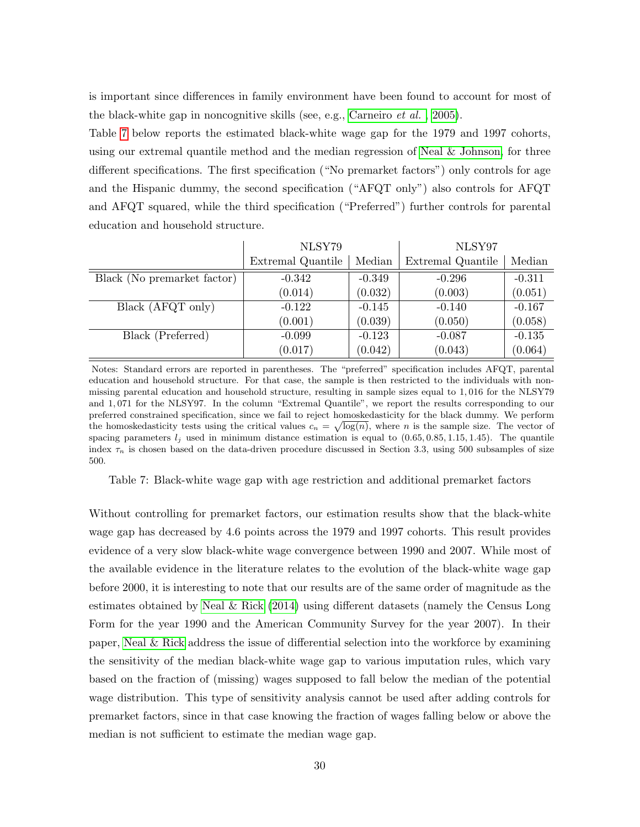is important since differences in family environment have been found to account for most of the black-white gap in noncognitive skills (see, e.g., [Carneiro](#page-34-12) et al. , [2005\)](#page-34-12).

Table [7](#page-31-0) below reports the estimated black-white wage gap for the 1979 and 1997 cohorts, using our extremal quantile method and the median regression of Neal  $\&$  Johnson, for three different specifications. The first specification ("No premarket factors") only controls for age and the Hispanic dummy, the second specification ("AFQT only") also controls for AFQT and AFQT squared, while the third specification ("Preferred") further controls for parental education and household structure.

<span id="page-31-0"></span>

|                             | NLSY79            |          | NLSY97            |          |
|-----------------------------|-------------------|----------|-------------------|----------|
|                             | Extremal Quantile | Median   | Extremal Quantile | Median   |
| Black (No premarket factor) | $-0.342$          | $-0.349$ | $-0.296$          | $-0.311$ |
|                             | (0.014)           | (0.032)  | (0.003)           | (0.051)  |
| Black (AFQT only)           | $-0.122$          | $-0.145$ | $-0.140$          | $-0.167$ |
|                             | (0.001)           | (0.039)  | (0.050)           | (0.058)  |
| Black (Preferred)           | $-0.099$          | $-0.123$ | $-0.087$          | $-0.135$ |
|                             | (0.017)           | (0.042)  | (0.043)           | (0.064)  |

Notes: Standard errors are reported in parentheses. The "preferred" specification includes AFQT, parental education and household structure. For that case, the sample is then restricted to the individuals with nonmissing parental education and household structure, resulting in sample sizes equal to 1, 016 for the NLSY79 and 1, 071 for the NLSY97. In the column "Extremal Quantile", we report the results corresponding to our preferred constrained specification, since we fail to reject homoskedasticity for the black dummy. We perform the homoskedasticity tests using the critical values  $c_n = \sqrt{\log(n)}$ , where n is the sample size. The vector of spacing parameters  $l_i$  used in minimum distance estimation is equal to  $(0.65, 0.85, 1.15, 1.45)$ . The quantile index  $\tau_n$  is chosen based on the data-driven procedure discussed in Section 3.3, using 500 subsamples of size 500.

Table 7: Black-white wage gap with age restriction and additional premarket factors

Without controlling for premarket factors, our estimation results show that the black-white wage gap has decreased by 4.6 points across the 1979 and 1997 cohorts. This result provides evidence of a very slow black-white wage convergence between 1990 and 2007. While most of the available evidence in the literature relates to the evolution of the black-white wage gap before 2000, it is interesting to note that our results are of the same order of magnitude as the estimates obtained by [Neal & Rick \(2014\)](#page-37-3) using different datasets (namely the Census Long Form for the year 1990 and the American Community Survey for the year 2007). In their paper, [Neal & Rick](#page-37-3) address the issue of differential selection into the workforce by examining the sensitivity of the median black-white wage gap to various imputation rules, which vary based on the fraction of (missing) wages supposed to fall below the median of the potential wage distribution. This type of sensitivity analysis cannot be used after adding controls for premarket factors, since in that case knowing the fraction of wages falling below or above the median is not sufficient to estimate the median wage gap.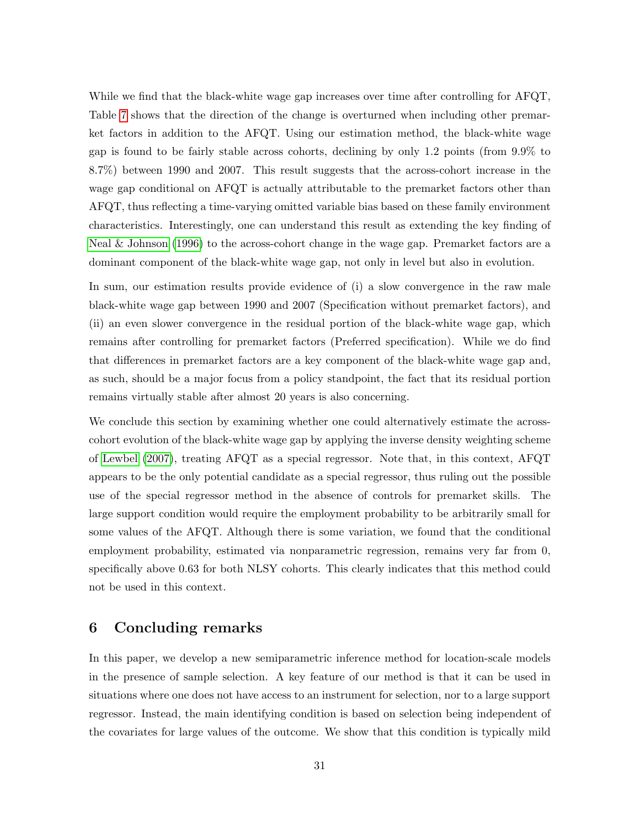While we find that the black-white wage gap increases over time after controlling for AFQT, Table [7](#page-31-0) shows that the direction of the change is overturned when including other premarket factors in addition to the AFQT. Using our estimation method, the black-white wage gap is found to be fairly stable across cohorts, declining by only 1.2 points (from 9.9% to 8.7%) between 1990 and 2007. This result suggests that the across-cohort increase in the wage gap conditional on AFQT is actually attributable to the premarket factors other than AFQT, thus reflecting a time-varying omitted variable bias based on these family environment characteristics. Interestingly, one can understand this result as extending the key finding of [Neal & Johnson \(1996\)](#page-37-2) to the across-cohort change in the wage gap. Premarket factors are a dominant component of the black-white wage gap, not only in level but also in evolution.

In sum, our estimation results provide evidence of (i) a slow convergence in the raw male black-white wage gap between 1990 and 2007 (Specification without premarket factors), and (ii) an even slower convergence in the residual portion of the black-white wage gap, which remains after controlling for premarket factors (Preferred specification). While we do find that differences in premarket factors are a key component of the black-white wage gap and, as such, should be a major focus from a policy standpoint, the fact that its residual portion remains virtually stable after almost 20 years is also concerning.

We conclude this section by examining whether one could alternatively estimate the acrosscohort evolution of the black-white wage gap by applying the inverse density weighting scheme of [Lewbel \(2007\)](#page-36-4), treating AFQT as a special regressor. Note that, in this context, AFQT appears to be the only potential candidate as a special regressor, thus ruling out the possible use of the special regressor method in the absence of controls for premarket skills. The large support condition would require the employment probability to be arbitrarily small for some values of the AFQT. Although there is some variation, we found that the conditional employment probability, estimated via nonparametric regression, remains very far from 0, specifically above 0.63 for both NLSY cohorts. This clearly indicates that this method could not be used in this context.

## 6 Concluding remarks

In this paper, we develop a new semiparametric inference method for location-scale models in the presence of sample selection. A key feature of our method is that it can be used in situations where one does not have access to an instrument for selection, nor to a large support regressor. Instead, the main identifying condition is based on selection being independent of the covariates for large values of the outcome. We show that this condition is typically mild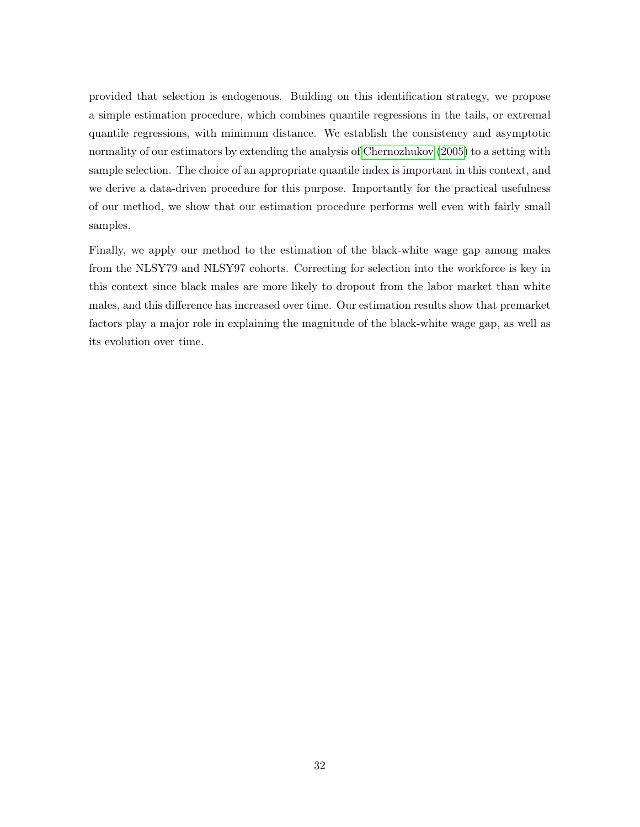provided that selection is endogenous. Building on this identification strategy, we propose a simple estimation procedure, which combines quantile regressions in the tails, or extremal quantile regressions, with minimum distance. We establish the consistency and asymptotic normality of our estimators by extending the analysis of [Chernozhukov \(2005\)](#page-35-3) to a setting with sample selection. The choice of an appropriate quantile index is important in this context, and we derive a data-driven procedure for this purpose. Importantly for the practical usefulness of our method, we show that our estimation procedure performs well even with fairly small samples.

Finally, we apply our method to the estimation of the black-white wage gap among males from the NLSY79 and NLSY97 cohorts. Correcting for selection into the workforce is key in this context since black males are more likely to dropout from the labor market than white males, and this difference has increased over time. Our estimation results show that premarket factors play a major role in explaining the magnitude of the black-white wage gap, as well as its evolution over time.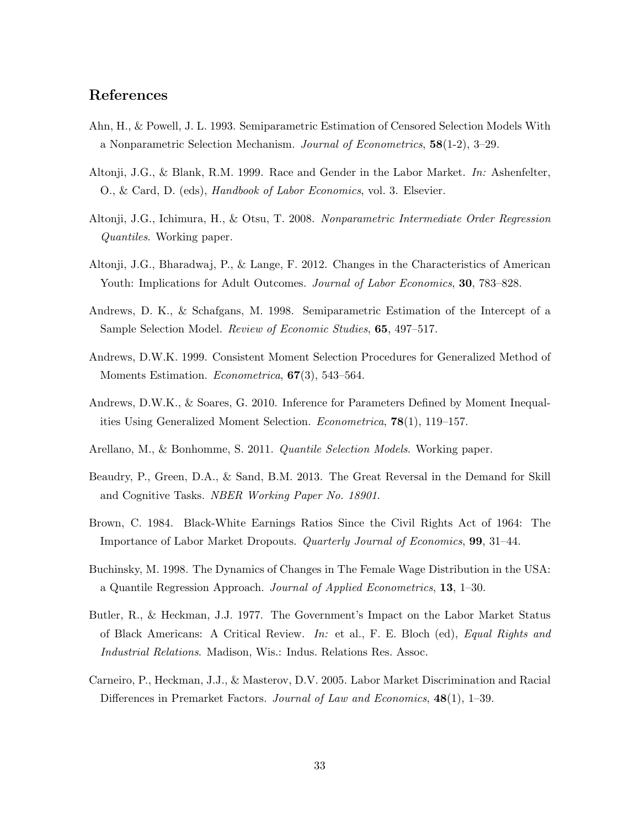## References

- <span id="page-34-0"></span>Ahn, H., & Powell, J. L. 1993. Semiparametric Estimation of Censored Selection Models With a Nonparametric Selection Mechanism. Journal of Econometrics,  $58(1-2)$ , 3-29.
- <span id="page-34-9"></span>Altonji, J.G., & Blank, R.M. 1999. Race and Gender in the Labor Market. In: Ashenfelter, O., & Card, D. (eds), Handbook of Labor Economics, vol. 3. Elsevier.
- <span id="page-34-4"></span>Altonji, J.G., Ichimura, H., & Otsu, T. 2008. Nonparametric Intermediate Order Regression Quantiles. Working paper.
- <span id="page-34-10"></span>Altonji, J.G., Bharadwaj, P., & Lange, F. 2012. Changes in the Characteristics of American Youth: Implications for Adult Outcomes. *Journal of Labor Economics*, **30**, 783–828.
- <span id="page-34-3"></span>Andrews, D. K., & Schafgans, M. 1998. Semiparametric Estimation of the Intercept of a Sample Selection Model. Review of Economic Studies, 65, 497-517.
- <span id="page-34-7"></span>Andrews, D.W.K. 1999. Consistent Moment Selection Procedures for Generalized Method of Moments Estimation. *Econometrica*, **67**(3), 543–564.
- <span id="page-34-8"></span>Andrews, D.W.K., & Soares, G. 2010. Inference for Parameters Defined by Moment Inequalities Using Generalized Moment Selection. Econometrica, 78(1), 119–157.
- <span id="page-34-2"></span>Arellano, M., & Bonhomme, S. 2011. *Quantile Selection Models*. Working paper.
- <span id="page-34-11"></span>Beaudry, P., Green, D.A., & Sand, B.M. 2013. The Great Reversal in the Demand for Skill and Cognitive Tasks. NBER Working Paper No. 18901.
- <span id="page-34-6"></span>Brown, C. 1984. Black-White Earnings Ratios Since the Civil Rights Act of 1964: The Importance of Labor Market Dropouts. Quarterly Journal of Economics, 99, 31–44.
- <span id="page-34-1"></span>Buchinsky, M. 1998. The Dynamics of Changes in The Female Wage Distribution in the USA: a Quantile Regression Approach. Journal of Applied Econometrics, 13, 1–30.
- <span id="page-34-5"></span>Butler, R., & Heckman, J.J. 1977. The Government's Impact on the Labor Market Status of Black Americans: A Critical Review. In: et al., F. E. Bloch (ed), Equal Rights and Industrial Relations. Madison, Wis.: Indus. Relations Res. Assoc.
- <span id="page-34-12"></span>Carneiro, P., Heckman, J.J., & Masterov, D.V. 2005. Labor Market Discrimination and Racial Differences in Premarket Factors. Journal of Law and Economics, 48(1), 1–39.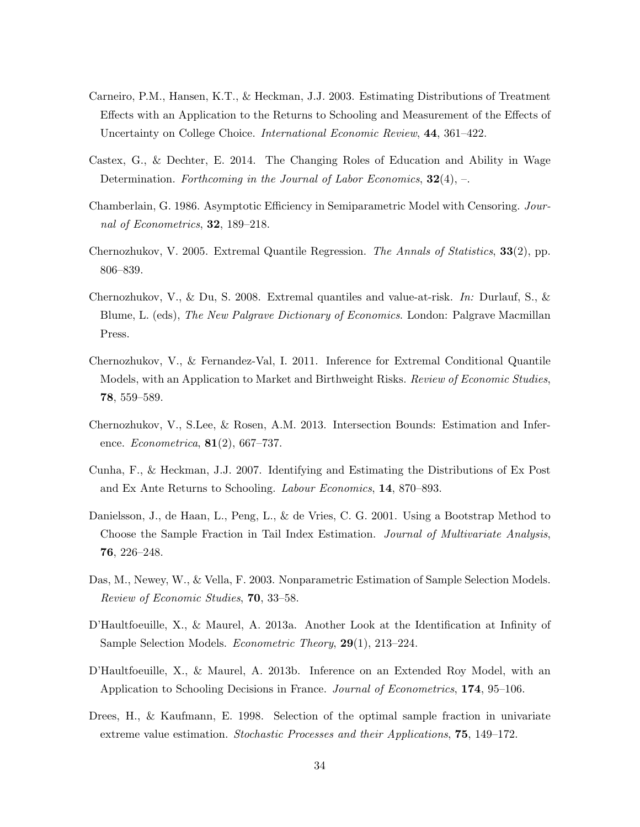- <span id="page-35-9"></span>Carneiro, P.M., Hansen, K.T., & Heckman, J.J. 2003. Estimating Distributions of Treatment Effects with an Application to the Returns to Schooling and Measurement of the Effects of Uncertainty on College Choice. *International Economic Review*, **44**, 361–422.
- <span id="page-35-12"></span>Castex, G., & Dechter, E. 2014. The Changing Roles of Education and Ability in Wage Determination. Forthcoming in the Journal of Labor Economics,  $32(4)$ ,  $-$ .
- <span id="page-35-1"></span>Chamberlain, G. 1986. Asymptotic Efficiency in Semiparametric Model with Censoring. Journal of Econometrics, 32, 189–218.
- <span id="page-35-3"></span>Chernozhukov, V. 2005. Extremal Quantile Regression. The Annals of Statistics, 33(2), pp. 806–839.
- <span id="page-35-5"></span>Chernozhukov, V., & Du, S. 2008. Extremal quantiles and value-at-risk. In: Durlauf, S., & Blume, L. (eds), The New Palgrave Dictionary of Economics. London: Palgrave Macmillan Press.
- <span id="page-35-6"></span>Chernozhukov, V., & Fernandez-Val, I. 2011. Inference for Extremal Conditional Quantile Models, with an Application to Market and Birthweight Risks. Review of Economic Studies, 78, 559–589.
- <span id="page-35-4"></span>Chernozhukov, V., S.Lee, & Rosen, A.M. 2013. Intersection Bounds: Estimation and Inference. *Econometrica*, **81** $(2)$ , 667–737.
- <span id="page-35-10"></span>Cunha, F., & Heckman, J.J. 2007. Identifying and Estimating the Distributions of Ex Post and Ex Ante Returns to Schooling. Labour Economics, 14, 870–893.
- <span id="page-35-8"></span>Danielsson, J., de Haan, L., Peng, L., & de Vries, C. G. 2001. Using a Bootstrap Method to Choose the Sample Fraction in Tail Index Estimation. Journal of Multivariate Analysis, 76, 226–248.
- <span id="page-35-0"></span>Das, M., Newey, W., & Vella, F. 2003. Nonparametric Estimation of Sample Selection Models. Review of Economic Studies, 70, 33–58.
- <span id="page-35-2"></span>D'Haultfoeuille, X., & Maurel, A. 2013a. Another Look at the Identification at Infinity of Sample Selection Models. Econometric Theory, 29(1), 213–224.
- <span id="page-35-11"></span>D'Haultfoeuille, X., & Maurel, A. 2013b. Inference on an Extended Roy Model, with an Application to Schooling Decisions in France. Journal of Econometrics, 174, 95–106.
- <span id="page-35-7"></span>Drees, H., & Kaufmann, E. 1998. Selection of the optimal sample fraction in univariate extreme value estimation. *Stochastic Processes and their Applications*, **75**, 149–172.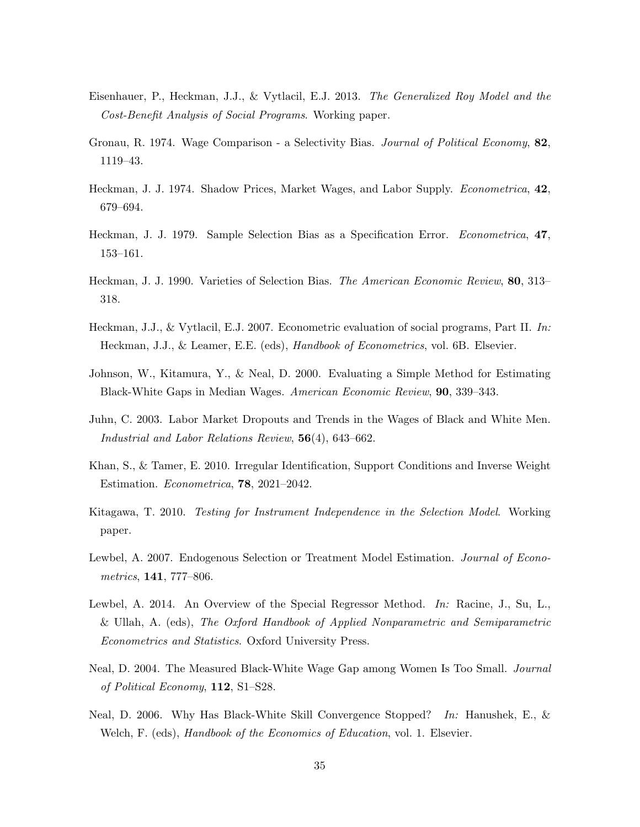- <span id="page-36-13"></span>Eisenhauer, P., Heckman, J.J., & Vytlacil, E.J. 2013. The Generalized Roy Model and the Cost-Benefit Analysis of Social Programs. Working paper.
- <span id="page-36-0"></span>Gronau, R. 1974. Wage Comparison - a Selectivity Bias. Journal of Political Economy, 82, 1119–43.
- <span id="page-36-1"></span>Heckman, J. J. 1974. Shadow Prices, Market Wages, and Labor Supply. Econometrica, 42, 679–694.
- <span id="page-36-3"></span>Heckman, J. J. 1979. Sample Selection Bias as a Specification Error. Econometrica, 47, 153–161.
- <span id="page-36-2"></span>Heckman, J. J. 1990. Varieties of Selection Bias. The American Economic Review, 80, 313– 318.
- <span id="page-36-12"></span>Heckman, J.J., & Vytlacil, E.J. 2007. Econometric evaluation of social programs, Part II. In: Heckman, J.J., & Leamer, E.E. (eds), Handbook of Econometrics, vol. 6B. Elsevier.
- <span id="page-36-8"></span>Johnson, W., Kitamura, Y., & Neal, D. 2000. Evaluating a Simple Method for Estimating Black-White Gaps in Median Wages. American Economic Review, 90, 339–343.
- <span id="page-36-7"></span>Juhn, C. 2003. Labor Market Dropouts and Trends in the Wages of Black and White Men. Industrial and Labor Relations Review, 56(4), 643–662.
- <span id="page-36-6"></span>Khan, S., & Tamer, E. 2010. Irregular Identification, Support Conditions and Inverse Weight Estimation. Econometrica, 78, 2021–2042.
- <span id="page-36-11"></span>Kitagawa, T. 2010. Testing for Instrument Independence in the Selection Model. Working paper.
- <span id="page-36-4"></span>Lewbel, A. 2007. Endogenous Selection or Treatment Model Estimation. Journal of Econometrics, 141, 777–806.
- <span id="page-36-5"></span>Lewbel, A. 2014. An Overview of the Special Regressor Method. In: Racine, J., Su, L., & Ullah, A. (eds), The Oxford Handbook of Applied Nonparametric and Semiparametric Econometrics and Statistics. Oxford University Press.
- <span id="page-36-9"></span>Neal, D. 2004. The Measured Black-White Wage Gap among Women Is Too Small. Journal of Political Economy, 112, S1–S28.
- <span id="page-36-10"></span>Neal, D. 2006. Why Has Black-White Skill Convergence Stopped? In: Hanushek, E., & Welch, F. (eds), *Handbook of the Economics of Education*, vol. 1. Elsevier.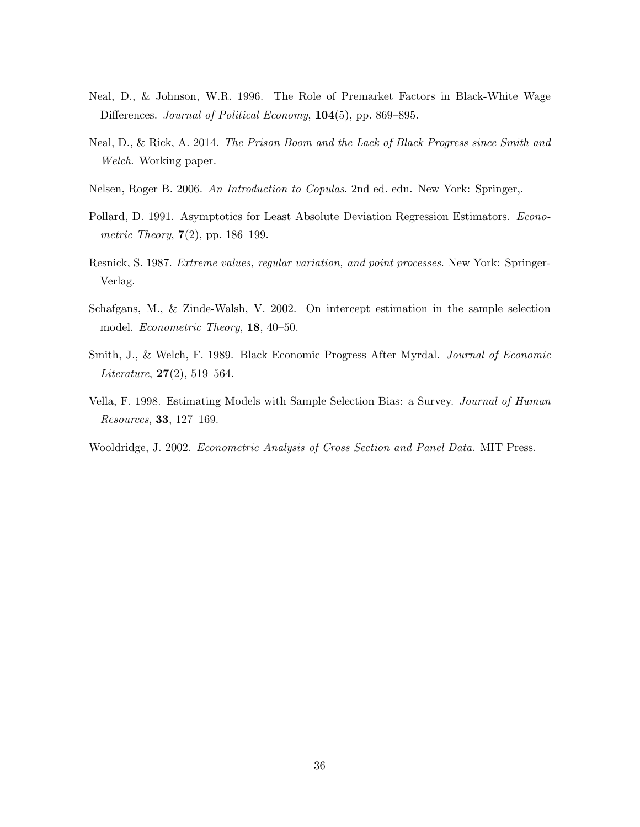- <span id="page-37-2"></span>Neal, D., & Johnson, W.R. 1996. The Role of Premarket Factors in Black-White Wage Differences. Journal of Political Economy, 104(5), pp. 869–895.
- <span id="page-37-3"></span>Neal, D., & Rick, A. 2014. The Prison Boom and the Lack of Black Progress since Smith and Welch. Working paper.
- <span id="page-37-5"></span>Nelsen, Roger B. 2006. An Introduction to Copulas. 2nd ed. edn. New York: Springer,.
- <span id="page-37-7"></span>Pollard, D. 1991. Asymptotics for Least Absolute Deviation Regression Estimators. Econometric Theory, 7(2), pp. 186–199.
- <span id="page-37-6"></span>Resnick, S. 1987. Extreme values, regular variation, and point processes. New York: Springer-Verlag.
- <span id="page-37-1"></span>Schafgans, M., & Zinde-Walsh, V. 2002. On intercept estimation in the sample selection model. Econometric Theory, 18, 40–50.
- <span id="page-37-4"></span>Smith, J., & Welch, F. 1989. Black Economic Progress After Myrdal. Journal of Economic Literature,  $27(2)$ , 519-564.
- <span id="page-37-0"></span>Vella, F. 1998. Estimating Models with Sample Selection Bias: a Survey. Journal of Human Resources, 33, 127–169.
- <span id="page-37-8"></span>Wooldridge, J. 2002. Econometric Analysis of Cross Section and Panel Data. MIT Press.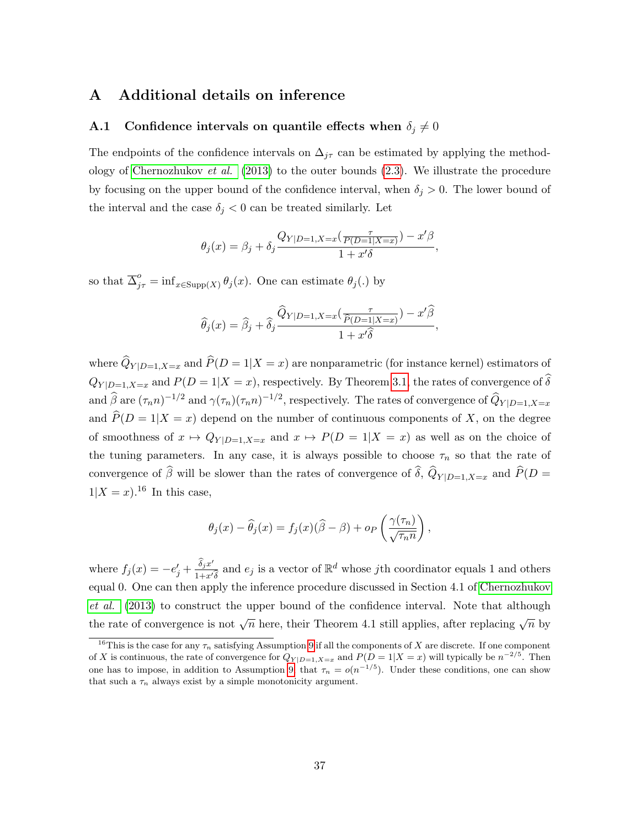## A Additional details on inference

### <span id="page-38-0"></span>A.1 Confidence intervals on quantile effects when  $\delta_j \neq 0$

The endpoints of the confidence intervals on  $\Delta_{j\tau}$  can be estimated by applying the methodology of [Chernozhukov](#page-35-4) et al. [\(2013\)](#page-35-4) to the outer bounds [\(2.3\)](#page-9-1). We illustrate the procedure by focusing on the upper bound of the confidence interval, when  $\delta_i > 0$ . The lower bound of the interval and the case  $\delta_j < 0$  can be treated similarly. Let

$$
\theta_j(x) = \beta_j + \delta_j \frac{Q_{Y|D=1, X=x}(\frac{\tau}{P(D=1|X=x)}) - x'\beta}{1 + x'\delta},
$$

so that  $\overline{\Delta}_{j\tau}^o = \inf_{x \in \text{Supp}(X)} \theta_j(x)$ . One can estimate  $\theta_j(.)$  by

$$
\widehat{\theta}_j(x) = \widehat{\beta}_j + \widehat{\delta}_j \frac{\widehat{Q}_{Y|D=1, X=x}(\frac{\tau}{\widehat{P}(D=1|X=x)}) - x'\widehat{\beta}}{1 + x'\widehat{\delta}},
$$

where  $Q_{Y|D=1,X=x}$  and  $P(D = 1|X = x)$  are nonparametric (for instance kernel) estimators of  $Q_{Y|D=1,X=x}$  and  $P(D=1|X=x)$ , respectively. By Theorem [3.1,](#page-16-0) the rates of convergence of  $\hat{\delta}$ and  $\hat{\beta}$  are  $(\tau_n n)^{-1/2}$  and  $\gamma(\tau_n)(\tau_n n)^{-1/2}$ , respectively. The rates of convergence of  $\hat{Q}_{Y|D=1,X=x}$ and  $\widehat{P}(D = 1|X = x)$  depend on the number of continuous components of X, on the degree of smoothness of  $x \mapsto Q_{Y|D=1,X=x}$  and  $x \mapsto P(D=1|X=x)$  as well as on the choice of the tuning parameters. In any case, it is always possible to choose  $\tau_n$  so that the rate of convergence of  $\beta$  will be slower than the rates of convergence of  $\delta$ ,  $Q_{Y|D=1,X=x}$  and  $P(D =$  $1|X = x$ .<sup>16</sup> In this case,

$$
\theta_j(x) - \widehat{\theta}_j(x) = f_j(x)(\widehat{\beta} - \beta) + o_P\left(\frac{\gamma(\tau_n)}{\sqrt{\tau_n n}}\right),
$$

where  $f_j(x) = -e'_j + \frac{\widehat{\delta}_j x'}{1 + x'}$  $\frac{\delta_j x'}{1+x'\delta}$  and  $e_j$  is a vector of  $\mathbb{R}^d$  whose *j*th coordinator equals 1 and others equal 0. One can then apply the inference procedure discussed in Section 4.1 of [Chernozhukov](#page-35-4) [et al.](#page-35-4) [\(2013\)](#page-35-4) to construct the upper bound of the confidence interval. Note that although the rate of convergence is not  $\sqrt{n}$  here, their Theorem 4.1 still applies, after replacing  $\sqrt{n}$  by

<sup>&</sup>lt;sup>16</sup>This is the case for any  $\tau_n$  satisfying Assumption [9](#page-15-1) if all the components of X are discrete. If one component of X is continuous, the rate of convergence for  $Q_{Y|D=1,X=x}$  and  $P(D=1|X=x)$  will typically be  $n^{-2/5}$ . Then one has to impose, in addition to Assumption [9,](#page-15-1) that  $\tau_n = o(n^{-1/5})$ . Under these conditions, one can show that such a  $\tau_n$  always exist by a simple monotonicity argument.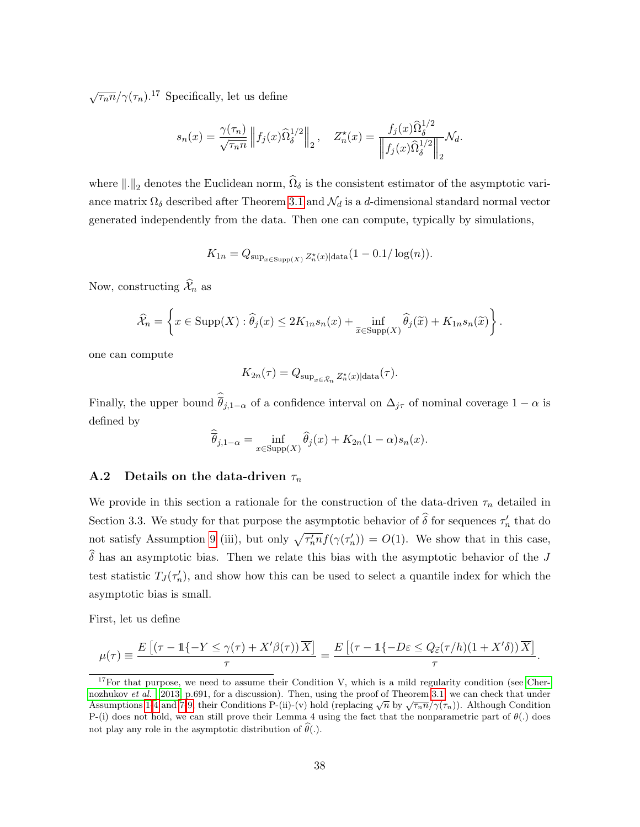$\sqrt{\tau_n n}/\gamma(\tau_n)$ .<sup>17</sup> Specifically, let us define

$$
s_n(x) = \frac{\gamma(\tau_n)}{\sqrt{\tau_n n}} \left\| f_j(x) \widehat{\Omega}_{\delta}^{1/2} \right\|_2, \quad Z_n^{\star}(x) = \frac{f_j(x) \widehat{\Omega}_{\delta}^{1/2}}{\left\| f_j(x) \widehat{\Omega}_{\delta}^{1/2} \right\|_2} \mathcal{N}_d.
$$

where  $\|.\|_2$  denotes the Euclidean norm,  $\Omega_\delta$  is the consistent estimator of the asymptotic variance matrix  $\Omega_{\delta}$  described after Theorem [3.1](#page-16-0) and  $\mathcal{N}_d$  is a d-dimensional standard normal vector generated independently from the data. Then one can compute, typically by simulations,

$$
K_{1n} = Q_{\sup_{x \in \text{Supp}(X)} Z_n^{\star}(x) | \text{data}}(1 - 0.1/\log(n)).
$$

Now, constructing  $\widehat{\mathcal{X}}_n$  as

$$
\widehat{\mathcal{X}}_n = \left\{ x \in \text{Supp}(X) : \widehat{\theta}_j(x) \le 2K_{1n} s_n(x) + \inf_{\widetilde{x} \in \text{Supp}(X)} \widehat{\theta}_j(\widetilde{x}) + K_{1n} s_n(\widetilde{x}) \right\}.
$$

one can compute

$$
K_{2n}(\tau) = Q_{\sup_{x \in \hat{\mathcal{X}}_n} Z_n^{\star}(x) | \text{data}}(\tau).
$$

Finally, the upper bound  $\bar{\theta}_{j,1-\alpha}$  of a confidence interval on  $\Delta_{j\tau}$  of nominal coverage  $1-\alpha$  is defined by

$$
\widehat{\overline{\theta}}_{j,1-\alpha} = \inf_{x \in \text{Supp}(X)} \widehat{\theta}_j(x) + K_{2n}(1-\alpha)s_n(x).
$$

## <span id="page-39-0"></span>A.2 Details on the data-driven  $\tau_n$

We provide in this section a rationale for the construction of the data-driven  $\tau_n$  detailed in Section 3.3. We study for that purpose the asymptotic behavior of  $\hat{\delta}$  for sequences  $\tau_n'$  that do not satisfy Assumption [9](#page-15-1) (iii), but only  $\sqrt{\tau_n' n} f(\gamma(\tau_n')) = O(1)$ . We show that in this case,  $\widehat{\delta}$  has an asymptotic bias. Then we relate this bias with the asymptotic behavior of the J test statistic  $T_J(\tau'_n)$ , and show how this can be used to select a quantile index for which the asymptotic bias is small.

First, let us define

$$
\mu(\tau) \equiv \frac{E\left[ (\tau - 1\{-Y \leq \gamma(\tau) + X'\beta(\tau))\overline{X} \right]}{\tau} = \frac{E\left[ (\tau - 1\{-D\varepsilon \leq Q_{\tilde{\varepsilon}}(\tau/h)(1 + X'\delta))\overline{X} \right]}{\tau}.
$$

 $17$  For that purpose, we need to assume their Condition V, which is a mild regularity condition (see [Cher](#page-35-4)[nozhukov](#page-35-4) et al. , [2013,](#page-35-4) p.691, for a discussion). Then, using the proof of Theorem [3.1,](#page-16-0) we can check that under hoznukov *et al.*, 2013, p.091, for a discussion). Then, using the proof of Theorem 3.1, we can check that under<br>Assumptions [1-](#page-7-0)[4](#page-7-3) and [7-](#page-15-2)[9,](#page-15-1) their Conditions P-(ii)-(v) hold (replacing  $\sqrt{n}$  by  $\sqrt{\tau_n n}/\gamma(\tau_n)$ ). Although C P-(i) does not hold, we can still prove their Lemma 4 using the fact that the nonparametric part of  $\theta(.)$  does not play any role in the asymptotic distribution of  $\widehat{\theta}(.)$ .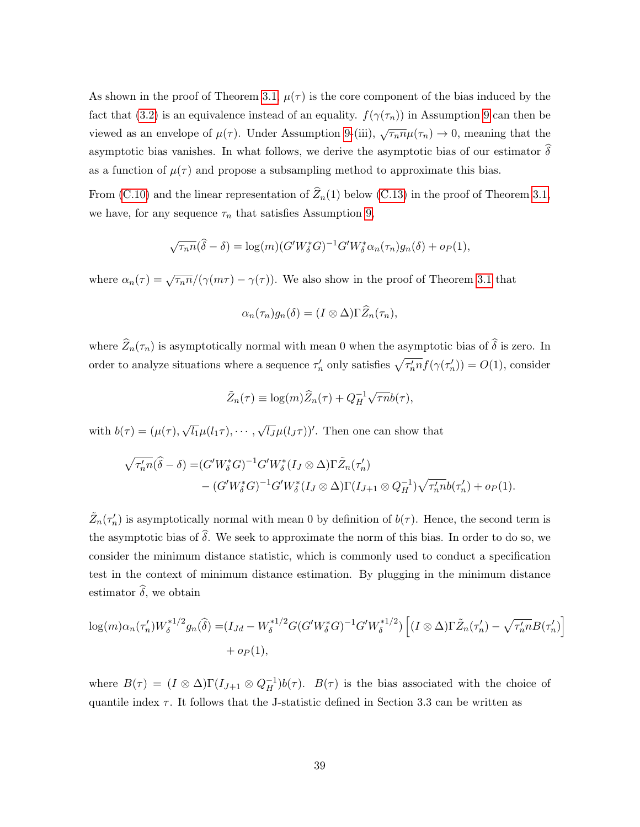As shown in the proof of Theorem [3.1,](#page-16-0)  $\mu(\tau)$  is the core component of the bias induced by the fact that [\(3.2\)](#page-12-0) is an equivalence instead of an equality.  $f(\gamma(\tau_n))$  in Assumption [9](#page-15-1) can then be viewed as an envelope of  $\mu(\tau)$ . Under Assumption [9-](#page-15-1)(iii),  $\sqrt{\tau_n n}\mu(\tau_n) \to 0$ , meaning that the asymptotic bias vanishes. In what follows, we derive the asymptotic bias of our estimator  $\delta$ as a function of  $\mu(\tau)$  and propose a subsampling method to approximate this bias.

From [\(C.10\)](#page-52-0) and the linear representation of  $\widehat{Z}_n(1)$  below [\(C.13\)](#page-52-1) in the proof of Theorem [3.1,](#page-16-0) we have, for any sequence  $\tau_n$  that satisfies Assumption [9,](#page-15-1)

$$
\sqrt{\tau_n n}(\widehat{\delta}-\delta) = \log(m) (G'W^*_{\delta}G)^{-1}G'W^*_{\delta}\alpha_n(\tau_n)g_n(\delta) + op(1),
$$

where  $\alpha_n(\tau) = \sqrt{\tau_n n}/(\gamma(m\tau) - \gamma(\tau))$ . We also show in the proof of Theorem [3.1](#page-16-0) that

$$
\alpha_n(\tau_n)g_n(\delta)=(I\otimes\Delta)\Gamma\widehat{Z}_n(\tau_n),
$$

where  $\widehat{Z}_n(\tau_n)$  is asymptotically normal with mean 0 when the asymptotic bias of  $\widehat{\delta}$  is zero. In order to analyze situations where a sequence  $\tau'_n$  only satisfies  $\sqrt{\tau'_n n} f(\gamma(\tau'_n)) = O(1)$ , consider

$$
\tilde{Z}_n(\tau) \equiv \log(m)\widehat{Z}_n(\tau) + Q_H^{-1}\sqrt{\tau n}b(\tau),
$$

with  $b(\tau) = (\mu(\tau)),$ √  $\overline{l_1}\mu(l_1\tau),\cdots,$  $\sqrt{l_J}\mu(l_J\tau)$ '. Then one can show that

$$
\sqrt{\tau_n' n}(\widehat{\delta} - \delta) = (G' W^*_{\delta} G)^{-1} G' W^*_{\delta} (I_J \otimes \Delta) \Gamma \tilde{Z}_n(\tau_n')
$$
  
 
$$
- (G' W^*_{\delta} G)^{-1} G' W^*_{\delta} (I_J \otimes \Delta) \Gamma (I_{J+1} \otimes Q_H^{-1}) \sqrt{\tau_n' n} b(\tau_n') + o_P(1).
$$

 $\tilde{Z}_n(\tau'_n)$  is asymptotically normal with mean 0 by definition of  $b(\tau)$ . Hence, the second term is the asymptotic bias of  $\hat{\delta}$ . We seek to approximate the norm of this bias. In order to do so, we consider the minimum distance statistic, which is commonly used to conduct a specification test in the context of minimum distance estimation. By plugging in the minimum distance estimator  $\widehat{\delta}$ , we obtain

$$
\log(m)\alpha_n(\tau'_n)W_{\delta}^{*1/2}g_n(\hat{\delta}) = (I_{Jd} - W_{\delta}^{*1/2}G(G'W_{\delta}^*G)^{-1}G'W_{\delta}^{*1/2})\left[ (I \otimes \Delta)\Gamma \tilde{Z}_n(\tau'_n) - \sqrt{\tau'_n n}B(\tau'_n) \right] + op(1),
$$

where  $B(\tau) = (I \otimes \Delta)\Gamma(I_{J+1} \otimes Q_H^{-1})b(\tau)$ .  $B(\tau)$  is the bias associated with the choice of quantile index  $\tau$ . It follows that the J-statistic defined in Section 3.3 can be written as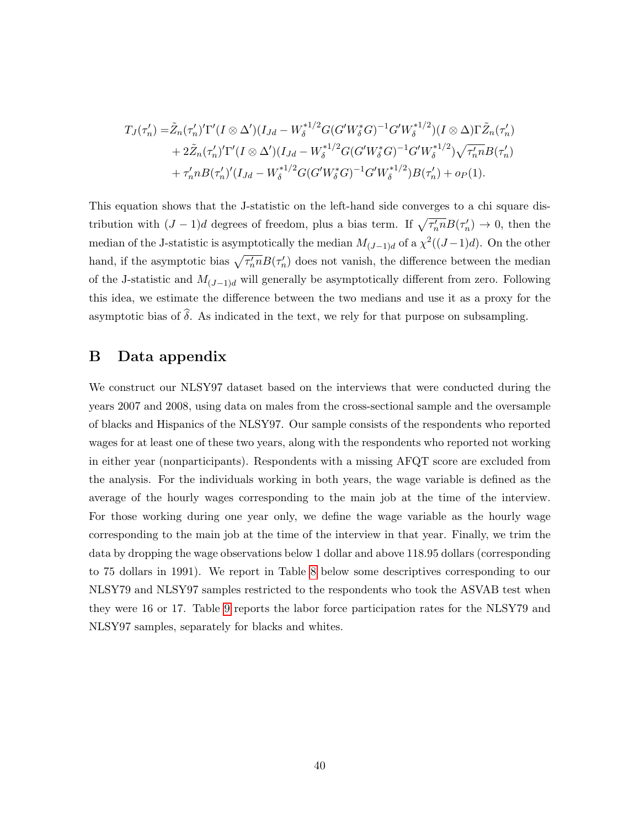$$
T_J(\tau'_n) = \tilde{Z}_n(\tau'_n)'\Gamma'(I \otimes \Delta')(I_{Jd} - W_{\delta}^{*1/2}G(G'W_{\delta}^*G)^{-1}G'W_{\delta}^{*1/2})(I \otimes \Delta)\Gamma \tilde{Z}_n(\tau'_n) + 2\tilde{Z}_n(\tau'_n)'\Gamma'(I \otimes \Delta')(I_{Jd} - W_{\delta}^{*1/2}G(G'W_{\delta}^*G)^{-1}G'W_{\delta}^{*1/2})\sqrt{\tau'_n n}B(\tau'_n) + \tau'_n nB(\tau'_n)'(I_{Jd} - W_{\delta}^{*1/2}G(G'W_{\delta}^*G)^{-1}G'W_{\delta}^{*1/2})B(\tau'_n) + op(1).
$$

This equation shows that the J-statistic on the left-hand side converges to a chi square distribution with  $(J-1)d$  degrees of freedom, plus a bias term. If  $\sqrt{\tau_n' n} B(\tau_n') \to 0$ , then the median of the J-statistic is asymptotically the median  $M_{(J-1)d}$  of a  $\chi^2((J-1)d)$ . On the other hand, if the asymptotic bias  $\sqrt{\tau_n' n} B(\tau_n')$  does not vanish, the difference between the median of the J-statistic and  $M_{(J-1)d}$  will generally be asymptotically different from zero. Following this idea, we estimate the difference between the two medians and use it as a proxy for the asymptotic bias of  $\hat{\delta}$ . As indicated in the text, we rely for that purpose on subsampling.

## B Data appendix

We construct our NLSY97 dataset based on the interviews that were conducted during the years 2007 and 2008, using data on males from the cross-sectional sample and the oversample of blacks and Hispanics of the NLSY97. Our sample consists of the respondents who reported wages for at least one of these two years, along with the respondents who reported not working in either year (nonparticipants). Respondents with a missing AFQT score are excluded from the analysis. For the individuals working in both years, the wage variable is defined as the average of the hourly wages corresponding to the main job at the time of the interview. For those working during one year only, we define the wage variable as the hourly wage corresponding to the main job at the time of the interview in that year. Finally, we trim the data by dropping the wage observations below 1 dollar and above 118.95 dollars (corresponding to 75 dollars in 1991). We report in Table [8](#page-42-1) below some descriptives corresponding to our NLSY79 and NLSY97 samples restricted to the respondents who took the ASVAB test when they were 16 or 17. Table [9](#page-42-0) reports the labor force participation rates for the NLSY79 and NLSY97 samples, separately for blacks and whites.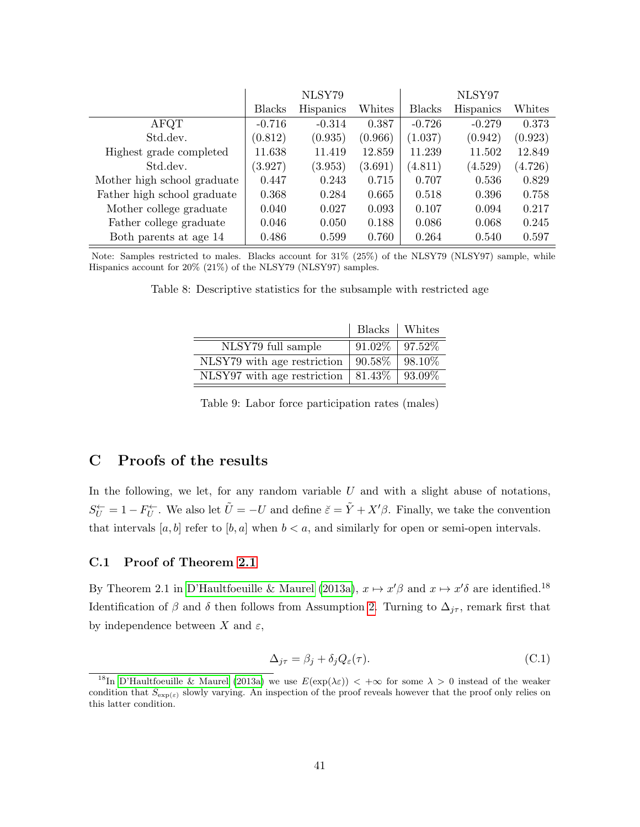<span id="page-42-1"></span>

|                             |               | NLSY79    |         |               | NLSY97           |         |
|-----------------------------|---------------|-----------|---------|---------------|------------------|---------|
|                             | <b>Blacks</b> | Hispanics | Whites  | <b>Blacks</b> | <b>Hispanics</b> | Whites  |
| AFQT                        | $-0.716$      | $-0.314$  | 0.387   | $-0.726$      | $-0.279$         | 0.373   |
| Std.dev.                    | (0.812)       | (0.935)   | (0.966) | (1.037)       | (0.942)          | (0.923) |
| Highest grade completed     | 11.638        | 11.419    | 12.859  | 11.239        | 11.502           | 12.849  |
| Std.dev.                    | (3.927)       | (3.953)   | (3.691) | (4.811)       | (4.529)          | (4.726) |
| Mother high school graduate | 0.447         | 0.243     | 0.715   | 0.707         | 0.536            | 0.829   |
| Father high school graduate | 0.368         | 0.284     | 0.665   | 0.518         | 0.396            | 0.758   |
| Mother college graduate     | 0.040         | 0.027     | 0.093   | 0.107         | 0.094            | 0.217   |
| Father college graduate     | 0.046         | 0.050     | 0.188   | 0.086         | 0.068            | 0.245   |
| Both parents at age 14      | 0.486         | 0.599     | 0.760   | 0.264         | 0.540            | 0.597   |

<span id="page-42-0"></span>Note: Samples restricted to males. Blacks account for 31% (25%) of the NLSY79 (NLSY97) sample, while Hispanics account for 20% (21%) of the NLSY79 (NLSY97) samples.

|  | Table 8: Descriptive statistics for the subsample with restricted age |  |  |
|--|-----------------------------------------------------------------------|--|--|
|  |                                                                       |  |  |

|                                             |                       | Blacks   Whites |
|---------------------------------------------|-----------------------|-----------------|
| NLSY79 full sample                          | $91.02\%$   $97.52\%$ |                 |
| NLSY79 with age restriction                 | $\vert$ 90.58%        | $98.10\%$       |
| NLSY97 with age restriction $\vert$ 81.43\% |                       | $ 93.09\%$      |

Table 9: Labor force participation rates (males)

## C Proofs of the results

In the following, we let, for any random variable  $U$  and with a slight abuse of notations,  $S_U^{\leftarrow} = 1 - F_U^{\leftarrow}$ . We also let  $\tilde{U} = -U$  and define  $\tilde{\varepsilon} = \tilde{Y} + X'\beta$ . Finally, we take the convention that intervals  $[a, b]$  refer to  $[b, a]$  when  $b < a$ , and similarly for open or semi-open intervals.

#### C.1 Proof of Theorem [2.1](#page-9-0)

By Theorem 2.1 in [D'Haultfoeuille & Maurel \(2013a\)](#page-35-2),  $x \mapsto x' \beta$  and  $x \mapsto x' \delta$  are identified.<sup>18</sup> Identification of  $\beta$  and  $\delta$  then follows from Assumption [2.](#page-7-1) Turning to  $\Delta_{j\tau}$ , remark first that by independence between X and  $\varepsilon$ ,

<span id="page-42-2"></span>
$$
\Delta_{j\tau} = \beta_j + \delta_j Q_{\varepsilon}(\tau). \tag{C.1}
$$

<sup>&</sup>lt;sup>18</sup>In [D'Haultfoeuille & Maurel](#page-35-2) [\(2013a\)](#page-35-2) we use  $E(\exp(\lambda \varepsilon)) < +\infty$  for some  $\lambda > 0$  instead of the weaker condition that  $S_{\exp(\varepsilon)}$  slowly varying. An inspection of the proof reveals however that the proof only relies on this latter condition.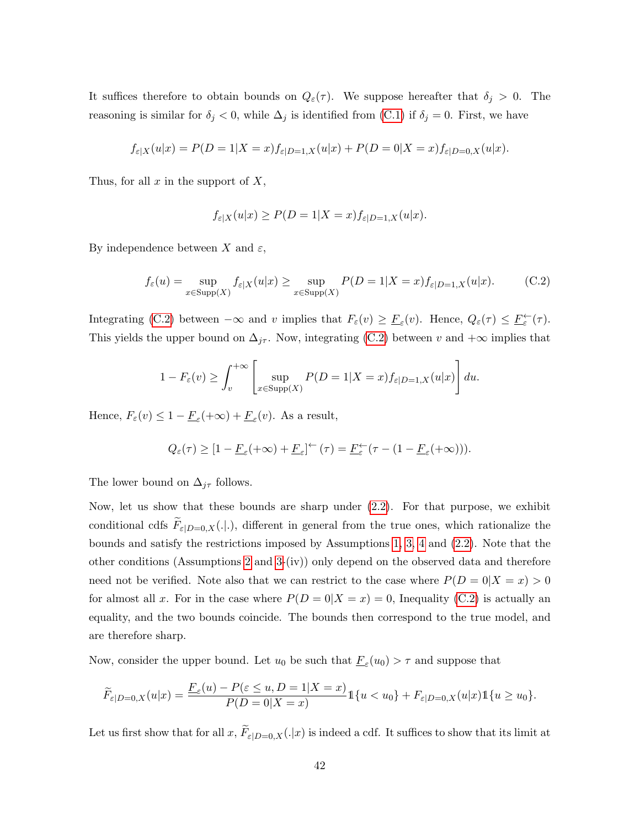It suffices therefore to obtain bounds on  $Q_{\varepsilon}(\tau)$ . We suppose hereafter that  $\delta_j > 0$ . The reasoning is similar for  $\delta_j < 0$ , while  $\Delta_j$  is identified from [\(C.1\)](#page-42-2) if  $\delta_j = 0$ . First, we have

$$
f_{\varepsilon|X}(u|x)=P(D=1|X=x)f_{\varepsilon|D=1,X}(u|x)+P(D=0|X=x)f_{\varepsilon|D=0,X}(u|x).
$$

Thus, for all  $x$  in the support of  $X$ ,

$$
f_{\varepsilon|X}(u|x) \ge P(D=1|X=x) f_{\varepsilon|D=1,X}(u|x).
$$

By independence between X and  $\varepsilon$ ,

<span id="page-43-0"></span>
$$
f_{\varepsilon}(u) = \sup_{x \in \text{Supp}(X)} f_{\varepsilon|X}(u|x) \ge \sup_{x \in \text{Supp}(X)} P(D = 1|X = x) f_{\varepsilon|D=1,X}(u|x). \tag{C.2}
$$

Integrating [\(C.2\)](#page-43-0) between  $-\infty$  and v implies that  $F_{\varepsilon}(v) \geq \underline{F}_{\varepsilon}(v)$ . Hence,  $Q_{\varepsilon}(\tau) \leq \underline{F}_{\varepsilon}^{\leftarrow}(\tau)$ . This yields the upper bound on  $\Delta_{j\tau}$ . Now, integrating [\(C.2\)](#page-43-0) between v and  $+\infty$  implies that

$$
1 - F_{\varepsilon}(v) \ge \int_v^{+\infty} \left[ \sup_{x \in \text{Supp}(X)} P(D=1|X=x) f_{\varepsilon|D=1,X}(u|x) \right] du.
$$

Hence,  $F_{\varepsilon}(v) \leq 1 - \underline{F}_{\varepsilon}(+\infty) + \underline{F}_{\varepsilon}(v)$ . As a result,

$$
Q_{\varepsilon}(\tau) \geq [1 - \underline{F}_{\varepsilon}(+\infty) + \underline{F}_{\varepsilon}]^{\leftarrow}(\tau) = \underline{F}_{\varepsilon}^{\leftarrow}(\tau - (1 - \underline{F}_{\varepsilon}(+\infty))).
$$

The lower bound on  $\Delta_{j\tau}$  follows.

Now, let us show that these bounds are sharp under [\(2.2\)](#page-9-0). For that purpose, we exhibit conditional cdfs  $F_{\varepsilon|D=0,X}(.\vert .),$  different in general from the true ones, which rationalize the bounds and satisfy the restrictions imposed by Assumptions [1,](#page-7-0) [3,](#page-7-2) [4](#page-7-3) and [\(2.2\)](#page-9-0). Note that the other conditions (Assumptions [2](#page-7-1) and [3-](#page-7-2)(iv)) only depend on the observed data and therefore need not be verified. Note also that we can restrict to the case where  $P(D = 0|X = x) > 0$ for almost all x. For in the case where  $P(D = 0|X = x) = 0$ , Inequality [\(C.2\)](#page-43-0) is actually an equality, and the two bounds coincide. The bounds then correspond to the true model, and are therefore sharp.

Now, consider the upper bound. Let  $u_0$  be such that  $\underline{F}_\varepsilon(u_0) > \tau$  and suppose that

$$
\widetilde{F}_{\varepsilon|D=0,X}(u|x)=\frac{\underline{F}_{\varepsilon}(u)-P(\varepsilon\leq u,D=1|X=x)}{P(D=0|X=x)}1\{u
$$

Let us first show that for all  $x, F_{\varepsilon|D=0,X}(.|x)$  is indeed a cdf. It suffices to show that its limit at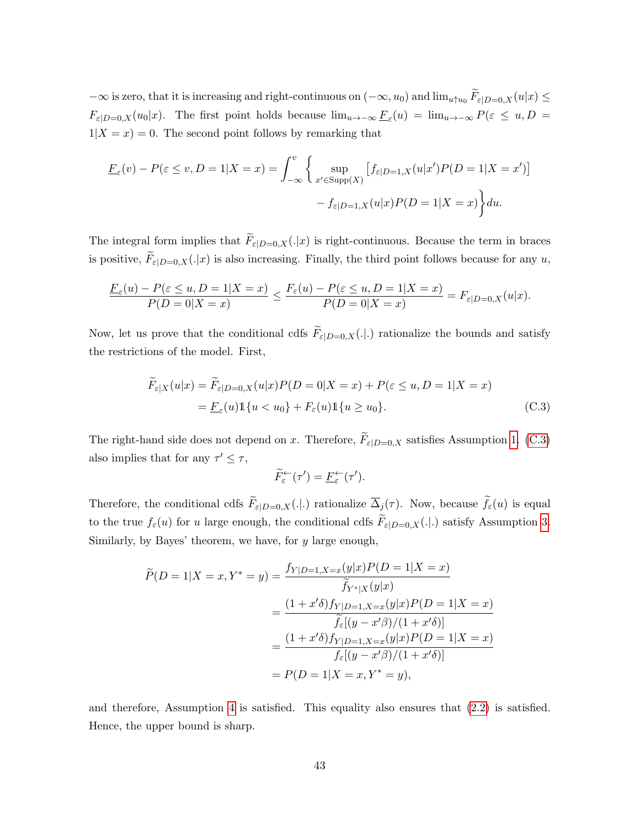$-\infty$  is zero, that it is increasing and right-continuous on  $(-\infty, u_0)$  and  $\lim_{u\uparrow u_0} F_{\varepsilon|D=0,X}(u|x) \le$  $F_{\varepsilon|D=0,X}(u_0|x)$ . The first point holds because  $\lim_{u\to-\infty} \underline{F}_{\varepsilon}(u) = \lim_{u\to-\infty} P(\varepsilon \le u, D =$  $1|X = x$  = 0. The second point follows by remarking that

$$
\underline{F}_{\varepsilon}(v) - P(\varepsilon \le v, D = 1 | X = x) = \int_{-\infty}^{v} \left\{ \sup_{x' \in \text{Supp}(X)} \left[ f_{\varepsilon|D=1,X}(u|x')P(D = 1 | X = x') \right] - f_{\varepsilon|D=1,X}(u|x)P(D = 1 | X = x) \right\} du.
$$

The integral form implies that  $F_{\varepsilon|D=0,X}(.|x)$  is right-continuous. Because the term in braces is positive,  $F_{\varepsilon|D=0,X}(.|x)$  is also increasing. Finally, the third point follows because for any  $u$ ,

$$
\frac{F_\varepsilon(u)-P(\varepsilon\leq u,D=1|X=x)}{P(D=0|X=x)}\leq \frac{F_\varepsilon(u)-P(\varepsilon\leq u,D=1|X=x)}{P(D=0|X=x)}=F_{\varepsilon|D=0,X}(u|x).
$$

Now, let us prove that the conditional cdfs  $F_{\varepsilon|D=0,X}(.)$  rationalize the bounds and satisfy the restrictions of the model. First,

$$
\widetilde{F}_{\varepsilon|X}(u|x) = \widetilde{F}_{\varepsilon|D=0,X}(u|x)P(D=0|X=x) + P(\varepsilon \le u, D=1|X=x)
$$

$$
= \underline{F}_{\varepsilon}(u)\mathbb{1}\{u < u_0\} + F_{\varepsilon}(u)\mathbb{1}\{u \ge u_0\}. \tag{C.3}
$$

The right-hand side does not depend on x. Therefore,  $F_{\varepsilon|D=0,X}$  satisfies Assumption [1.](#page-7-0) [\(C.3\)](#page-44-0) also implies that for any  $\tau' \leq \tau$ ,

<span id="page-44-0"></span>
$$
\widetilde{F}_{\varepsilon}^{\leftarrow}(\tau') = \underline{F}_{\varepsilon}^{\leftarrow}(\tau').
$$

Therefore, the conditional cdfs  $F_{\varepsilon|D=0,X}(.)$  rationalize  $\overline{\Delta}_j(\tau)$ . Now, because  $f_{\varepsilon}(u)$  is equal to the true  $f_{\varepsilon}(u)$  for u large enough, the conditional cdfs  $F_{\varepsilon|D=0,X}(.)$  satisfy Assumption [3.](#page-7-2) Similarly, by Bayes' theorem, we have, for  $y$  large enough,

$$
\widetilde{P}(D = 1|X = x, Y^* = y) = \frac{f_{Y|D=1, X=x}(y|x)P(D = 1|X = x)}{\widetilde{f}_{Y^*|X}(y|x)} \n= \frac{(1 + x'\delta)f_{Y|D=1, X=x}(y|x)P(D = 1|X = x)}{\widetilde{f}_{\varepsilon}[(y - x'\beta)/(1 + x'\delta)]} \n= \frac{(1 + x'\delta)f_{Y|D=1, X=x}(y|x)P(D = 1|X = x)}{f_{\varepsilon}[(y - x'\beta)/(1 + x'\delta)]} \n= P(D = 1|X = x, Y^* = y),
$$

and therefore, Assumption [4](#page-7-3) is satisfied. This equality also ensures that  $(2.2)$  is satisfied. Hence, the upper bound is sharp.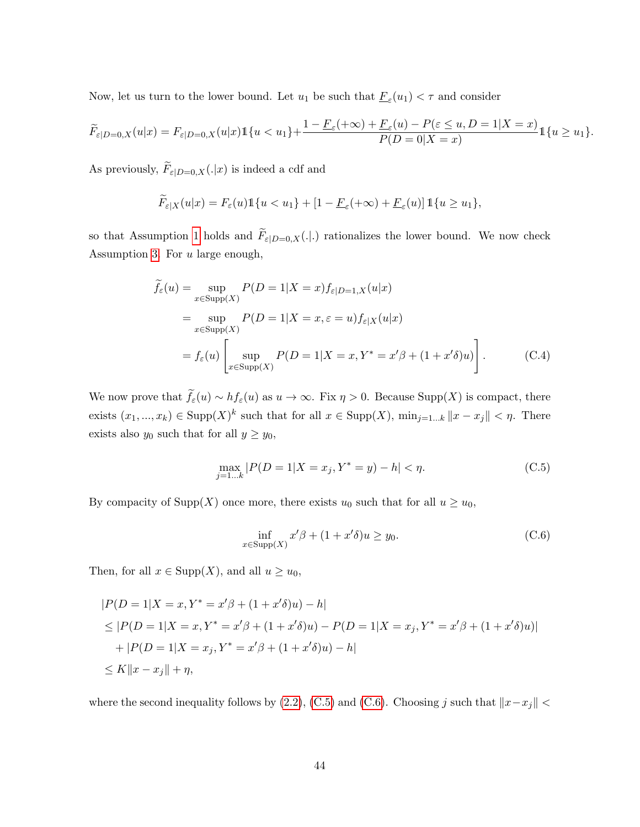Now, let us turn to the lower bound. Let  $u_1$  be such that  $\underline{F}_\varepsilon(u_1) < \tau$  and consider

$$
\widetilde{F}_{\varepsilon|D=0,X}(u|x) = F_{\varepsilon|D=0,X}(u|x)1\{u < u_1\} + \frac{1 - \underline{F}_{\varepsilon}(+\infty) + \underline{F}_{\varepsilon}(u) - P(\varepsilon \le u, D=1|X=x)}{P(D=0|X=x)}1\{u \ge u_1\}.
$$

As previously,  $F_{\varepsilon|D=0,X}(.|x)$  is indeed a cdf and

$$
\widetilde{F}_{\varepsilon|X}(u|x) = F_{\varepsilon}(u)1\{u < u_1\} + [1 - \underline{F}_{\varepsilon}(+\infty) + \underline{F}_{\varepsilon}(u)]1\{u \ge u_1\},\
$$

so that Assumption [1](#page-7-0) holds and  $F_{\varepsilon|D=0,X}(.\vert.)$  rationalizes the lower bound. We now check Assumption [3.](#page-7-2) For  $u$  large enough,

$$
\widetilde{f}_{\varepsilon}(u) = \sup_{x \in \text{Supp}(X)} P(D = 1 | X = x) f_{\varepsilon|D=1, X}(u|x)
$$
\n
$$
= \sup_{x \in \text{Supp}(X)} P(D = 1 | X = x, \varepsilon = u) f_{\varepsilon|X}(u|x)
$$
\n
$$
= f_{\varepsilon}(u) \left[ \sup_{x \in \text{Supp}(X)} P(D = 1 | X = x, Y^* = x'\beta + (1 + x'\delta)u) \right]. \tag{C.4}
$$

We now prove that  $\widetilde{f}_{\varepsilon}(u) \sim hf_{\varepsilon}(u)$  as  $u \to \infty$ . Fix  $\eta > 0$ . Because Supp $(X)$  is compact, there exists  $(x_1, ..., x_k) \in \text{Supp}(X)^k$  such that for all  $x \in \text{Supp}(X)$ ,  $\min_{j=1...k} ||x - x_j|| < \eta$ . There exists also  $y_0$  such that for all  $y \ge y_0$ ,

<span id="page-45-2"></span><span id="page-45-0"></span>
$$
\max_{j=1...k} |P(D=1|X=x_j, Y^* = y) - h| < \eta. \tag{C.5}
$$

By compacity of Supp(X) once more, there exists  $u_0$  such that for all  $u \ge u_0$ ,

<span id="page-45-1"></span>
$$
\inf_{x \in \text{Supp}(X)} x'\beta + (1 + x'\delta)u \ge y_0. \tag{C.6}
$$

Then, for all  $x \in \text{Supp}(X)$ , and all  $u \ge u_0$ ,

$$
|P(D = 1|X = x, Y^* = x'\beta + (1 + x'\delta)u) - h|
$$
  
\n
$$
\leq |P(D = 1|X = x, Y^* = x'\beta + (1 + x'\delta)u) - P(D = 1|X = x_j, Y^* = x'\beta + (1 + x'\delta)u)|
$$
  
\n
$$
+ |P(D = 1|X = x_j, Y^* = x'\beta + (1 + x'\delta)u) - h|
$$
  
\n
$$
\leq K||x - x_j|| + \eta,
$$

where the second inequality follows by [\(2.2\)](#page-9-0), [\(C.5\)](#page-45-0) and [\(C.6\)](#page-45-1). Choosing j such that  $||x-x_j|| <$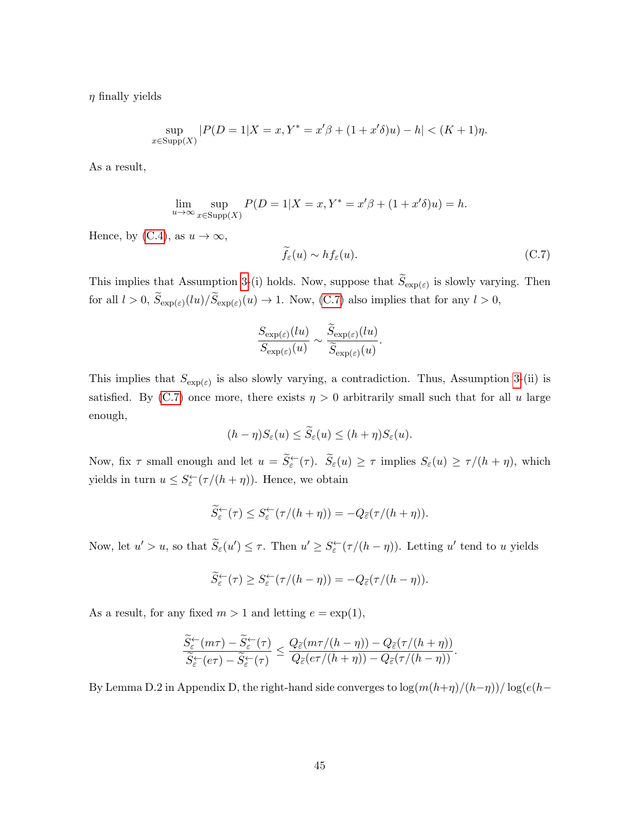$\eta$  finally yields

$$
\sup_{x \in \text{Supp}(X)} |P(D = 1|X = x, Y^* = x'\beta + (1 + x'\delta)u) - h| < (K + 1)\eta.
$$

As a result,

$$
\lim_{u \to \infty} \sup_{x \in \text{Supp}(X)} P(D = 1 | X = x, Y^* = x'\beta + (1 + x'\delta)u) = h.
$$

Hence, by  $(C.4)$ , as  $u \to \infty$ ,

<span id="page-46-0"></span>
$$
\widetilde{f}_{\varepsilon}(u) \sim h f_{\varepsilon}(u). \tag{C.7}
$$

This implies that Assumption [3-](#page-7-2)(i) holds. Now, suppose that  $S_{\exp(\varepsilon)}$  is slowly varying. Then for all  $l > 0$ ,  $S_{\exp(\varepsilon)}(lu)/S_{\exp(\varepsilon)}(u) \to 1$ . Now, [\(C.7\)](#page-46-0) also implies that for any  $l > 0$ ,

$$
\frac{S_{\exp(\varepsilon)}(lu)}{S_{\exp(\varepsilon)}(u)} \sim \frac{\widetilde{S}_{\exp(\varepsilon)}(lu)}{\widetilde{S}_{\exp(\varepsilon)}(u)}.
$$

This implies that  $S_{\exp(\varepsilon)}$  is also slowly varying, a contradiction. Thus, Assumption [3-](#page-7-2)(ii) is satisfied. By [\(C.7\)](#page-46-0) once more, there exists  $\eta > 0$  arbitrarily small such that for all u large enough,

$$
(h-\eta)S_{\varepsilon}(u)\leq \widetilde{S}_{\varepsilon}(u)\leq (h+\eta)S_{\varepsilon}(u).
$$

Now, fix  $\tau$  small enough and let  $u = \tilde{S}^{\leftarrow}_{\varepsilon}(\tau)$ .  $\tilde{S}_{\varepsilon}(u) \geq \tau$  implies  $S_{\varepsilon}(u) \geq \tau/(h + \eta)$ , which yields in turn  $u \leq S_{\varepsilon}^{\leftarrow}(\tau/(h+\eta))$ . Hence, we obtain

$$
\widetilde{S}_{\varepsilon}^{\leftarrow}(\tau) \leq S_{\varepsilon}^{\leftarrow}(\tau/(h+\eta)) = -Q_{\widetilde{\varepsilon}}(\tau/(h+\eta)).
$$

Now, let  $u' > u$ , so that  $\widetilde{S}_{\varepsilon}(u') \leq \tau$ . Then  $u' \geq S_{\varepsilon}^{\leftarrow}(\tau/(h - \eta))$ . Letting u' tend to u yields

$$
\widetilde{S}_{\varepsilon}^{\leftarrow}(\tau) \geq S_{\varepsilon}^{\leftarrow}(\tau/(h-\eta)) = -Q_{\widetilde{\varepsilon}}(\tau/(h-\eta)).
$$

As a result, for any fixed  $m > 1$  and letting  $e = \exp(1)$ ,

$$
\frac{\widetilde{S}_{\varepsilon}^{\leftarrow}(m\tau) - \widetilde{S}_{\varepsilon}^{\leftarrow}(\tau)}{\widetilde{S}_{\varepsilon}^{\leftarrow}(e\tau) - \widetilde{S}_{\varepsilon}^{\leftarrow}(\tau)} \leq \frac{Q_{\widetilde{\varepsilon}}(m\tau/(h-\eta)) - Q_{\widetilde{\varepsilon}}(\tau/(h+\eta))}{Q_{\widetilde{\varepsilon}}(e\tau/(h+\eta)) - Q_{\widetilde{\varepsilon}}(\tau/(h-\eta))}.
$$

By Lemma D.2 in Appendix D, the right-hand side converges to  $\log(m(h+\eta)/(h-\eta))/\log(e(h-\eta))$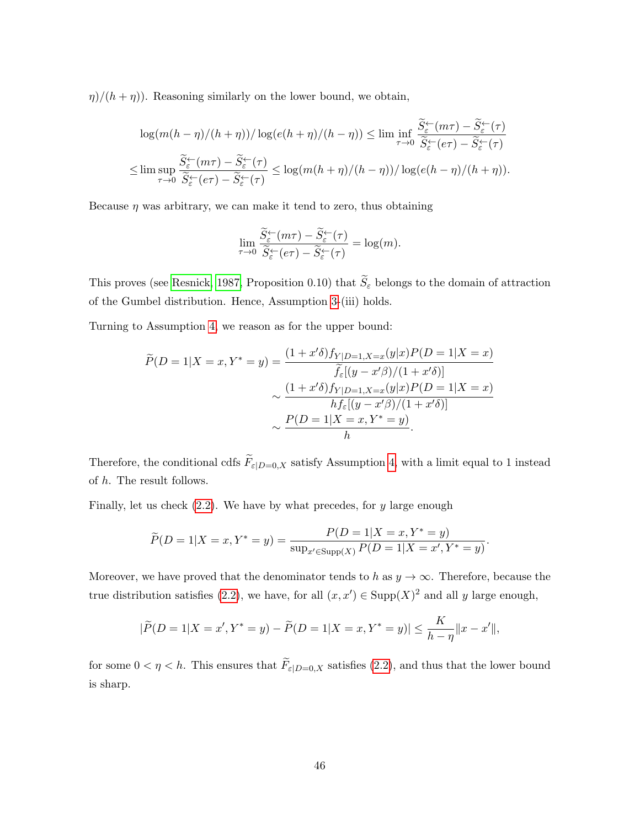$\eta$ /(h +  $\eta$ )). Reasoning similarly on the lower bound, we obtain,

$$
\log(m(h-\eta)/(h+\eta))/\log(e(h+\eta)/(h-\eta)) \leq \liminf_{\tau \to 0} \frac{\widetilde{S}_{\varepsilon}^{\leftarrow}(m\tau) - \widetilde{S}_{\varepsilon}^{\leftarrow}(\tau)}{\widetilde{S}_{\varepsilon}^{\leftarrow}(e\tau) - \widetilde{S}_{\varepsilon}^{\leftarrow}(\tau)}
$$
  

$$
\leq \limsup_{\tau \to 0} \frac{\widetilde{S}_{\varepsilon}^{\leftarrow}(m\tau) - \widetilde{S}_{\varepsilon}^{\leftarrow}(\tau)}{\widetilde{S}_{\varepsilon}^{\leftarrow}(e\tau) - \widetilde{S}_{\varepsilon}^{\leftarrow}(\tau)} \leq \log(m(h+\eta)/(h-\eta))/\log(e(h-\eta)/(h+\eta)).
$$

Because  $\eta$  was arbitrary, we can make it tend to zero, thus obtaining

$$
\lim_{\tau \to 0} \frac{\widetilde{S}_{\varepsilon}^{\leftarrow}(m\tau) - \widetilde{S}_{\varepsilon}^{\leftarrow}(\tau)}{\widetilde{S}_{\varepsilon}^{\leftarrow}(e\tau) - \widetilde{S}_{\varepsilon}^{\leftarrow}(\tau)} = \log(m).
$$

This proves (see [Resnick, 1987,](#page-37-6) Proposition 0.10) that  $\widetilde{S}_{\varepsilon}$  belongs to the domain of attraction of the Gumbel distribution. Hence, Assumption [3-](#page-7-2)(iii) holds.

Turning to Assumption [4,](#page-7-3) we reason as for the upper bound:

$$
\widetilde{P}(D = 1|X = x, Y^* = y) = \frac{(1 + x'\delta)f_{Y|D=1, X=x}(y|x)P(D = 1|X = x)}{\widetilde{f}_{\varepsilon}[(y - x'\beta)/(1 + x'\delta)]}
$$

$$
\sim \frac{(1 + x'\delta)f_{Y|D=1, X=x}(y|x)P(D = 1|X = x)}{hf_{\varepsilon}[(y - x'\beta)/(1 + x'\delta)]}
$$

$$
\sim \frac{P(D = 1|X = x, Y^* = y)}{h}.
$$

Therefore, the conditional cdfs  $F_{\varepsilon|D=0,X}$  satisfy Assumption [4,](#page-7-3) with a limit equal to 1 instead of h. The result follows.

Finally, let us check  $(2.2)$ . We have by what precedes, for y large enough

$$
\widetilde{P}(D=1|X=x,Y^*=y) = \frac{P(D=1|X=x,Y^*=y)}{\sup_{x'\in \text{Supp}(X)} P(D=1|X=x',Y^*=y)}.
$$

Moreover, we have proved that the denominator tends to h as  $y \to \infty$ . Therefore, because the true distribution satisfies [\(2.2\)](#page-9-0), we have, for all  $(x, x') \in \text{Supp}(X)^2$  and all y large enough,

$$
|\widetilde{P}(D=1|X=x', Y^* = y) - \widetilde{P}(D=1|X=x, Y^* = y)| \le \frac{K}{h-\eta}||x-x'||,
$$

for some  $0 < \eta < h$ . This ensures that  $F_{\varepsilon|D=0,X}$  satisfies [\(2.2\)](#page-9-0), and thus that the lower bound is sharp.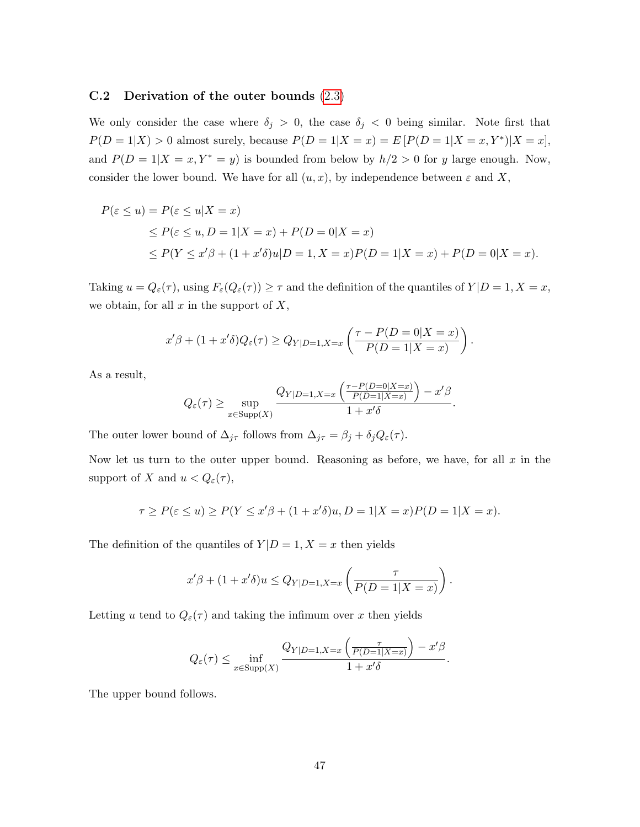### <span id="page-48-0"></span>C.2 Derivation of the outer bounds [\(2.3\)](#page-9-1)

We only consider the case where  $\delta_j > 0$ , the case  $\delta_j < 0$  being similar. Note first that  $P(D = 1|X) > 0$  almost surely, because  $P(D = 1|X = x) = E[P(D = 1|X = x, Y^*)|X = x]$ , and  $P(D = 1|X = x, Y^* = y)$  is bounded from below by  $h/2 > 0$  for y large enough. Now, consider the lower bound. We have for all  $(u, x)$ , by independence between  $\varepsilon$  and X,

$$
P(\varepsilon \le u) = P(\varepsilon \le u | X = x)
$$
  
\n
$$
\le P(\varepsilon \le u, D = 1 | X = x) + P(D = 0 | X = x)
$$
  
\n
$$
\le P(Y \le x'\beta + (1 + x'\delta)u | D = 1, X = x)P(D = 1 | X = x) + P(D = 0 | X = x).
$$

Taking  $u = Q_{\varepsilon}(\tau)$ , using  $F_{\varepsilon}(Q_{\varepsilon}(\tau)) \geq \tau$  and the definition of the quantiles of  $Y|D = 1, X = x$ , we obtain, for all  $x$  in the support of  $X$ ,

$$
x'\beta + (1+x'\delta)Q_{\varepsilon}(\tau) \ge Q_{Y|D=1,X=x}\left(\frac{\tau - P(D=0|X=x)}{P(D=1|X=x)}\right).
$$

As a result,

$$
Q_{\varepsilon}(\tau) \ge \sup_{x \in \text{Supp}(X)} \frac{Q_{Y|D=1, X=x} \left( \frac{\tau - P(D=0|X=x)}{P(D=1|X=x)} \right) - x'\beta}{1 + x'\delta}
$$

.

The outer lower bound of  $\Delta_{j\tau}$  follows from  $\Delta_{j\tau} = \beta_j + \delta_j Q_{\varepsilon}(\tau)$ .

Now let us turn to the outer upper bound. Reasoning as before, we have, for all  $x$  in the support of X and  $u < Q_{\varepsilon}(\tau)$ ,

$$
\tau \ge P(\varepsilon \le u) \ge P(Y \le x'\beta + (1 + x'\delta)u, D = 1|X = x)P(D = 1|X = x).
$$

The definition of the quantiles of  $Y|D=1, X=x$  then yields

$$
x'\beta + (1+x'\delta)u \le Q_{Y|D=1,X=x}\left(\frac{\tau}{P(D=1|X=x)}\right).
$$

Letting u tend to  $Q_{\varepsilon}(\tau)$  and taking the infimum over x then yields

$$
Q_{\varepsilon}(\tau) \le \inf_{x \in \text{Supp}(X)} \frac{Q_{Y|D=1, X=x} \left( \frac{\tau}{P(D=1|X=x)} \right) - x'\beta}{1 + x'\delta}.
$$

The upper bound follows.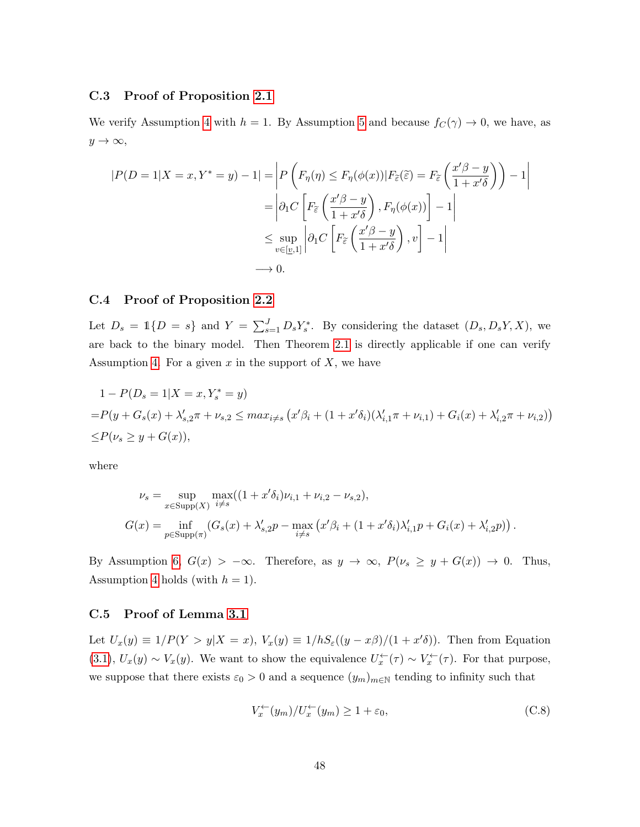#### C.3 Proof of Proposition [2.1](#page-10-1)

We verify Assumption [4](#page-7-3) with  $h = 1$ . By Assumption [5](#page-10-0) and because  $f_C(\gamma) \to 0$ , we have, as  $y \to \infty$ ,

$$
|P(D = 1|X = x, Y^* = y) - 1| = \left| P\left(F_{\eta}(\eta) \le F_{\eta}(\phi(x)) | F_{\tilde{\varepsilon}}(\tilde{\varepsilon}) = F_{\tilde{\varepsilon}}\left(\frac{x'\beta - y}{1 + x'\delta}\right) - 1\right|
$$
  

$$
= \left| \partial_1 C \left[ F_{\tilde{\varepsilon}}\left(\frac{x'\beta - y}{1 + x'\delta}\right), F_{\eta}(\phi(x)) \right] - 1 \right|
$$
  

$$
\le \sup_{v \in [v, 1]} \left| \partial_1 C \left[ F_{\tilde{\varepsilon}}\left(\frac{x'\beta - y}{1 + x'\delta}\right), v \right] - 1 \right|
$$
  

$$
\to 0.
$$

#### C.4 Proof of Proposition [2.2](#page-11-1)

Let  $D_s = \mathbb{1}{D = s}$  and  $Y = \sum_{s=1}^{J} D_s Y_s^*$ . By considering the dataset  $(D_s, D_s Y, X)$ , we are back to the binary model. Then Theorem [2.1](#page-9-0) is directly applicable if one can verify Assumption [4.](#page-7-3) For a given  $x$  in the support of  $X$ , we have

$$
1 - P(D_s = 1 | X = x, Y_s^* = y)
$$
  
=  $P(y + G_s(x) + \lambda'_{s,2}\pi + \nu_{s,2} \le max_{i \neq s} (x'\beta_i + (1 + x'\delta_i)(\lambda'_{i,1}\pi + \nu_{i,1}) + G_i(x) + \lambda'_{i,2}\pi + \nu_{i,2}))$   
 $\le P(\nu_s \ge y + G(x)),$ 

where

$$
\nu_s = \sup_{x \in \text{Supp}(X)} \max_{i \neq s} ((1 + x' \delta_i) \nu_{i,1} + \nu_{i,2} - \nu_{s,2}),
$$
  

$$
G(x) = \inf_{p \in \text{Supp}(\pi)} (G_s(x) + \lambda'_{s,2}p - \max_{i \neq s} (x' \beta_i + (1 + x' \delta_i) \lambda'_{i,1}p + G_i(x) + \lambda'_{i,2}p)).
$$

By Assumption [6,](#page-11-4)  $G(x) > -\infty$ . Therefore, as  $y \to \infty$ ,  $P(\nu_s \ge y + G(x)) \to 0$ . Thus, Assumption [4](#page-7-3) holds (with  $h = 1$ ).

#### C.5 Proof of Lemma [3.1](#page-12-0)

Let  $U_x(y) \equiv 1/P(Y > y | X = x)$ ,  $V_x(y) \equiv 1/hS_{\varepsilon}((y - x\beta)/(1 + x'\delta))$ . Then from Equation [\(3.1\)](#page-12-1),  $U_x(y) \sim V_x(y)$ . We want to show the equivalence  $U_x^{\leftarrow}(\tau) \sim V_x^{\leftarrow}(\tau)$ . For that purpose, we suppose that there exists  $\varepsilon_0 > 0$  and a sequence  $(y_m)_{m \in \mathbb{N}}$  tending to infinity such that

<span id="page-49-0"></span>
$$
V_x^{\leftarrow}(y_m)/U_x^{\leftarrow}(y_m) \ge 1 + \varepsilon_0,\tag{C.8}
$$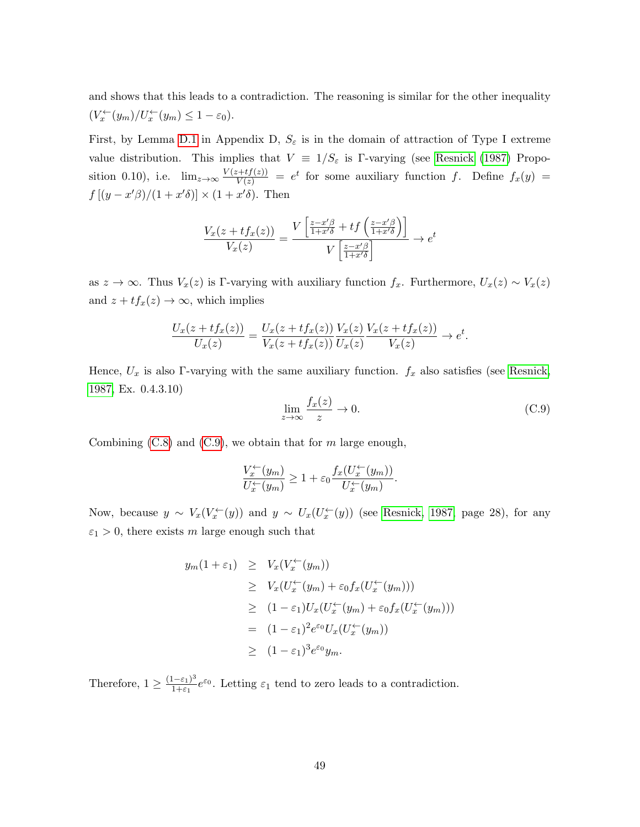and shows that this leads to a contradiction. The reasoning is similar for the other inequality  $(V_x^{\leftarrow}(y_m)/U_x^{\leftarrow}(y_m) \leq 1 - \varepsilon_0).$ 

First, by Lemma [D.1](#page-60-0) in Appendix D,  $S_{\varepsilon}$  is in the domain of attraction of Type I extreme value distribution. This implies that  $V = 1/S_{\varepsilon}$  is Γ-varying (see [Resnick \(1987\)](#page-37-6) Proposition 0.10), i.e.  $\lim_{z\to\infty}\frac{V(z+tf(z))}{V(z)}=e^t$  for some auxiliary function f. Define  $f_x(y)=$  $f[(y-x'\beta)/(1+x'\delta)] \times (1+x'\delta)$ . Then

$$
\frac{V_x(z + tf_x(z))}{V_x(z)} = \frac{V\left[\frac{z - x'\beta}{1 + x'\delta} + tf\left(\frac{z - x'\beta}{1 + x'\delta}\right)\right]}{V\left[\frac{z - x'\beta}{1 + x'\delta}\right]} \to e^t
$$

as  $z \to \infty$ . Thus  $V_x(z)$  is Γ-varying with auxiliary function  $f_x$ . Furthermore,  $U_x(z) \sim V_x(z)$ and  $z + tf_x(z) \rightarrow \infty$ , which implies

$$
\frac{U_x(z+tf_x(z))}{U_x(z)} = \frac{U_x(z+tf_x(z))}{V_x(z+tf_x(z))} \frac{V_x(z)}{U_x(z)} \frac{V_x(z+tf_x(z))}{V_x(z)} \rightarrow e^t.
$$

Hence,  $U_x$  is also Γ-varying with the same auxiliary function.  $f_x$  also satisfies (see [Resnick,](#page-37-6) [1987,](#page-37-6) Ex. 0.4.3.10)  $f(x)$ 

<span id="page-50-0"></span>
$$
\lim_{z \to \infty} \frac{f_x(z)}{z} \to 0. \tag{C.9}
$$

Combining  $(C.8)$  and  $(C.9)$ , we obtain that for m large enough,

$$
\frac{V_x^{\leftarrow}(y_m)}{U_x^{\leftarrow}(y_m)} \geq 1 + \varepsilon_0 \frac{f_x(U_x^{\leftarrow}(y_m))}{U_x^{\leftarrow}(y_m)}.
$$

Now, because  $y \sim V_x(V_x^{\leftarrow}(y))$  and  $y \sim U_x(U_x^{\leftarrow}(y))$  (see [Resnick, 1987,](#page-37-6) page 28), for any  $\varepsilon_1 > 0$ , there exists m large enough such that

$$
y_m(1+\varepsilon_1) \geq V_x(V_x^{\leftarrow}(y_m))
$$
  
\n
$$
\geq V_x(U_x^{\leftarrow}(y_m) + \varepsilon_0 f_x(U_x^{\leftarrow}(y_m)))
$$
  
\n
$$
\geq (1-\varepsilon_1)U_x(U_x^{\leftarrow}(y_m) + \varepsilon_0 f_x(U_x^{\leftarrow}(y_m)))
$$
  
\n
$$
= (1-\varepsilon_1)^2 e^{\varepsilon_0} U_x(U_x^{\leftarrow}(y_m))
$$
  
\n
$$
\geq (1-\varepsilon_1)^3 e^{\varepsilon_0} y_m.
$$

Therefore,  $1 \geq \frac{(1-\varepsilon_1)^3}{1+\varepsilon_1}$  $\frac{1-\varepsilon_1}{1+\varepsilon_1}e^{\varepsilon_0}$ . Letting  $\varepsilon_1$  tend to zero leads to a contradiction.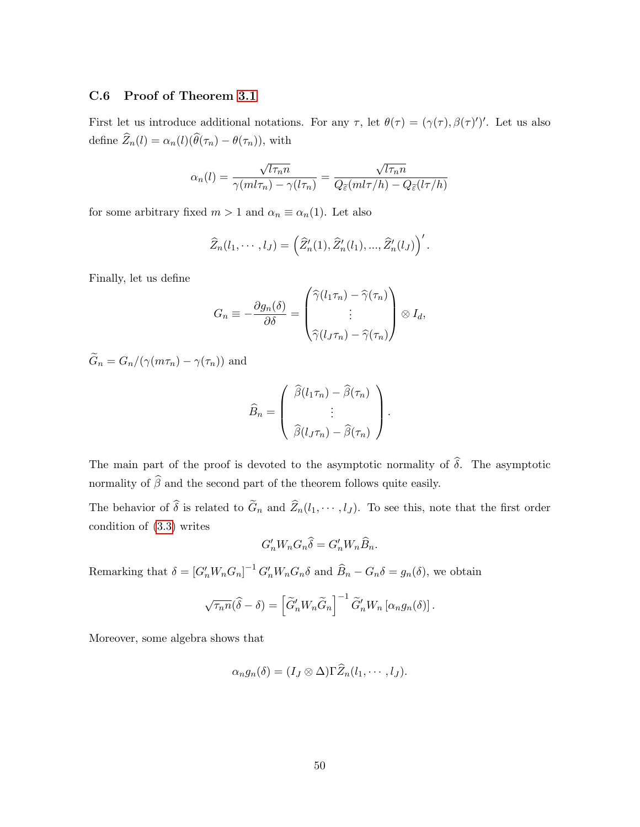#### C.6 Proof of Theorem [3.1](#page-16-0)

First let us introduce additional notations. For any  $\tau$ , let  $\theta(\tau) = (\gamma(\tau), \beta(\tau)')'$ . Let us also define  $\widehat{Z}_n(l) = \alpha_n(l)(\widehat{\theta}(\tau_n) - \theta(\tau_n)),$  with

$$
\alpha_n(l) = \frac{\sqrt{l\tau_n n}}{\gamma(m l\tau_n) - \gamma(l\tau_n)} = \frac{\sqrt{l\tau_n n}}{Q_{\tilde{\varepsilon}}(ml\tau/h) - Q_{\tilde{\varepsilon}}(l\tau/h)}
$$

for some arbitrary fixed  $m > 1$  and  $\alpha_n \equiv \alpha_n(1)$ . Let also

$$
\widehat{Z}_n(l_1,\cdots,l_J)=\left(\widehat{Z}'_n(1),\widehat{Z}'_n(l_1),...,\widehat{Z}'_n(l_J)\right)'.
$$

Finally, let us define

$$
G_n \equiv -\frac{\partial g_n(\delta)}{\partial \delta} = \begin{pmatrix} \widehat{\gamma}(l_1 \tau_n) - \widehat{\gamma}(\tau_n) \\ \vdots \\ \widehat{\gamma}(l_J \tau_n) - \widehat{\gamma}(\tau_n) \end{pmatrix} \otimes I_d,
$$

 $\widetilde{G}_n = G_n/(\gamma(m\tau_n) - \gamma(\tau_n))$  and

$$
\widehat{B}_n = \begin{pmatrix} \widehat{\beta}(l_1 \tau_n) - \widehat{\beta}(\tau_n) \\ \vdots \\ \widehat{\beta}(l_J \tau_n) - \widehat{\beta}(\tau_n) \end{pmatrix}.
$$

The main part of the proof is devoted to the asymptotic normality of  $\hat{\delta}$ . The asymptotic normality of  $\widehat{\beta}$  and the second part of the theorem follows quite easily.

The behavior of  $\hat{\delta}$  is related to  $\tilde{G}_n$  and  $\hat{Z}_n(l_1, \dots, l_J)$ . To see this, note that the first order condition of [\(3.3\)](#page-13-0) writes

$$
G'_n W_n G_n \hat{\delta} = G'_n W_n \hat{B}_n.
$$

Remarking that  $\delta = [G'_n W_n G_n]^{-1} G'_n W_n G_n \delta$  and  $\widehat{B}_n - G_n \delta = g_n(\delta)$ , we obtain

$$
\sqrt{\tau_n n}(\widehat{\delta}-\delta) = \left[\widetilde{G}'_n W_n \widetilde{G}_n\right]^{-1} \widetilde{G}'_n W_n \left[\alpha_n g_n(\delta)\right].
$$

Moreover, some algebra shows that

$$
\alpha_n g_n(\delta) = (I_J \otimes \Delta) \Gamma Z_n(l_1, \cdots, l_J).
$$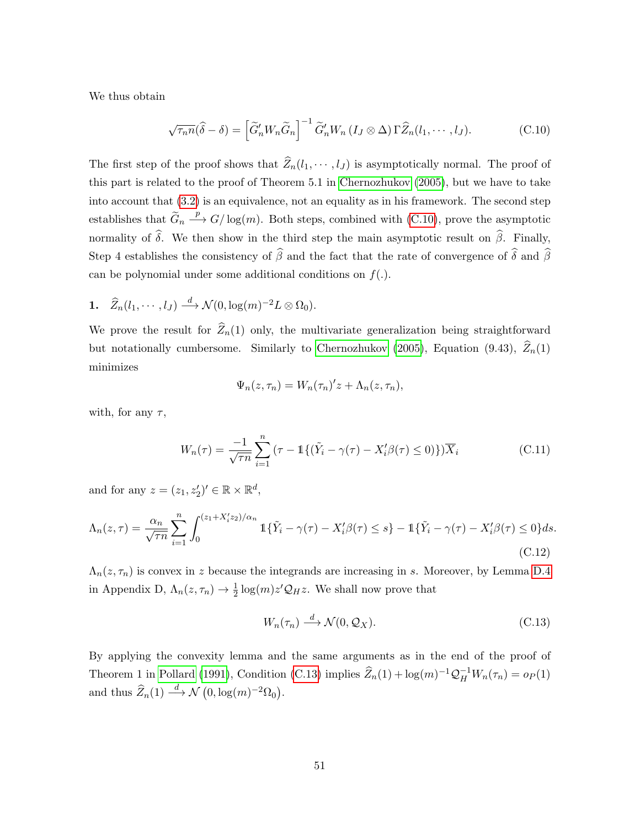We thus obtain

<span id="page-52-0"></span>
$$
\sqrt{\tau_n n}(\widehat{\delta} - \delta) = \left[ \widetilde{G}'_n W_n \widetilde{G}_n \right]^{-1} \widetilde{G}'_n W_n (I_J \otimes \Delta) \Gamma \widehat{Z}_n (l_1, \cdots, l_J). \tag{C.10}
$$

The first step of the proof shows that  $\widehat{Z}_n(l_1, \dots, l_J)$  is asymptotically normal. The proof of this part is related to the proof of Theorem 5.1 in [Chernozhukov \(2005\)](#page-35-3), but we have to take into account that [\(3.2\)](#page-12-0) is an equivalence, not an equality as in his framework. The second step establishes that  $\tilde{G}_n \stackrel{p}{\longrightarrow} G/\log(m)$ . Both steps, combined with [\(C.10\)](#page-52-0), prove the asymptotic normality of  $\hat{\delta}$ . We then show in the third step the main asymptotic result on  $\hat{\beta}$ . Finally, Step 4 establishes the consistency of  $\hat{\beta}$  and the fact that the rate of convergence of  $\hat{\delta}$  and  $\hat{\beta}$ can be polynomial under some additional conditions on  $f(.)$ .

1. 
$$
\widehat{Z}_n(l_1,\cdots,l_J)\stackrel{d}{\longrightarrow}\mathcal{N}(0,\log(m)^{-2}L\otimes\Omega_0).
$$

We prove the result for  $\hat{Z}_n(1)$  only, the multivariate generalization being straightforward but notationally cumbersome. Similarly to [Chernozhukov \(2005\)](#page-35-3), Equation (9.43),  $\hat{Z}_n(1)$ minimizes

$$
\Psi_n(z,\tau_n) = W_n(\tau_n)' z + \Lambda_n(z,\tau_n),
$$

with, for any  $\tau$ ,

$$
W_n(\tau) = \frac{-1}{\sqrt{\tau n}} \sum_{i=1}^n (\tau - 1\{ (\tilde{Y}_i - \gamma(\tau) - X_i'\beta(\tau) \le 0) \}) \overline{X}_i
$$
 (C.11)

and for any  $z = (z_1, z_2')' \in \mathbb{R} \times \mathbb{R}^d$ ,

<span id="page-52-2"></span>
$$
\Lambda_n(z,\tau) = \frac{\alpha_n}{\sqrt{\tau n}} \sum_{i=1}^n \int_0^{(z_1 + X_i' z_2)/\alpha_n} \mathbb{1}\{\tilde{Y}_i - \gamma(\tau) - X_i'\beta(\tau) \le s\} - \mathbb{1}\{\tilde{Y}_i - \gamma(\tau) - X_i'\beta(\tau) \le 0\} ds.
$$
\n(C.12)

 $\Lambda_n(z,\tau_n)$  is convex in z because the integrands are increasing in s. Moreover, by Lemma [D.4](#page-63-0) in Appendix D,  $\Lambda_n(z, \tau_n) \to \frac{1}{2} \log(m) z' \mathcal{Q}_H z$ . We shall now prove that

<span id="page-52-1"></span>
$$
W_n(\tau_n) \stackrel{d}{\longrightarrow} \mathcal{N}(0, \mathcal{Q}_X). \tag{C.13}
$$

By applying the convexity lemma and the same arguments as in the end of the proof of Theorem 1 in [Pollard \(1991\)](#page-37-7), Condition [\(C.13\)](#page-52-1) implies  $\widehat{Z}_n(1) + \log(m)^{-1} \mathcal{Q}_H^{-1} W_n(\tau_n) = o_P(1)$ and thus  $\widehat{Z}_n(1) \stackrel{d}{\longrightarrow} \mathcal{N}(0, \log(m)^{-2}\Omega_0)$ .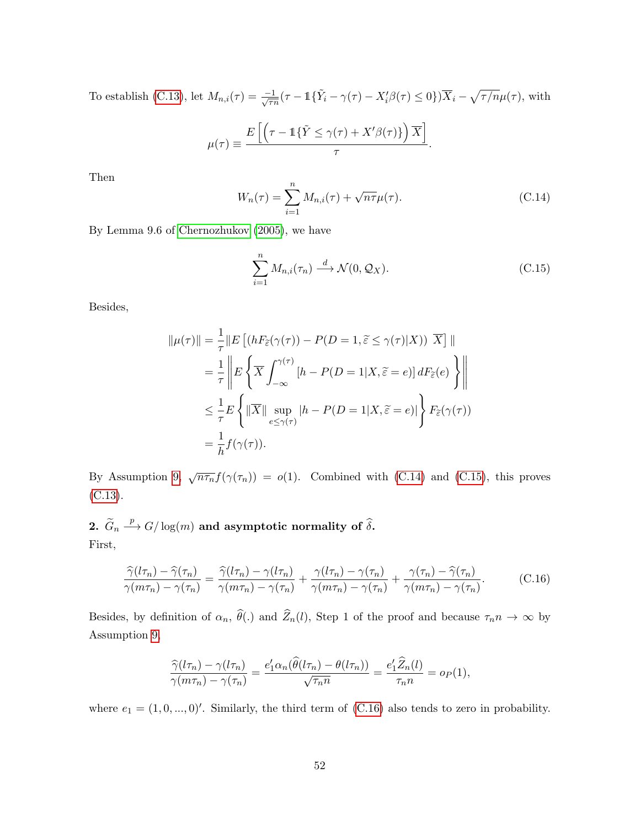To establish [\(C.13\)](#page-52-1), let  $M_{n,i}(\tau) = \frac{-1}{\sqrt{\tau n}} (\tau - 1 + \{\tilde{Y}_i - \gamma(\tau) - X_i'\beta(\tau) \le 0\}) \overline{X}_i - \sqrt{\tau/n} \mu(\tau)$ , with

$$
\mu(\tau) \equiv \frac{E\left[\left(\tau - \mathbb{1}\{\tilde{Y} \leq \gamma(\tau) + X'\beta(\tau)\}\right)\overline{X}\right]}{\tau}.
$$

Then

<span id="page-53-0"></span>
$$
W_n(\tau) = \sum_{i=1}^n M_{n,i}(\tau) + \sqrt{n\tau} \mu(\tau).
$$
 (C.14)

By Lemma 9.6 of [Chernozhukov \(2005\)](#page-35-3), we have

<span id="page-53-1"></span>
$$
\sum_{i=1}^{n} M_{n,i}(\tau_n) \stackrel{d}{\longrightarrow} \mathcal{N}(0, \mathcal{Q}_X). \tag{C.15}
$$

Besides,

$$
\|\mu(\tau)\| = \frac{1}{\tau} \|E\left[ (hF_{\tilde{\varepsilon}}(\gamma(\tau)) - P(D=1, \tilde{\varepsilon} \le \gamma(\tau)|X) ) \overline{X} \right] \|
$$
  
\n
$$
= \frac{1}{\tau} \left\| E \left\{ \overline{X} \int_{-\infty}^{\gamma(\tau)} [h - P(D=1|X, \tilde{\varepsilon} = e)] dF_{\tilde{\varepsilon}}(e) \right\} \right\|
$$
  
\n
$$
\le \frac{1}{\tau} E \left\{ \| \overline{X} \| \sup_{e \le \gamma(\tau)} |h - P(D=1|X, \tilde{\varepsilon} = e) | \right\} F_{\tilde{\varepsilon}}(\gamma(\tau))
$$
  
\n
$$
= \frac{1}{h} f(\gamma(\tau)).
$$

By Assumption [9,](#page-15-1)  $\sqrt{n\tau_n}f(\gamma(\tau_n)) = o(1)$ . Combined with [\(C.14\)](#page-53-0) and [\(C.15\)](#page-53-1), this proves [\(C.13\)](#page-52-1).

# 2.  $\widetilde{G}_n \stackrel{p}{\longrightarrow} G/\log(m)$  and asymptotic normality of  $\widehat{\delta}.$ First,

<span id="page-53-2"></span>
$$
\frac{\widehat{\gamma}(l\tau_n) - \widehat{\gamma}(\tau_n)}{\gamma(m\tau_n) - \gamma(\tau_n)} = \frac{\widehat{\gamma}(l\tau_n) - \gamma(l\tau_n)}{\gamma(m\tau_n) - \gamma(\tau_n)} + \frac{\gamma(l\tau_n) - \gamma(\tau_n)}{\gamma(m\tau_n) - \gamma(\tau_n)} + \frac{\gamma(\tau_n) - \widehat{\gamma}(\tau_n)}{\gamma(m\tau_n) - \gamma(\tau_n)}.
$$
(C.16)

Besides, by definition of  $\alpha_n$ ,  $\hat{\theta}(\cdot)$  and  $\hat{Z}_n(l)$ , Step 1 of the proof and because  $\tau_n n \to \infty$  by Assumption [9,](#page-15-1)

$$
\frac{\widehat{\gamma}(l\tau_n) - \gamma(l\tau_n)}{\gamma(m\tau_n) - \gamma(\tau_n)} = \frac{e'_1 \alpha_n(\widehat{\theta}(l\tau_n) - \theta(l\tau_n))}{\sqrt{\tau_n n}} = \frac{e'_1 \widehat{Z}_n(l)}{\tau_n n} = o_P(1),
$$

where  $e_1 = (1, 0, \ldots, 0)'$ . Similarly, the third term of [\(C.16\)](#page-53-2) also tends to zero in probability.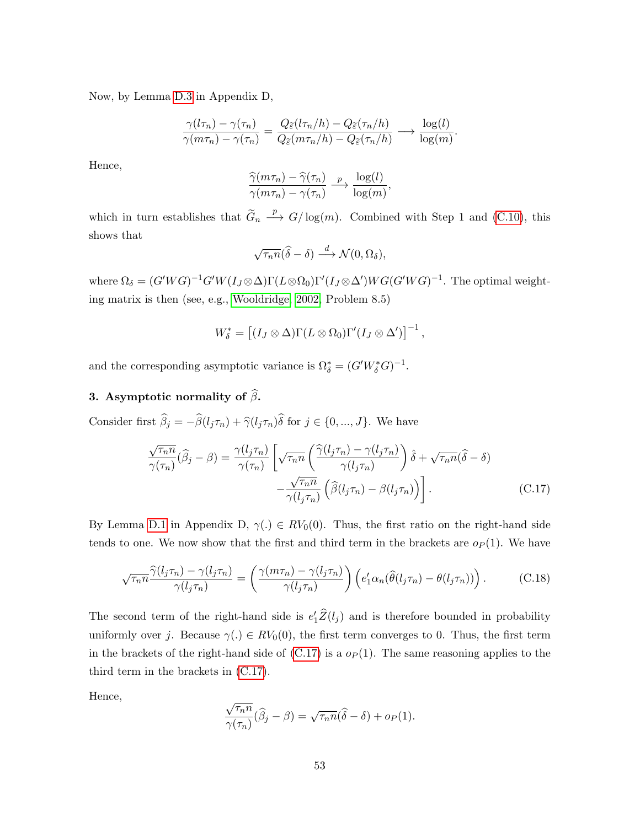Now, by Lemma [D.3](#page-61-0) in Appendix D,

$$
\frac{\gamma(l\tau_n)-\gamma(\tau_n)}{\gamma(m\tau_n)-\gamma(\tau_n)}=\frac{Q_{\widetilde{\varepsilon}}(l\tau_n/h)-Q_{\widetilde{\varepsilon}}(\tau_n/h)}{Q_{\widetilde{\varepsilon}}(m\tau_n/h)-Q_{\widetilde{\varepsilon}}(\tau_n/h)}\longrightarrow \frac{\log(l)}{\log(m)}.
$$

Hence,

$$
\frac{\widehat{\gamma}(m\tau_n) - \widehat{\gamma}(\tau_n)}{\gamma(m\tau_n) - \gamma(\tau_n)} \xrightarrow{p} \frac{\log(l)}{\log(m)},
$$

which in turn establishes that  $\tilde{G}_n \stackrel{p}{\longrightarrow} G/\log(m)$ . Combined with Step 1 and [\(C.10\)](#page-52-0), this shows that

$$
\sqrt{\tau_n n}(\widehat{\delta}-\delta) \stackrel{d}{\longrightarrow} \mathcal{N}(0,\Omega_\delta),
$$

where  $\Omega_{\delta} = (G'WG)^{-1}G'W(I_J \otimes \Delta)\Gamma(L \otimes \Omega_0)\Gamma'(I_J \otimes \Delta')WG(G'WG)^{-1}$ . The optimal weighting matrix is then (see, e.g., [Wooldridge, 2002,](#page-37-8) Problem 8.5)

<span id="page-54-0"></span>
$$
W_{\delta}^* = \left[ (I_J \otimes \Delta) \Gamma(L \otimes \Omega_0) \Gamma'(I_J \otimes \Delta') \right]^{-1},
$$

and the corresponding asymptotic variance is  $\Omega_{\delta}^* = (G'W_{\delta}^*G)^{-1}$ .

## 3. Asymptotic normality of  $\widehat{\beta}$ .

Consider first  $\widehat{\beta}_j = -\widehat{\beta}(l_j\tau_n) + \widehat{\gamma}(l_j\tau_n)\widehat{\delta}$  for  $j \in \{0, ..., J\}$ . We have

$$
\frac{\sqrt{\tau_n n}}{\gamma(\tau_n)}(\widehat{\beta}_j - \beta) = \frac{\gamma(l_j \tau_n)}{\gamma(\tau_n)} \left[ \sqrt{\tau_n n} \left( \frac{\widehat{\gamma}(l_j \tau_n) - \gamma(l_j \tau_n)}{\gamma(l_j \tau_n)} \right) \widehat{\delta} + \sqrt{\tau_n n} (\widehat{\delta} - \delta) - \frac{\sqrt{\tau_n n}}{\gamma(l_j \tau_n)} \left( \widehat{\beta}(l_j \tau_n) - \beta(l_j \tau_n) \right) \right].
$$
\n(C.17)

By Lemma [D.1](#page-60-0) in Appendix D,  $\gamma(.) \in RV_0(0)$ . Thus, the first ratio on the right-hand side tends to one. We now show that the first and third term in the brackets are  $o_P(1)$ . We have

<span id="page-54-1"></span>
$$
\sqrt{\tau_n n} \frac{\hat{\gamma}(l_j \tau_n) - \gamma(l_j \tau_n)}{\gamma(l_j \tau_n)} = \left(\frac{\gamma(m\tau_n) - \gamma(l_j \tau_n)}{\gamma(l_j \tau_n)}\right) \left(e'_1 \alpha_n (\hat{\theta}(l_j \tau_n) - \theta(l_j \tau_n))\right).
$$
 (C.18)

The second term of the right-hand side is  $e'_1\hat{Z}(l_j)$  and is therefore bounded in probability uniformly over j. Because  $\gamma(.) \in RV_0(0)$ , the first term converges to 0. Thus, the first term in the brackets of the right-hand side of  $(C.17)$  is a  $o_p(1)$ . The same reasoning applies to the third term in the brackets in [\(C.17\)](#page-54-0).

Hence,

$$
\frac{\sqrt{\tau_n n}}{\gamma(\tau_n)}(\widehat{\beta}_j - \beta) = \sqrt{\tau_n n}(\widehat{\delta} - \delta) + op(1).
$$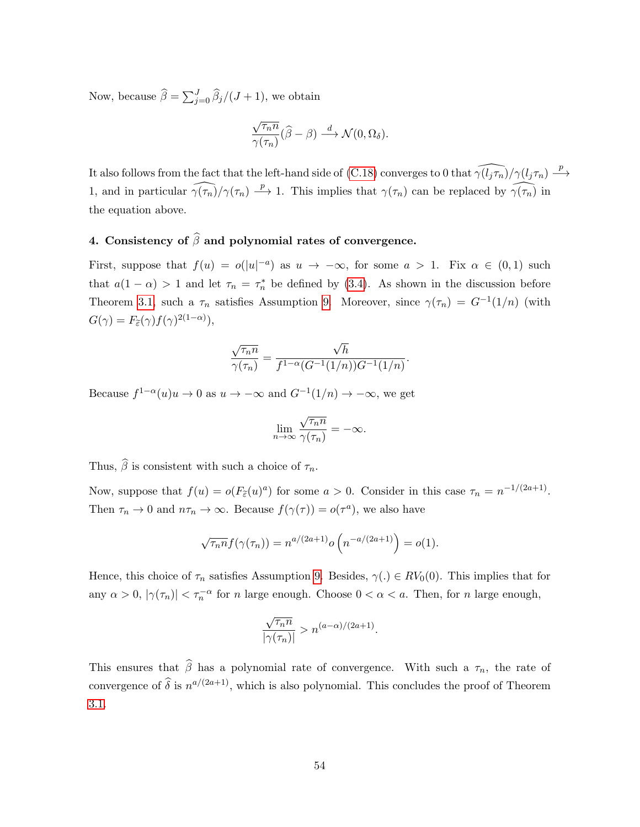Now, because  $\widehat{\beta} = \sum_{j=0}^{J} \widehat{\beta}_j/(J+1)$ , we obtain

$$
\frac{\sqrt{\tau_n n}}{\gamma(\tau_n)}(\widehat{\beta}-\beta) \stackrel{d}{\longrightarrow} \mathcal{N}(0,\Omega_\delta).
$$

It also follows from the fact that the left-hand side of [\(C.18\)](#page-54-1) converges to 0 that  $\widehat{\gamma(l_j\tau_n)}/\gamma(l_j\tau_n) \stackrel{p}{\longrightarrow}$ 1, and in particular  $\widehat{\gamma(\tau_n)}/\gamma(\tau_n) \stackrel{p}{\longrightarrow} 1$ . This implies that  $\gamma(\tau_n)$  can be replaced by  $\widehat{\gamma(\tau_n)}$  in the equation above.

## 4. Consistency of  $\widehat{\beta}$  and polynomial rates of convergence.

First, suppose that  $f(u) = o(|u|^{-a})$  as  $u \to -\infty$ , for some  $a > 1$ . Fix  $\alpha \in (0,1)$  such that  $a(1-\alpha) > 1$  and let  $\tau_n = \tau_n^*$  be defined by [\(3.4\)](#page-15-3). As shown in the discussion before Theorem [3.1,](#page-16-0) such a  $\tau_n$  satisfies Assumption [9.](#page-15-1) Moreover, since  $\gamma(\tau_n) = G^{-1}(1/n)$  (with  $G(\gamma) = F_{\tilde{\varepsilon}}(\gamma) f(\gamma)^{2(1-\alpha)}$ ),

$$
\frac{\sqrt{\tau_n n}}{\gamma(\tau_n)} = \frac{\sqrt{h}}{f^{1-\alpha}(G^{-1}(1/n))G^{-1}(1/n)}
$$

.

Because  $f^{1-\alpha}(u)u \to 0$  as  $u \to -\infty$  and  $G^{-1}(1/n) \to -\infty$ , we get

$$
\lim_{n \to \infty} \frac{\sqrt{\tau_n n}}{\gamma(\tau_n)} = -\infty.
$$

Thus,  $\widehat{\beta}$  is consistent with such a choice of  $\tau_n$ .

Now, suppose that  $f(u) = o(F_{\tilde{\varepsilon}}(u)^a)$  for some  $a > 0$ . Consider in this case  $\tau_n = n^{-1/(2a+1)}$ . Then  $\tau_n \to 0$  and  $n\tau_n \to \infty$ . Because  $f(\gamma(\tau)) = o(\tau^a)$ , we also have

$$
\sqrt{\tau_n n} f(\gamma(\tau_n)) = n^{a/(2a+1)} o\left(n^{-a/(2a+1)}\right) = o(1).
$$

Hence, this choice of  $\tau_n$  satisfies Assumption [9.](#page-15-1) Besides,  $\gamma(.) \in RV_0(0)$ . This implies that for any  $\alpha > 0$ ,  $|\gamma(\tau_n)| < \tau_n^{-\alpha}$  for *n* large enough. Choose  $0 < \alpha < a$ . Then, for *n* large enough,

$$
\frac{\sqrt{\tau_n n}}{|\gamma(\tau_n)|} > n^{(a-\alpha)/(2a+1)}.
$$

This ensures that  $\hat{\beta}$  has a polynomial rate of convergence. With such a  $\tau_n$ , the rate of convergence of  $\hat{\delta}$  is  $n^{a/(2a+1)}$ , which is also polynomial. This concludes the proof of Theorem [3.1.](#page-16-0)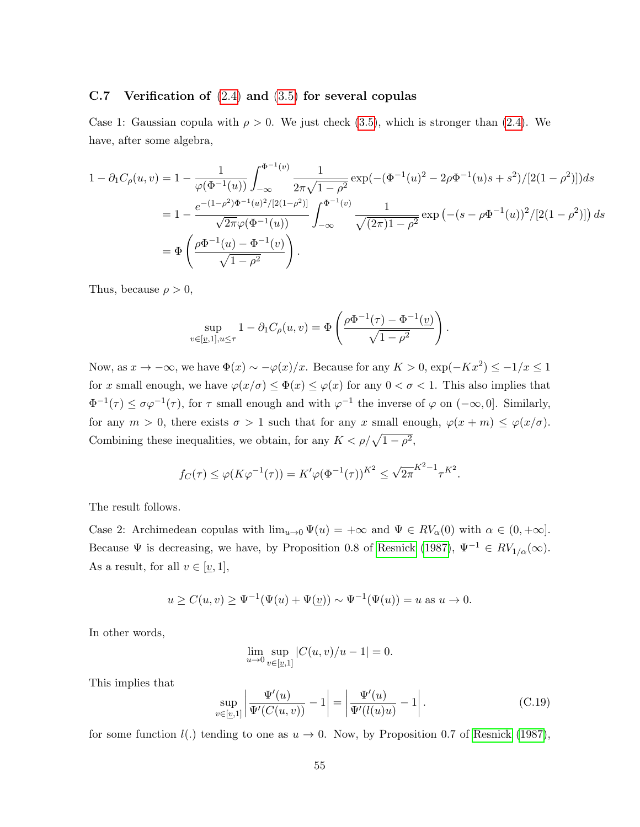#### <span id="page-56-0"></span>C.7 Verification of [\(2.4\)](#page-10-2) and [\(3.5\)](#page-17-0) for several copulas

Case 1: Gaussian copula with  $\rho > 0$ . We just check [\(3.5\)](#page-17-0), which is stronger than [\(2.4\)](#page-10-2). We have, after some algebra,

$$
1 - \partial_1 C_\rho(u, v) = 1 - \frac{1}{\varphi(\Phi^{-1}(u))} \int_{-\infty}^{\Phi^{-1}(v)} \frac{1}{2\pi\sqrt{1 - \rho^2}} \exp(-(\Phi^{-1}(u))^2 - 2\rho\Phi^{-1}(u)s + s^2) / [2(1 - \rho^2)]ds
$$
  
\n
$$
= 1 - \frac{e^{-(1 - \rho^2)\Phi^{-1}(u)^2 / [2(1 - \rho^2)]}}{\sqrt{2\pi}\varphi(\Phi^{-1}(u))} \int_{-\infty}^{\Phi^{-1}(v)} \frac{1}{\sqrt{(2\pi)^2 - \rho^2}} \exp(-s - \rho\Phi^{-1}(u))^2 / [2(1 - \rho^2)] ds
$$
  
\n
$$
= \Phi\left(\frac{\rho\Phi^{-1}(u) - \Phi^{-1}(v)}{\sqrt{1 - \rho^2}}\right).
$$

Thus, because  $\rho > 0$ ,

$$
\sup_{v \in [ \underline{v}, 1], u \le \tau} 1 - \partial_1 C_\rho(u, v) = \Phi\left(\frac{\rho \Phi^{-1}(\tau) - \Phi^{-1}(\underline{v})}{\sqrt{1 - \rho^2}}\right).
$$

Now, as  $x \to -\infty$ , we have  $\Phi(x) \sim -\varphi(x)/x$ . Because for any  $K > 0$ ,  $\exp(-Kx^2) \le -1/x \le 1$ for x small enough, we have  $\varphi(x/\sigma) \leq \Phi(x) \leq \varphi(x)$  for any  $0 < \sigma < 1$ . This also implies that  $\Phi^{-1}(\tau) \leq \sigma \varphi^{-1}(\tau)$ , for  $\tau$  small enough and with  $\varphi^{-1}$  the inverse of  $\varphi$  on  $(-\infty,0]$ . Similarly, for any  $m > 0$ , there exists  $\sigma > 1$  such that for any x small enough,  $\varphi(x+m) \leq \varphi(x/\sigma)$ . Combining these inequalities, we obtain, for any  $K < \rho/\sqrt{1-\rho^2}$ ,

$$
f_C(\tau) \le \varphi(K\varphi^{-1}(\tau)) = K'\varphi(\Phi^{-1}(\tau))^{K^2} \le \sqrt{2\pi}^{K^2-1} \tau^{K^2}.
$$

The result follows.

Case 2: Archimedean copulas with  $\lim_{u\to 0} \Psi(u) = +\infty$  and  $\Psi \in RV_\alpha(0)$  with  $\alpha \in (0, +\infty]$ . Because  $\Psi$  is decreasing, we have, by Proposition 0.8 of [Resnick \(1987\)](#page-37-6),  $\Psi^{-1} \in RV_{1/\alpha}(\infty)$ . As a result, for all  $v \in [\underline{v}, 1]$ ,

$$
u \ge C(u, v) \ge \Psi^{-1}(\Psi(u) + \Psi(\underline{v})) \sim \Psi^{-1}(\Psi(u)) = u \text{ as } u \to 0.
$$

In other words,

$$
\lim_{u \to 0} \sup_{v \in [v,1]} |C(u,v)/u - 1| = 0.
$$

This implies that

<span id="page-56-1"></span>
$$
\sup_{v \in [\underline{v},1]} \left| \frac{\Psi'(u)}{\Psi'(C(u,v))} - 1 \right| = \left| \frac{\Psi'(u)}{\Psi'(l(u)u)} - 1 \right|.
$$
\n(C.19)

for some function  $l(.)$  tending to one as  $u \to 0$ . Now, by Proposition 0.7 of [Resnick \(1987\)](#page-37-6),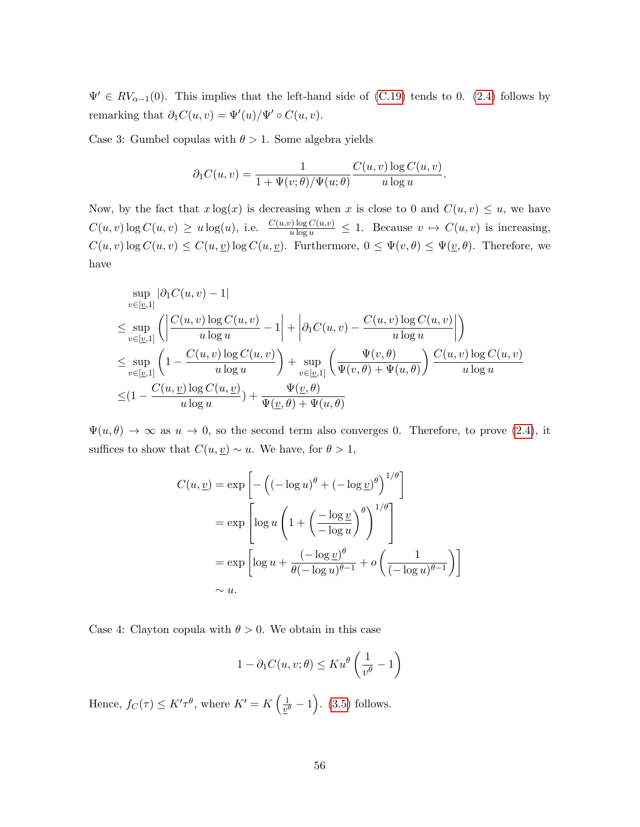$\Psi' \in RV_{\alpha-1}(0)$ . This implies that the left-hand side of [\(C.19\)](#page-56-1) tends to 0. [\(2.4\)](#page-10-2) follows by remarking that  $\partial_1 C(u, v) = \Psi'(u) / \Psi' \circ C(u, v)$ .

Case 3: Gumbel copulas with  $\theta > 1$ . Some algebra yields

$$
\partial_1 C(u,v) = \frac{1}{1 + \Psi(v;\theta)/\Psi(u;\theta)} \frac{C(u,v) \log C(u,v)}{u \log u}.
$$

Now, by the fact that  $x \log(x)$  is decreasing when x is close to 0 and  $C(u, v) \le u$ , we have  $C(u, v) \log C(u, v) \geq u \log(u)$ , i.e.  $\frac{C(u, v) \log C(u, v)}{u \log u} \leq 1$ . Because  $v \mapsto C(u, v)$  is increasing,  $C(u, v) \log C(u, v) \leq C(u, \underline{v}) \log C(u, \underline{v})$ . Furthermore,  $0 \leq \Psi(v, \theta) \leq \Psi(\underline{v}, \theta)$ . Therefore, we have

$$
\sup_{v \in [\underline{v},1]} |\partial_1 C(u,v) - 1|
$$
\n
$$
\leq \sup_{v \in [\underline{v},1]} \left( \left| \frac{C(u,v) \log C(u,v)}{u \log u} - 1 \right| + \left| \partial_1 C(u,v) - \frac{C(u,v) \log C(u,v)}{u \log u} \right| \right)
$$
\n
$$
\leq \sup_{v \in [\underline{v},1]} \left( 1 - \frac{C(u,v) \log C(u,v)}{u \log u} \right) + \sup_{v \in [\underline{v},1]} \left( \frac{\Psi(v,\theta)}{\Psi(v,\theta) + \Psi(u,\theta)} \right) \frac{C(u,v) \log C(u,v)}{u \log u}
$$
\n
$$
\leq (1 - \frac{C(u,v) \log C(u,\underline{v})}{u \log u}) + \frac{\Psi(\underline{v},\theta)}{\Psi(\underline{v},\theta) + \Psi(u,\theta)}
$$

 $\Psi(u, \theta) \to \infty$  as  $u \to 0$ , so the second term also converges 0. Therefore, to prove [\(2.4\)](#page-10-2), it suffices to show that  $C(u, \underline{v}) \sim u$ . We have, for  $\theta > 1$ ,

$$
C(u, \underline{v}) = \exp\left[-\left((-\log u)^{\theta} + (-\log \underline{v})^{\theta}\right)^{1/\theta}\right]
$$
  
=  $\exp\left[\log u \left(1 + \left(\frac{-\log \underline{v}}{-\log u}\right)^{\theta}\right)^{1/\theta}\right]$   
=  $\exp\left[\log u + \frac{(-\log \underline{v})^{\theta}}{\theta(-\log u)^{\theta-1}} + o\left(\frac{1}{(-\log u)^{\theta-1}}\right)\right]$   
 $\sim u.$ 

Case 4: Clayton copula with  $\theta > 0$ . We obtain in this case

$$
1 - \partial_1 C(u, v; \theta) \le K u^{\theta} \left(\frac{1}{v^{\theta}} - 1\right)
$$

Hence,  $f_C(\tau) \leq K' \tau^{\theta}$ , where  $K' = K\left(\frac{1}{n^{\theta}}\right)$  $\frac{1}{v^{\theta}}-1$ . [\(3.5\)](#page-17-0) follows.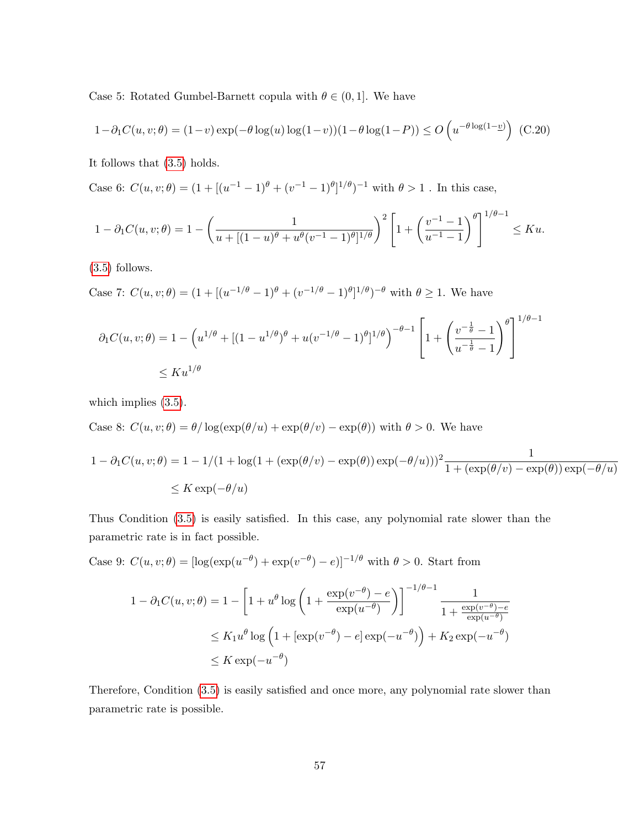Case 5: Rotated Gumbel-Barnett copula with  $\theta \in (0, 1]$ . We have

$$
1 - \partial_1 C(u, v; \theta) = (1 - v) \exp(-\theta \log(u) \log(1 - v))(1 - \theta \log(1 - P)) \le O\left(u^{-\theta \log(1 - \underline{v})}\right)
$$
 (C.20)

It follows that [\(3.5\)](#page-17-0) holds.

Case 6:  $C(u, v; \theta) = (1 + [(u^{-1} - 1)^{\theta} + (v^{-1} - 1)^{\theta}]^{1/\theta})^{-1}$  with  $\theta > 1$ . In this case,

$$
1 - \partial_1 C(u, v; \theta) = 1 - \left(\frac{1}{u + [(1 - u)^{\theta} + u^{\theta}(v^{-1} - 1)^{\theta}]^{1/\theta}}\right)^2 \left[1 + \left(\frac{v^{-1} - 1}{u^{-1} - 1}\right)^{\theta}\right]^{1/\theta - 1} \leq Ku.
$$

[\(3.5\)](#page-17-0) follows.

Case 7:  $C(u, v; \theta) = (1 + [(u^{-1/\theta} - 1)^{\theta} + (v^{-1/\theta} - 1)^{\theta}]^{1/\theta})^{-\theta}$  with  $\theta \ge 1$ . We have

$$
\partial_1 C(u, v; \theta) = 1 - \left( u^{1/\theta} + \left[ (1 - u^{1/\theta})^{\theta} + u(v^{-1/\theta} - 1)^{\theta} \right]^{1/\theta} \right)^{-\theta - 1} \left[ 1 + \left( \frac{v^{-\frac{1}{\theta}} - 1}{u^{-\frac{1}{\theta}} - 1} \right)^{\theta} \right]^{1/\theta - 1}
$$
  
\$\leq K u^{1/\theta}\$

which implies [\(3.5\)](#page-17-0).

Case 8:  $C(u, v; \theta) = \theta / \log(\exp(\theta/u) + \exp(\theta/v) - \exp(\theta))$  with  $\theta > 0$ . We have

$$
1 - \partial_1 C(u, v; \theta) = 1 - 1/(1 + \log(1 + (\exp(\theta/v) - \exp(\theta)))\exp(-\theta/u)))^2 \frac{1}{1 + (\exp(\theta/v) - \exp(\theta))\exp(-\theta/u)}
$$
  
 
$$
\leq K \exp(-\theta/u)
$$

Thus Condition [\(3.5\)](#page-17-0) is easily satisfied. In this case, any polynomial rate slower than the parametric rate is in fact possible.

Case 9:  $C(u, v; \theta) = [\log(\exp(u^{-\theta}) + \exp(v^{-\theta}) - e)]^{-1/\theta}$  with  $\theta > 0$ . Start from

$$
1 - \partial_1 C(u, v; \theta) = 1 - \left[ 1 + u^{\theta} \log \left( 1 + \frac{\exp(v^{-\theta}) - e}{\exp(u^{-\theta})} \right) \right]^{-1/\theta - 1} \frac{1}{1 + \frac{\exp(v^{-\theta}) - e}{\exp(u^{-\theta})}}
$$
  

$$
\leq K_1 u^{\theta} \log \left( 1 + [\exp(v^{-\theta}) - e] \exp(-u^{-\theta}) \right) + K_2 \exp(-u^{-\theta})
$$
  

$$
\leq K \exp(-u^{-\theta})
$$

Therefore, Condition [\(3.5\)](#page-17-0) is easily satisfied and once more, any polynomial rate slower than parametric rate is possible.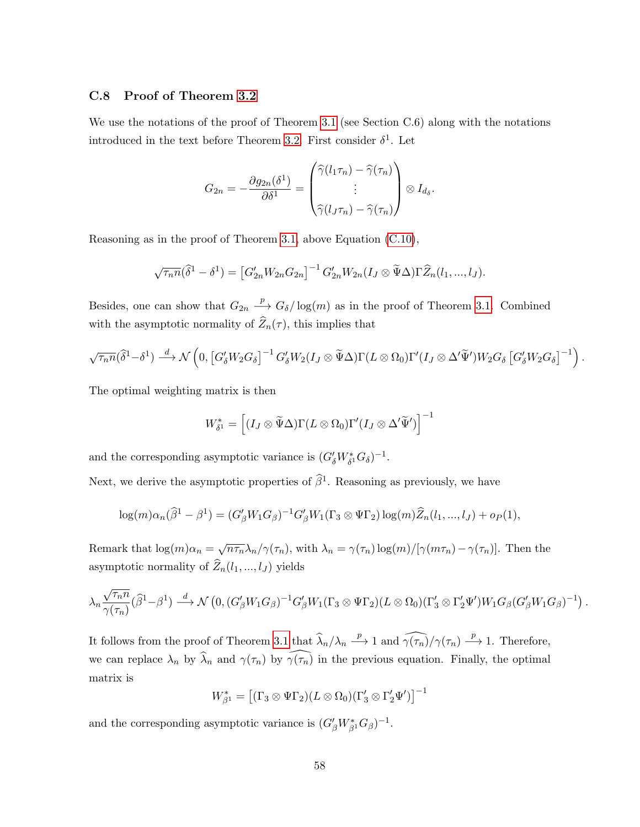#### C.8 Proof of Theorem [3.2](#page-18-1)

We use the notations of the proof of Theorem [3.1](#page-16-0) (see Section C.6) along with the notations introduced in the text before Theorem [3.2.](#page-18-1) First consider  $\delta^1$ . Let

$$
G_{2n} = -\frac{\partial g_{2n}(\delta^1)}{\partial \delta^1} = \begin{pmatrix} \widehat{\gamma}(l_1 \tau_n) - \widehat{\gamma}(\tau_n) \\ \vdots \\ \widehat{\gamma}(l_J \tau_n) - \widehat{\gamma}(\tau_n) \end{pmatrix} \otimes I_{d_{\delta}}.
$$

Reasoning as in the proof of Theorem [3.1,](#page-16-0) above Equation [\(C.10\)](#page-52-0),

$$
\sqrt{\tau_n n}(\widehat{\delta}^1 - \delta^1) = \left[G'_{2n} W_{2n} G_{2n}\right]^{-1} G'_{2n} W_{2n} (I_J \otimes \widetilde{\Psi} \Delta) \Gamma \widehat{Z}_n (l_1, ..., l_J).
$$

Besides, one can show that  $G_{2n} \stackrel{p}{\longrightarrow} G_{\delta}/\log(m)$  as in the proof of Theorem [3.1.](#page-16-0) Combined with the asymptotic normality of  $\widehat{Z}_n(\tau)$ , this implies that

$$
\sqrt{\tau_n n}(\widehat{\delta}^1-\delta^1) \stackrel{d}{\longrightarrow} \mathcal{N}\left(0, \left[G'_\delta W_2 G_\delta\right]^{-1} G'_\delta W_2 (I_J \otimes \widetilde{\Psi}\Delta) \Gamma(L \otimes \Omega_0) \Gamma'(I_J \otimes \Delta'\widetilde{\Psi}') W_2 G_\delta \left[G'_\delta W_2 G_\delta\right]^{-1}\right).
$$

The optimal weighting matrix is then

$$
W_{\delta^1}^* = \left[ (I_J \otimes \widetilde{\Psi} \Delta) \Gamma(L \otimes \Omega_0) \Gamma'(I_J \otimes \Delta' \widetilde{\Psi}') \right]^{-1}
$$

and the corresponding asymptotic variance is  $(G'_{\delta}W_{\delta^1}^*G_{\delta})^{-1}$ .

Next, we derive the asymptotic properties of  $\widehat{\beta}^1$ . Reasoning as previously, we have

$$
\log(m)\alpha_n(\widehat{\beta}^1-\beta^1)=(G'_{\beta}W_1G_{\beta})^{-1}G'_{\beta}W_1(\Gamma_3\otimes\Psi\Gamma_2)\log(m)\widehat{Z}_n(l_1,...,l_J)+o_P(1),
$$

Remark that  $\log(m)\alpha_n = \sqrt{n\tau_n}\lambda_n/\gamma(\tau_n)$ , with  $\lambda_n = \gamma(\tau_n)\log(m)/[\gamma(m\tau_n)-\gamma(\tau_n)]$ . Then the asymptotic normality of  $\widehat{Z}_n(l_1, ..., l_J)$  yields

$$
\lambda_n \frac{\sqrt{\tau_n n}}{\gamma(\tau_n)} (\widehat{\beta}^1 - \beta^1) \stackrel{d}{\longrightarrow} \mathcal{N} \left(0, (G'_\beta W_1 G_\beta)^{-1} G'_\beta W_1(\Gamma_3 \otimes \Psi \Gamma_2) (L \otimes \Omega_0) (\Gamma'_3 \otimes \Gamma'_2 \Psi') W_1 G_\beta (G'_\beta W_1 G_\beta)^{-1}\right).
$$

It follows from the proof of Theorem [3.1](#page-16-0) that  $\widehat{\lambda}_n/\lambda_n \stackrel{p}{\longrightarrow} 1$  and  $\widehat{\gamma(\tau_n)}/\gamma(\tau_n) \stackrel{p}{\longrightarrow} 1$ . Therefore, we can replace  $\lambda_n$  by  $\widehat{\lambda}_n$  and  $\gamma(\tau_n)$  by  $\widehat{\gamma(\tau_n)}$  in the previous equation. Finally, the optimal matrix is

$$
W_{\beta^1}^* = \big[ (\Gamma_3 \otimes \Psi \Gamma_2) (L \otimes \Omega_0) (\Gamma_3' \otimes \Gamma_2' \Psi') \big]^{-1}
$$

and the corresponding asymptotic variance is  $(G'_{\beta}W^*_{\beta^1}G_{\beta})^{-1}$ .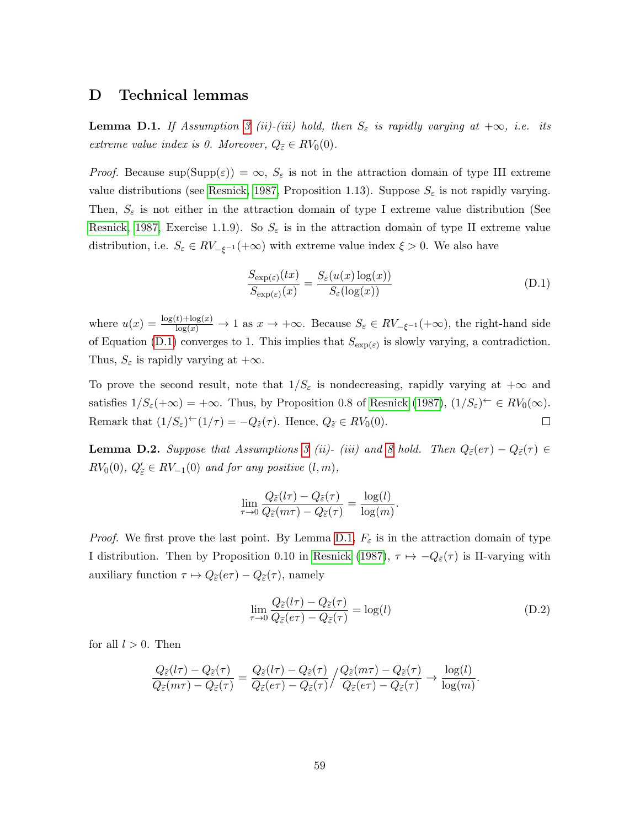## D Technical lemmas

<span id="page-60-0"></span>**Lemma D.1.** If Assumption [3](#page-7-2) (ii)-(iii) hold, then  $S_{\varepsilon}$  is rapidly varying at  $+\infty$ , i.e. its extreme value index is 0. Moreover,  $Q_{\tilde{\varepsilon}} \in RV_0(0)$ .

*Proof.* Because  $\sup(\text{Supp}(\varepsilon)) = \infty$ ,  $S_{\varepsilon}$  is not in the attraction domain of type III extreme value distributions (see [Resnick, 1987,](#page-37-6) Proposition 1.13). Suppose  $S_{\varepsilon}$  is not rapidly varying. Then,  $S_{\varepsilon}$  is not either in the attraction domain of type I extreme value distribution (See [Resnick, 1987,](#page-37-6) Exercise 1.1.9). So  $S_{\varepsilon}$  is in the attraction domain of type II extreme value distribution, i.e.  $S_{\varepsilon} \in RV_{-\xi^{-1}}(+\infty)$  with extreme value index  $\xi > 0$ . We also have

<span id="page-60-1"></span>
$$
\frac{S_{\exp(\varepsilon)}(tx)}{S_{\exp(\varepsilon)}(x)} = \frac{S_{\varepsilon}(u(x)\log(x))}{S_{\varepsilon}(\log(x))}
$$
(D.1)

where  $u(x) = \frac{\log(t) + \log(x)}{\log(x)} \to 1$  as  $x \to +\infty$ . Because  $S_{\varepsilon} \in RV_{-\xi^{-1}}(+\infty)$ , the right-hand side of Equation [\(D.1\)](#page-60-1) converges to 1. This implies that  $S_{\exp(\varepsilon)}$  is slowly varying, a contradiction. Thus,  $S_{\varepsilon}$  is rapidly varying at  $+\infty$ .

To prove the second result, note that  $1/S_{\varepsilon}$  is nondecreasing, rapidly varying at  $+\infty$  and satisfies  $1/S_{\varepsilon}(+\infty) = +\infty$ . Thus, by Proposition 0.8 of [Resnick \(1987\)](#page-37-6),  $(1/S_{\varepsilon})^{\leftarrow} \in RV_0(\infty)$ . Remark that  $(1/S_{\varepsilon})^{\leftarrow}(1/\tau) = -Q_{\tilde{\varepsilon}}(\tau)$ . Hence,  $Q_{\tilde{\varepsilon}} \in RV_0(0)$ .  $\Box$ 

<span id="page-60-3"></span>**Lemma D.2.** Suppose that Assumptions [3](#page-7-2) (ii)- (iii) and [8](#page-15-0) hold. Then  $Q_{\tilde{\varepsilon}}(e\tau) - Q_{\tilde{\varepsilon}}(\tau) \in$  $RV_0(0)$ ,  $Q'_{\tilde{\varepsilon}} \in RV_{-1}(0)$  and for any positive  $(l, m)$ ,

$$
\lim_{\tau \to 0} \frac{Q_{\tilde{\varepsilon}}(l\tau) - Q_{\tilde{\varepsilon}}(\tau)}{Q_{\tilde{\varepsilon}}(m\tau) - Q_{\tilde{\varepsilon}}(\tau)} = \frac{\log(l)}{\log(m)}.
$$

*Proof.* We first prove the last point. By Lemma [D.1,](#page-60-0)  $F_{\varepsilon}$  is in the attraction domain of type I distribution. Then by Proposition 0.10 in [Resnick \(1987\)](#page-37-6),  $\tau \mapsto -Q_{\tilde{\varepsilon}}(\tau)$  is II-varying with auxiliary function  $\tau \mapsto Q_{\tilde{\varepsilon}}(e\tau) - Q_{\tilde{\varepsilon}}(\tau)$ , namely

<span id="page-60-2"></span>
$$
\lim_{\tau \to 0} \frac{Q_{\tilde{\varepsilon}}(l\tau) - Q_{\tilde{\varepsilon}}(\tau)}{Q_{\tilde{\varepsilon}}(e\tau) - Q_{\tilde{\varepsilon}}(\tau)} = \log(l)
$$
\n(D.2)

for all  $l > 0$ . Then

$$
\frac{Q_{\tilde{\varepsilon}}(l\tau) - Q_{\tilde{\varepsilon}}(\tau)}{Q_{\tilde{\varepsilon}}(m\tau) - Q_{\tilde{\varepsilon}}(\tau)} = \frac{Q_{\tilde{\varepsilon}}(l\tau) - Q_{\tilde{\varepsilon}}(\tau)}{Q_{\tilde{\varepsilon}}(\varepsilon\tau) - Q_{\tilde{\varepsilon}}(\tau)} / \frac{Q_{\tilde{\varepsilon}}(m\tau) - Q_{\tilde{\varepsilon}}(\tau)}{Q_{\tilde{\varepsilon}}(\varepsilon\tau) - Q_{\tilde{\varepsilon}}(\tau)} \to \frac{\log(l)}{\log(m)}.
$$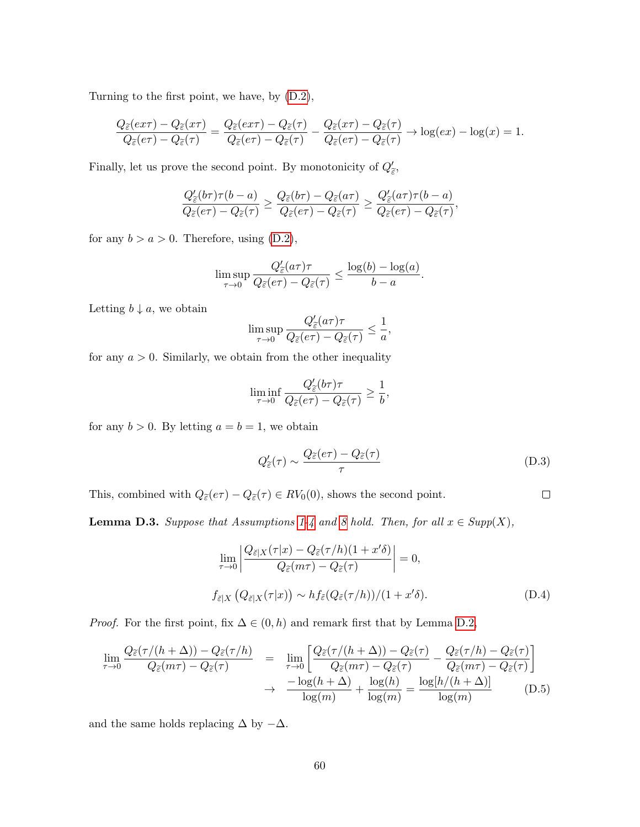Turning to the first point, we have, by [\(D.2\)](#page-60-2),

$$
\frac{Q_{\tilde{\varepsilon}}(ex\tau) - Q_{\tilde{\varepsilon}}(x\tau)}{Q_{\tilde{\varepsilon}}(e\tau) - Q_{\tilde{\varepsilon}}(\tau)} = \frac{Q_{\tilde{\varepsilon}}(ex\tau) - Q_{\tilde{\varepsilon}}(\tau)}{Q_{\tilde{\varepsilon}}(e\tau) - Q_{\tilde{\varepsilon}}(\tau)} - \frac{Q_{\tilde{\varepsilon}}(x\tau) - Q_{\tilde{\varepsilon}}(\tau)}{Q_{\tilde{\varepsilon}}(e\tau) - Q_{\tilde{\varepsilon}}(\tau)} \to \log(ex) - \log(x) = 1.
$$

Finally, let us prove the second point. By monotonicity of  $Q'_{\tilde{\varepsilon}}$ ,

$$
\frac{Q'_{\widetilde{\varepsilon}}(b\tau)\tau(b-a)}{Q_{\widetilde{\varepsilon}}(e\tau)-Q_{\widetilde{\varepsilon}}(\tau)}\geq \frac{Q_{\widetilde{\varepsilon}}(b\tau)-Q_{\widetilde{\varepsilon}}(a\tau)}{Q_{\widetilde{\varepsilon}}(e\tau)-Q_{\widetilde{\varepsilon}}(\tau)}\geq \frac{Q'_{\widetilde{\varepsilon}}(a\tau)\tau(b-a)}{Q_{\widetilde{\varepsilon}}(e\tau)-Q_{\widetilde{\varepsilon}}(\tau)},
$$

for any  $b > a > 0$ . Therefore, using [\(D.2\)](#page-60-2),

$$
\limsup_{\tau \to 0} \frac{Q_{\widetilde{\varepsilon}}(a\tau)\tau}{Q_{\widetilde{\varepsilon}}(e\tau) - Q_{\widetilde{\varepsilon}}(\tau)} \le \frac{\log(b) - \log(a)}{b - a}.
$$

Letting  $b \downarrow a$ , we obtain

$$
\limsup_{\tau \to 0} \frac{Q'_{\widetilde{\varepsilon}}(a\tau)\tau}{Q_{\widetilde{\varepsilon}}(e\tau) - Q_{\widetilde{\varepsilon}}(\tau)} \le \frac{1}{a},
$$

for any  $a > 0$ . Similarly, we obtain from the other inequality

$$
\liminf_{\tau \to 0} \frac{Q_{\tilde{\varepsilon}}'(b\tau)\tau}{Q_{\tilde{\varepsilon}}(e\tau) - Q_{\tilde{\varepsilon}}(\tau)} \ge \frac{1}{b},
$$

for any  $b > 0$ . By letting  $a = b = 1$ , we obtain

<span id="page-61-2"></span>
$$
Q'_{\tilde{\varepsilon}}(\tau) \sim \frac{Q_{\tilde{\varepsilon}}(e\tau) - Q_{\tilde{\varepsilon}}(\tau)}{\tau}
$$
 (D.3)

 $\Box$ 

This, combined with  $Q_{\tilde{\varepsilon}}(e\tau) - Q_{\tilde{\varepsilon}}(\tau) \in RV_0(0),$  shows the second point.

<span id="page-61-0"></span>**Lemma D.3.** Suppose that Assumptions [1](#page-7-0)[-4](#page-7-3) and [8](#page-15-0) hold. Then, for all  $x \in Supp(X)$ ,

$$
\lim_{\tau \to 0} \left| \frac{Q_{\tilde{\varepsilon}|X}(\tau|x) - Q_{\tilde{\varepsilon}}(\tau/h)(1 + x'\delta)}{Q_{\tilde{\varepsilon}}(m\tau) - Q_{\tilde{\varepsilon}}(\tau)} \right| = 0,
$$
\n
$$
f_{\tilde{\varepsilon}|X} \left( Q_{\tilde{\varepsilon}|X}(\tau|x) \right) \sim h f_{\tilde{\varepsilon}}(Q_{\tilde{\varepsilon}}(\tau/h))/(1 + x'\delta).
$$
\n(D.4)

*Proof.* For the first point, fix  $\Delta \in (0, h)$  and remark first that by Lemma [D.2,](#page-60-3)

<span id="page-61-1"></span>
$$
\lim_{\tau \to 0} \frac{Q_{\tilde{\varepsilon}}(\tau/(h+\Delta)) - Q_{\tilde{\varepsilon}}(\tau/h)}{Q_{\tilde{\varepsilon}}(m\tau) - Q_{\tilde{\varepsilon}}(\tau)} = \lim_{\tau \to 0} \left[ \frac{Q_{\tilde{\varepsilon}}(\tau/(h+\Delta)) - Q_{\tilde{\varepsilon}}(\tau)}{Q_{\tilde{\varepsilon}}(m\tau) - Q_{\tilde{\varepsilon}}(\tau)} - \frac{Q_{\tilde{\varepsilon}}(\tau/h) - Q_{\tilde{\varepsilon}}(\tau)}{Q_{\tilde{\varepsilon}}(m\tau) - Q_{\tilde{\varepsilon}}(\tau)} \right] \n\to \frac{-\log(h+\Delta)}{\log(m)} + \frac{\log(h)}{\log(m)} = \frac{\log[h/(h+\Delta)]}{\log(m)} \tag{D.5}
$$

and the same holds replacing  $\Delta$  by  $-\Delta.$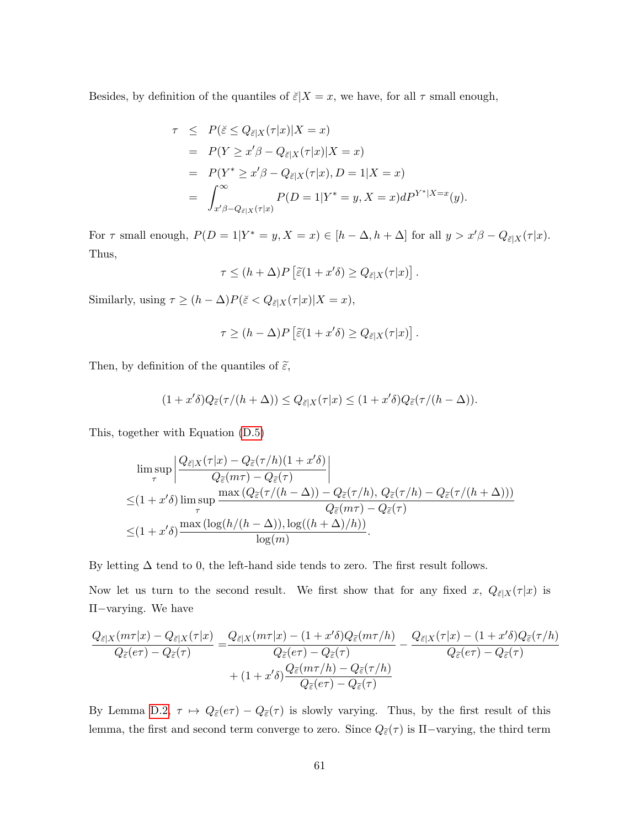Besides, by definition of the quantiles of  $\breve{\varepsilon}|X=x$ , we have, for all  $\tau$  small enough,

$$
\tau \leq P(\breve{\varepsilon} \leq Q_{\breve{\varepsilon}|X}(\tau|x)|X = x)
$$
  
=  $P(Y \geq x'\beta - Q_{\breve{\varepsilon}|X}(\tau|x)|X = x)$   
=  $P(Y^* \geq x'\beta - Q_{\breve{\varepsilon}|X}(\tau|x), D = 1|X = x)$   
=  $\int_{x'\beta - Q_{\breve{\varepsilon}|X}(\tau|x)}^{\infty} P(D = 1|Y^* = y, X = x) dP^{Y^*|X = x}(y).$ 

For  $\tau$  small enough,  $P(D = 1 | Y^* = y, X = x) \in [h - \Delta, h + \Delta]$  for all  $y > x'\beta - Q_{\tilde{\varepsilon}|X}(\tau|x)$ . Thus,

$$
\tau \le (h+\Delta)P\left[\tilde{\varepsilon}(1+x'\delta) \ge Q_{\tilde{\varepsilon}|X}(\tau|x)\right].
$$

Similarly, using  $\tau \ge (h - \Delta)P(\breve{\varepsilon} < Q_{\breve{\varepsilon}|X}(\tau|x)|X = x)$ ,

$$
\tau \ge (h - \Delta) P \left[ \tilde{\varepsilon} (1 + x' \delta) \ge Q_{\tilde{\varepsilon} | X} (\tau | x) \right].
$$

Then, by definition of the quantiles of  $\tilde{\varepsilon}$ ,

$$
(1+x^{\prime}\delta)Q_{\tilde{\varepsilon}}(\tau/(h+\Delta)) \leq Q_{\tilde{\varepsilon}|X}(\tau|x) \leq (1+x^{\prime}\delta)Q_{\tilde{\varepsilon}}(\tau/(h-\Delta)).
$$

This, together with Equation [\(D.5\)](#page-61-1)

$$
\limsup_{\tau} \left| \frac{Q_{\tilde{\varepsilon}|X}(\tau|x) - Q_{\tilde{\varepsilon}}(\tau/h)(1 + x'\delta)}{Q_{\tilde{\varepsilon}}(m\tau) - Q_{\tilde{\varepsilon}}(\tau)} \right|
$$
  
\n
$$
\leq (1 + x'\delta) \limsup_{\tau} \frac{\max (Q_{\tilde{\varepsilon}}(\tau/(h-\Delta)) - Q_{\tilde{\varepsilon}}(\tau/h), Q_{\tilde{\varepsilon}}(\tau/h) - Q_{\tilde{\varepsilon}}(\tau/(h+\Delta)))}{Q_{\tilde{\varepsilon}}(m\tau) - Q_{\tilde{\varepsilon}}(\tau)}
$$
  
\n
$$
\leq (1 + x'\delta) \frac{\max (\log(h/(h-\Delta)), \log((h+\Delta)/h))}{\log(m)}.
$$

By letting  $\Delta$  tend to 0, the left-hand side tends to zero. The first result follows.

Now let us turn to the second result. We first show that for any fixed x,  $Q_{\breve{\varepsilon}|X}(\tau|x)$  is Π−varying. We have

$$
\frac{Q_{\breve{\varepsilon}|X}(m\tau|x) - Q_{\breve{\varepsilon}|X}(\tau|x)}{Q_{\widetilde{\varepsilon}}(e\tau) - Q_{\widetilde{\varepsilon}}(\tau)} = \frac{Q_{\breve{\varepsilon}|X}(m\tau|x) - (1+x'\delta)Q_{\widetilde{\varepsilon}}(m\tau/h)}{Q_{\widetilde{\varepsilon}}(e\tau) - Q_{\widetilde{\varepsilon}}(\tau)} - \frac{Q_{\breve{\varepsilon}|X}(\tau|x) - (1+x'\delta)Q_{\widetilde{\varepsilon}}(\tau/h)}{Q_{\widetilde{\varepsilon}}(e\tau) - Q_{\widetilde{\varepsilon}}(\tau)} + (1+x'\delta)\frac{Q_{\widetilde{\varepsilon}}(m\tau/h) - Q_{\widetilde{\varepsilon}}(\tau/h)}{Q_{\widetilde{\varepsilon}}(e\tau) - Q_{\widetilde{\varepsilon}}(\tau)}
$$

By Lemma [D.2,](#page-60-3)  $\tau \mapsto Q_{\tilde{\varepsilon}}(e\tau) - Q_{\tilde{\varepsilon}}(\tau)$  is slowly varying. Thus, by the first result of this lemma, the first and second term converge to zero. Since  $Q_{\tilde{\varepsilon}}(\tau)$  is  $\Pi$ −varying, the third term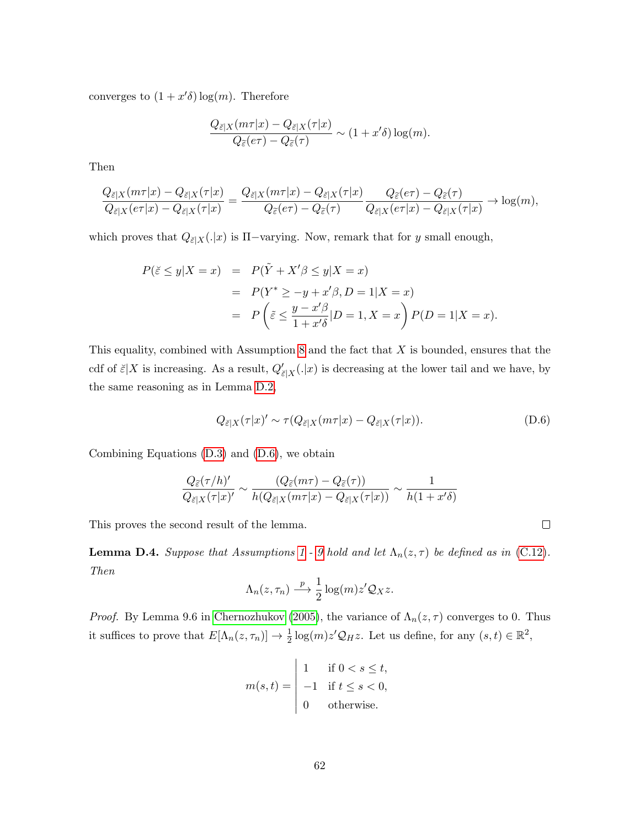converges to  $(1 + x' \delta) \log(m)$ . Therefore

$$
\frac{Q_{\tilde{\varepsilon}|X}(m\tau|x) - Q_{\tilde{\varepsilon}|X}(\tau|x)}{Q_{\tilde{\varepsilon}}(e\tau) - Q_{\tilde{\varepsilon}}(\tau)} \sim (1 + x'\delta) \log(m).
$$

Then

$$
\frac{Q_{\tilde{\varepsilon}|X}(m\tau|x) - Q_{\tilde{\varepsilon}|X}(\tau|x)}{Q_{\tilde{\varepsilon}|X}(e\tau|x) - Q_{\tilde{\varepsilon}|X}(\tau|x)} = \frac{Q_{\tilde{\varepsilon}|X}(m\tau|x) - Q_{\tilde{\varepsilon}|X}(\tau|x)}{Q_{\tilde{\varepsilon}}(e\tau) - Q_{\tilde{\varepsilon}}(\tau)} \frac{Q_{\tilde{\varepsilon}}(e\tau) - Q_{\tilde{\varepsilon}}(\tau)}{Q_{\tilde{\varepsilon}|X}(e\tau|x) - Q_{\tilde{\varepsilon}|X}(\tau|x)} \to \log(m),
$$

which proves that  $Q_{\breve{\epsilon}|X}(.\vert x)$  is  $\Pi$ -varying. Now, remark that for y small enough,

$$
P(\tilde{\varepsilon} \le y | X = x) = P(\tilde{Y} + X'\beta \le y | X = x)
$$
  
= 
$$
P(Y^* \ge -y + x'\beta, D = 1 | X = x)
$$
  
= 
$$
P\left(\tilde{\varepsilon} \le \frac{y - x'\beta}{1 + x'\delta} | D = 1, X = x\right) P(D = 1 | X = x).
$$

This equality, combined with Assumption [8](#page-15-0) and the fact that  $X$  is bounded, ensures that the cdf of  $\breve{\varepsilon}|X$  is increasing. As a result,  $Q'_{\breve{\varepsilon}|X}(.\vert x)$  is decreasing at the lower tail and we have, by the same reasoning as in Lemma [D.2,](#page-60-3)

<span id="page-63-1"></span>
$$
Q_{\breve{\varepsilon}|X}(\tau|x) \sim \tau(Q_{\breve{\varepsilon}|X}(m\tau|x) - Q_{\breve{\varepsilon}|X}(\tau|x)).
$$
\n(D.6)

Combining Equations [\(D.3\)](#page-61-2) and [\(D.6\)](#page-63-1), we obtain

$$
\frac{Q_{\tilde{\varepsilon}}(\tau/h)'}{Q_{\tilde{\varepsilon}|X}(\tau|x)'} \sim \frac{(Q_{\tilde{\varepsilon}}(m\tau) - Q_{\tilde{\varepsilon}}(\tau))}{h(Q_{\tilde{\varepsilon}|X}(m\tau|x) - Q_{\tilde{\varepsilon}|X}(\tau|x))} \sim \frac{1}{h(1+x'\delta)}
$$

This proves the second result of the lemma.

<span id="page-63-0"></span>**Lemma D.4.** Suppose that Assumptions [1](#page-7-0) - [9](#page-15-1) hold and let  $\Lambda_n(z, \tau)$  be defined as in [\(C.12\)](#page-52-2). Then

$$
\Lambda_n(z,\tau_n) \stackrel{p}{\longrightarrow} \frac{1}{2}\log(m)z'Q_Xz.
$$

*Proof.* By Lemma 9.6 in [Chernozhukov \(2005\)](#page-35-3), the variance of  $\Lambda_n(z,\tau)$  converges to 0. Thus it suffices to prove that  $E[\Lambda_n(z, \tau_n)] \to \frac{1}{2} \log(m) z' \mathcal{Q}_H z$ . Let us define, for any  $(s, t) \in \mathbb{R}^2$ ,

$$
m(s,t) = \begin{vmatrix} 1 & \text{if } 0 < s \le t, \\ -1 & \text{if } t \le s < 0, \\ 0 & \text{otherwise.} \end{vmatrix}
$$

 $\Box$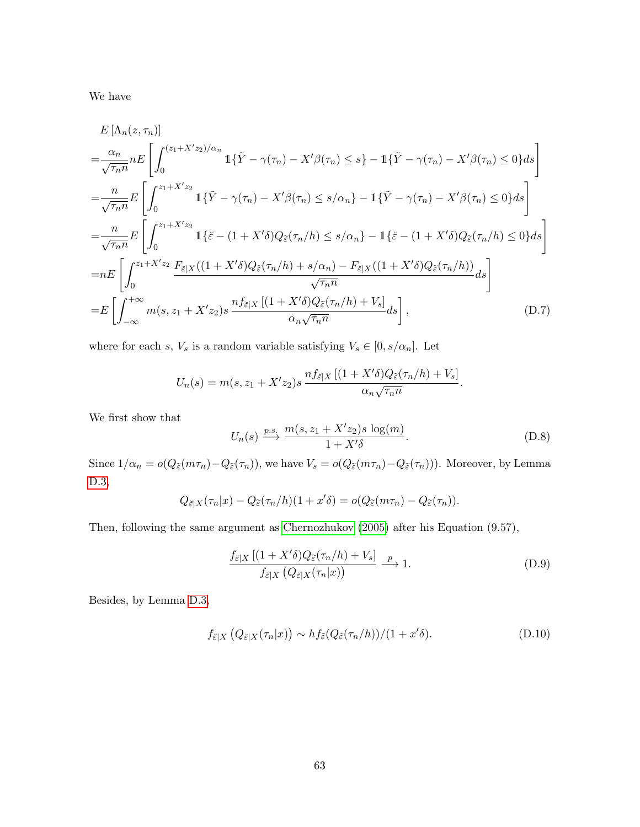We have

$$
E\left[\Lambda_n(z,\tau_n)\right]
$$
\n
$$
= \frac{\alpha_n}{\sqrt{\tau_n n}} nE\left[\int_0^{(z_1 + X'z_2)/\alpha_n} \mathbb{1}\{\tilde{Y} - \gamma(\tau_n) - X'\beta(\tau_n) \le s\} - \mathbb{1}\{\tilde{Y} - \gamma(\tau_n) - X'\beta(\tau_n) \le 0\}ds\right]
$$
\n
$$
= \frac{n}{\sqrt{\tau_n n}} E\left[\int_0^{z_1 + X'z_2} \mathbb{1}\{\tilde{Y} - \gamma(\tau_n) - X'\beta(\tau_n) \le s/\alpha_n\} - \mathbb{1}\{\tilde{Y} - \gamma(\tau_n) - X'\beta(\tau_n) \le 0\}ds\right]
$$
\n
$$
= \frac{n}{\sqrt{\tau_n n}} E\left[\int_0^{z_1 + X'z_2} \mathbb{1}\{\tilde{\varepsilon} - (1 + X'\delta)Q_{\tilde{\varepsilon}}(\tau_n/h) \le s/\alpha_n\} - \mathbb{1}\{\tilde{\varepsilon} - (1 + X'\delta)Q_{\tilde{\varepsilon}}(\tau_n/h) \le 0\}ds\right]
$$
\n
$$
= nE\left[\int_0^{z_1 + X'z_2} \frac{F_{\tilde{\varepsilon}|X}((1 + X'\delta)Q_{\tilde{\varepsilon}}(\tau_n/h) + s/\alpha_n) - F_{\tilde{\varepsilon}|X}((1 + X'\delta)Q_{\tilde{\varepsilon}}(\tau_n/h))}{\sqrt{\tau_n n}}ds\right]
$$
\n
$$
= E\left[\int_{-\infty}^{+\infty} m(s, z_1 + X'z_2) s \frac{n f_{\tilde{\varepsilon}|X}[(1 + X'\delta)Q_{\tilde{\varepsilon}}(\tau_n/h) + V_s]}{\alpha_n \sqrt{\tau_n n}}ds\right], \qquad (D.7)
$$

where for each s,  $V_s$  is a random variable satisfying  $V_s \in [0, s/\alpha_n].$  Let

$$
U_n(s) = m(s, z_1 + X'z_2)s \frac{nf_{\tilde{\varepsilon}|X}[(1 + X'\delta)Q_{\tilde{\varepsilon}}(\tau_n/h) + V_s]}{\alpha_n\sqrt{\tau_n n}}.
$$

We first show that

<span id="page-64-3"></span><span id="page-64-2"></span>
$$
U_n(s) \xrightarrow{p.s.} \frac{m(s, z_1 + X'z_2)s \log(m)}{1 + X'\delta}.
$$
 (D.8)

Since  $1/\alpha_n = o(Q_{\tilde{\varepsilon}}(m\tau_n) - Q_{\tilde{\varepsilon}}(\tau_n))$ , we have  $V_s = o(Q_{\tilde{\varepsilon}}(m\tau_n) - Q_{\tilde{\varepsilon}}(\tau_n))$ ). Moreover, by Lemma [D.3,](#page-61-0)

$$
Q_{\tilde{\varepsilon}|X}(\tau_n|x) - Q_{\tilde{\varepsilon}}(\tau_n/h)(1 + x'\delta) = o(Q_{\tilde{\varepsilon}}(m\tau_n) - Q_{\tilde{\varepsilon}}(\tau_n)).
$$

Then, following the same argument as [Chernozhukov \(2005\)](#page-35-3) after his Equation (9.57),

<span id="page-64-0"></span>
$$
\frac{f_{\tilde{\varepsilon}|X}\left[(1+X'\delta)Q_{\tilde{\varepsilon}}(\tau_n/h)+V_s\right]}{f_{\tilde{\varepsilon}|X}\left(Q_{\tilde{\varepsilon}|X}(\tau_n|x)\right)} \xrightarrow{p} 1.
$$
\n(D.9)

Besides, by Lemma [D.3,](#page-61-0)

<span id="page-64-1"></span>
$$
f_{\tilde{\varepsilon}|X}\left(Q_{\tilde{\varepsilon}|X}(\tau_n|x)\right) \sim h f_{\tilde{\varepsilon}}(Q_{\tilde{\varepsilon}}(\tau_n/h))/(1+x'\delta). \tag{D.10}
$$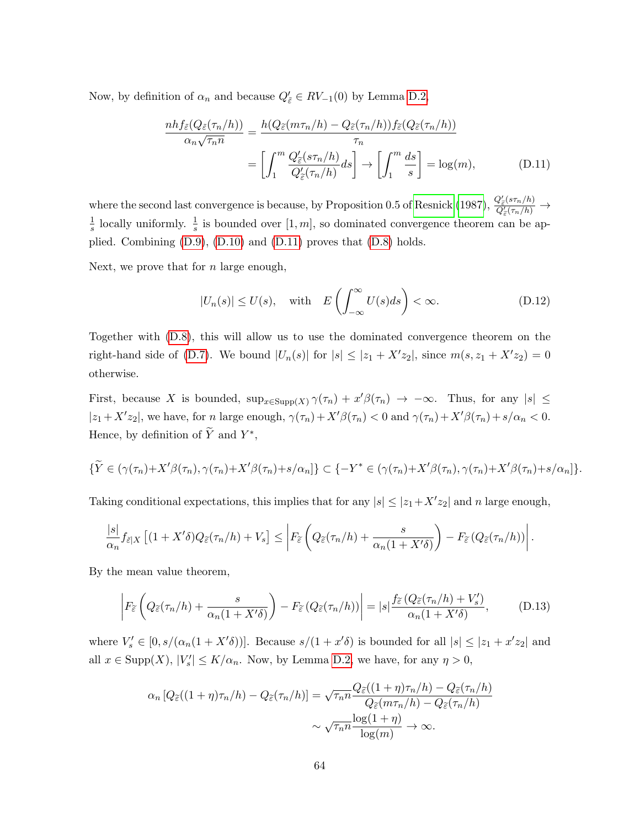Now, by definition of  $\alpha_n$  and because  $Q'_{\tilde{\varepsilon}} \in RV_{-1}(0)$  by Lemma [D.2,](#page-60-3)

$$
\frac{nhf_{\tilde{\varepsilon}}(Q_{\tilde{\varepsilon}}(\tau_n/h))}{\alpha_n\sqrt{\tau_n n}} = \frac{h(Q_{\tilde{\varepsilon}}(m\tau_n/h) - Q_{\tilde{\varepsilon}}(\tau_n/h))f_{\tilde{\varepsilon}}(Q_{\tilde{\varepsilon}}(\tau_n/h))}{\tau_n}
$$

$$
= \left[\int_1^m \frac{Q'_{\tilde{\varepsilon}}(s\tau_n/h)}{Q'_{\tilde{\varepsilon}}(\tau_n/h)}ds\right] \to \left[\int_1^m \frac{ds}{s}\right] = \log(m),\tag{D.11}
$$

where the second last convergence is because, by Proposition 0.5 of [Resnick \(1987\)](#page-37-6),  $\frac{Q'_{\varepsilon}(s\tau_n/h)}{Q'(\tau_h/h)}$  $\frac{Q_{\widetilde{\varepsilon}}(S^nn/n)}{Q_{\widetilde{\varepsilon}}'(\tau_n/h)} \to$  $\frac{1}{2}$  locally uniformly  $\frac{1}{2}$  is bounded over [1 m], so dominated convergence theorem ca  $\frac{1}{s}$  locally uniformly.  $\frac{1}{s}$  is bounded over  $[1, m]$ , so dominated convergence theorem can be applied. Combining [\(D.9\)](#page-64-0), [\(D.10\)](#page-64-1) and [\(D.11\)](#page-65-0) proves that [\(D.8\)](#page-64-2) holds.

Next, we prove that for  $n$  large enough,

<span id="page-65-2"></span><span id="page-65-0"></span>
$$
|U_n(s)| \le U(s), \quad \text{with} \quad E\left(\int_{-\infty}^{\infty} U(s)ds\right) < \infty. \tag{D.12}
$$

Together with [\(D.8\)](#page-64-2), this will allow us to use the dominated convergence theorem on the right-hand side of [\(D.7\)](#page-64-3). We bound  $|U_n(s)|$  for  $|s| \leq |z_1 + X'z_2|$ , since  $m(s, z_1 + X'z_2) = 0$ otherwise.

First, because X is bounded,  $\sup_{x \in \text{Supp}(X)} \gamma(\tau_n) + x' \beta(\tau_n) \to -\infty$ . Thus, for any  $|s| \leq$  $|z_1 + X'z_2|$ , we have, for n large enough,  $\gamma(\tau_n) + X'\beta(\tau_n) < 0$  and  $\gamma(\tau_n) + X'\beta(\tau_n) + s/\alpha_n < 0$ . Hence, by definition of  $\widetilde{Y}$  and  $Y^*$ ,

$$
\{\widetilde{Y} \in (\gamma(\tau_n) + X'\beta(\tau_n), \gamma(\tau_n) + X'\beta(\tau_n) + s/\alpha_n]\} \subset \{-Y^* \in (\gamma(\tau_n) + X'\beta(\tau_n), \gamma(\tau_n) + X'\beta(\tau_n) + s/\alpha_n]\}.
$$

Taking conditional expectations, this implies that for any  $|s| \leq |z_1 + X'z_2|$  and n large enough,

$$
\frac{|s|}{\alpha_n} f_{\tilde{\varepsilon}|X} \left[ (1+X'\delta) Q_{\tilde{\varepsilon}}(\tau_n/h) + V_s \right] \le \left| F_{\tilde{\varepsilon}} \left( Q_{\tilde{\varepsilon}}(\tau_n/h) + \frac{s}{\alpha_n (1+X'\delta)} \right) - F_{\tilde{\varepsilon}} \left( Q_{\tilde{\varepsilon}}(\tau_n/h) \right) \right|.
$$

By the mean value theorem,

<span id="page-65-1"></span>
$$
\left| F_{\tilde{\varepsilon}} \left( Q_{\tilde{\varepsilon}}(\tau_n/h) + \frac{s}{\alpha_n (1 + X'\delta)} \right) - F_{\tilde{\varepsilon}} \left( Q_{\tilde{\varepsilon}}(\tau_n/h) \right) \right| = |s| \frac{f_{\tilde{\varepsilon}} \left( Q_{\tilde{\varepsilon}}(\tau_n/h) + V'_s \right)}{\alpha_n (1 + X'\delta)}, \tag{D.13}
$$

where  $V'_s \in [0, s/(\alpha_n(1+X'\delta))]$ . Because  $s/(1+x'\delta)$  is bounded for all  $|s| \leq |z_1 + x'z_2|$  and all  $x \in \text{Supp}(X)$ ,  $|V_s'| \leq K/\alpha_n$ . Now, by Lemma [D.2,](#page-60-3) we have, for any  $\eta > 0$ ,

$$
\alpha_n \left[ Q_{\tilde{\varepsilon}}((1+\eta)\tau_n/h) - Q_{\tilde{\varepsilon}}(\tau_n/h) \right] = \sqrt{\tau_n n} \frac{Q_{\tilde{\varepsilon}}((1+\eta)\tau_n/h) - Q_{\tilde{\varepsilon}}(\tau_n/h)}{Q_{\tilde{\varepsilon}}(m\tau_n/h) - Q_{\tilde{\varepsilon}}(\tau_n/h)}
$$

$$
\sim \sqrt{\tau_n n} \frac{\log(1+\eta)}{\log(m)} \to \infty.
$$